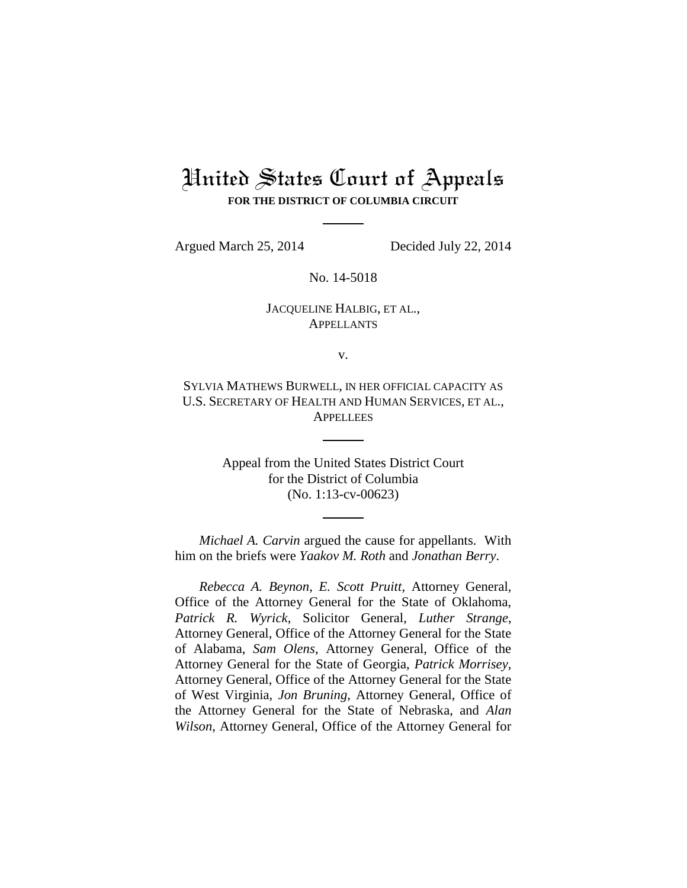# United States Court of Appeals **FOR THE DISTRICT OF COLUMBIA CIRCUIT**

Argued March 25, 2014 Decided July 22, 2014

No. 14-5018

## JACQUELINE HALBIG, ET AL., APPELLANTS

v.

SYLVIA MATHEWS BURWELL, IN HER OFFICIAL CAPACITY AS U.S. SECRETARY OF HEALTH AND HUMAN SERVICES, ET AL., **APPELLEES** 

> Appeal from the United States District Court for the District of Columbia (No. 1:13-cv-00623)

*Michael A. Carvin* argued the cause for appellants. With him on the briefs were *Yaakov M. Roth* and *Jonathan Berry*.

*Rebecca A. Beynon*, *E. Scott Pruitt*, Attorney General, Office of the Attorney General for the State of Oklahoma, *Patrick R. Wyrick*, Solicitor General, *Luther Strange*, Attorney General, Office of the Attorney General for the State of Alabama, *Sam Olens*, Attorney General, Office of the Attorney General for the State of Georgia, *Patrick Morrisey*, Attorney General, Office of the Attorney General for the State of West Virginia, *Jon Bruning*, Attorney General, Office of the Attorney General for the State of Nebraska, and *Alan Wilson*, Attorney General, Office of the Attorney General for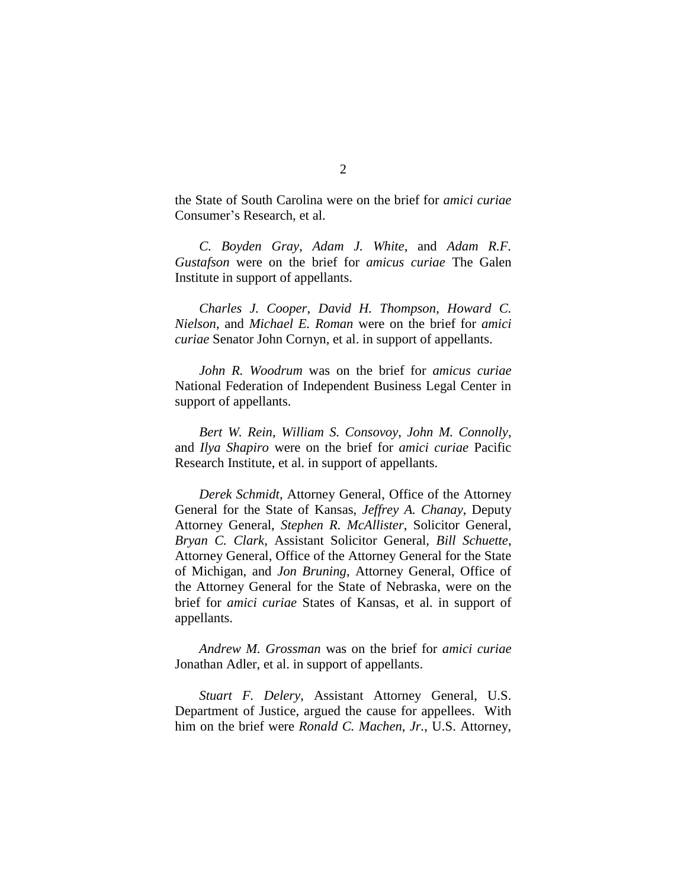the State of South Carolina were on the brief for *amici curiae* Consumer's Research, et al.

*C. Boyden Gray*, *Adam J. White*, and *Adam R.F. Gustafson* were on the brief for *amicus curiae* The Galen Institute in support of appellants.

*Charles J. Cooper*, *David H. Thompson*, *Howard C. Nielson*, and *Michael E. Roman* were on the brief for *amici curiae* Senator John Cornyn, et al. in support of appellants.

*John R. Woodrum* was on the brief for *amicus curiae*  National Federation of Independent Business Legal Center in support of appellants.

*Bert W. Rein*, *William S. Consovoy*, *John M. Connolly*, and *Ilya Shapiro* were on the brief for *amici curiae* Pacific Research Institute, et al. in support of appellants.

*Derek Schmidt*, Attorney General, Office of the Attorney General for the State of Kansas, *Jeffrey A. Chanay*, Deputy Attorney General, *Stephen R. McAllister*, Solicitor General, *Bryan C. Clark*, Assistant Solicitor General, *Bill Schuette*, Attorney General, Office of the Attorney General for the State of Michigan, and *Jon Bruning*, Attorney General, Office of the Attorney General for the State of Nebraska, were on the brief for *amici curiae* States of Kansas, et al. in support of appellants.

*Andrew M. Grossman* was on the brief for *amici curiae*  Jonathan Adler, et al. in support of appellants.

*Stuart F. Delery*, Assistant Attorney General, U.S. Department of Justice, argued the cause for appellees. With him on the brief were *Ronald C. Machen*, *Jr.*, U.S. Attorney,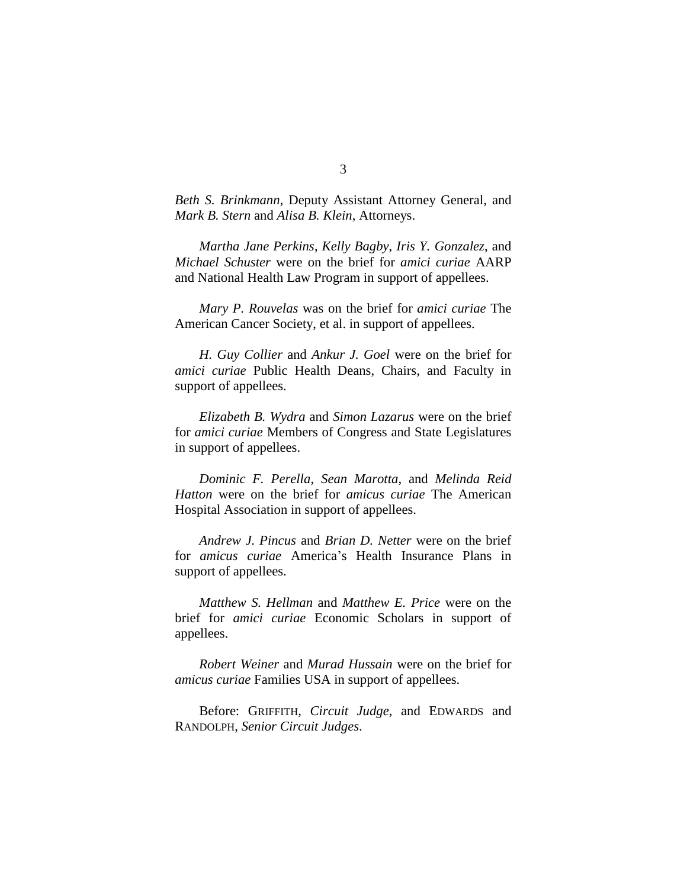*Beth S. Brinkmann*, Deputy Assistant Attorney General, and *Mark B. Stern* and *Alisa B. Klein*, Attorneys.

*Martha Jane Perkins*, *Kelly Bagby*, *Iris Y. Gonzalez*, and *Michael Schuster* were on the brief for *amici curiae* AARP and National Health Law Program in support of appellees.

*Mary P. Rouvelas* was on the brief for *amici curiae* The American Cancer Society, et al. in support of appellees.

*H. Guy Collier* and *Ankur J. Goel* were on the brief for *amici curiae* Public Health Deans, Chairs, and Faculty in support of appellees.

*Elizabeth B. Wydra* and *Simon Lazarus* were on the brief for *amici curiae* Members of Congress and State Legislatures in support of appellees.

*Dominic F. Perella*, *Sean Marotta*, and *Melinda Reid Hatton* were on the brief for *amicus curiae* The American Hospital Association in support of appellees.

*Andrew J. Pincus* and *Brian D. Netter* were on the brief for *amicus curiae* America's Health Insurance Plans in support of appellees.

*Matthew S. Hellman* and *Matthew E. Price* were on the brief for *amici curiae* Economic Scholars in support of appellees.

*Robert Weiner* and *Murad Hussain* were on the brief for *amicus curiae* Families USA in support of appellees.

Before: GRIFFITH, *Circuit Judge*, and EDWARDS and RANDOLPH, *Senior Circuit Judges*.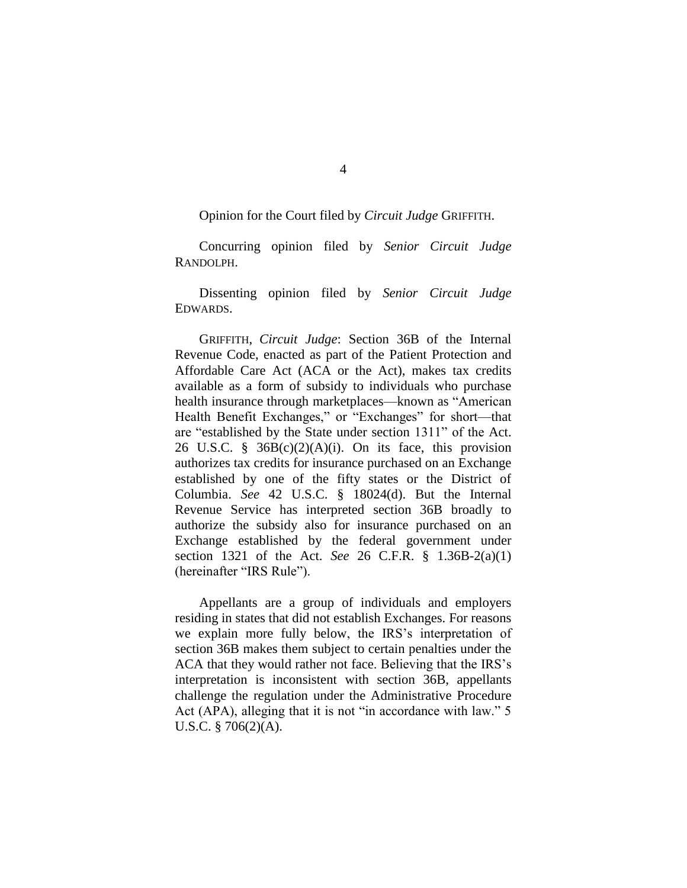Opinion for the Court filed by *Circuit Judge* GRIFFITH.

Concurring opinion filed by *Senior Circuit Judge*  RANDOLPH.

Dissenting opinion filed by *Senior Circuit Judge* EDWARDS.

GRIFFITH, *Circuit Judge*: Section 36B of the Internal Revenue Code, enacted as part of the Patient Protection and Affordable Care Act (ACA or the Act), makes tax credits available as a form of subsidy to individuals who purchase health insurance through marketplaces—known as "American Health Benefit Exchanges," or "Exchanges" for short—that are "established by the State under section 1311" of the Act. 26 U.S.C. §  $36B(c)(2)(A)(i)$ . On its face, this provision authorizes tax credits for insurance purchased on an Exchange established by one of the fifty states or the District of Columbia. *See* 42 U.S.C. § 18024(d). But the Internal Revenue Service has interpreted section 36B broadly to authorize the subsidy also for insurance purchased on an Exchange established by the federal government under section 1321 of the Act. *See* 26 C.F.R. § 1.36B-2(a)(1) (hereinafter "IRS Rule").

Appellants are a group of individuals and employers residing in states that did not establish Exchanges. For reasons we explain more fully below, the IRS's interpretation of section 36B makes them subject to certain penalties under the ACA that they would rather not face. Believing that the IRS's interpretation is inconsistent with section 36B, appellants challenge the regulation under the Administrative Procedure Act (APA), alleging that it is not "in accordance with law." 5 U.S.C. § 706(2)(A).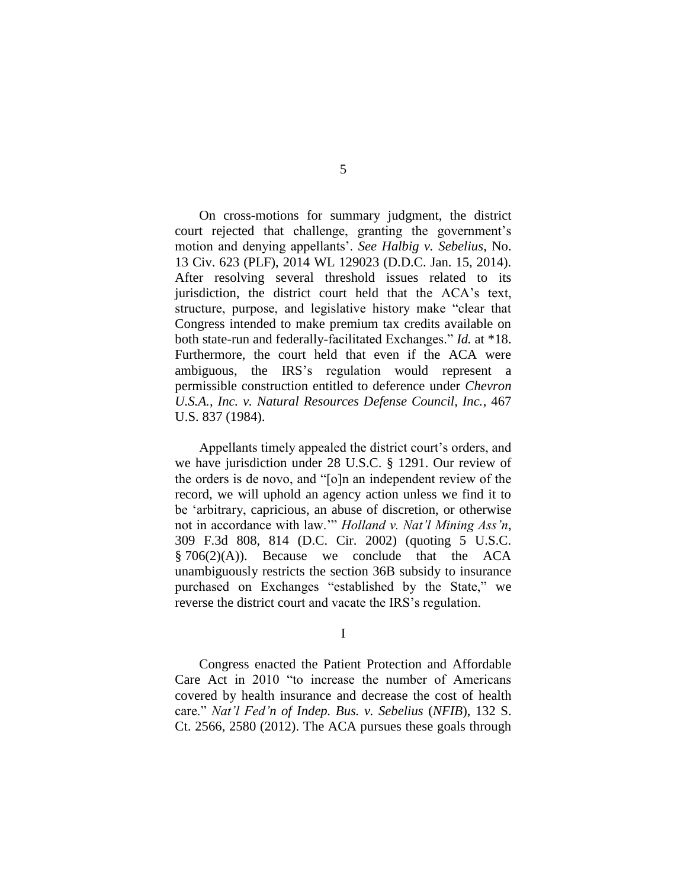On cross-motions for summary judgment, the district court rejected that challenge, granting the government's motion and denying appellants'. *See Halbig v. Sebelius*, No. 13 Civ. 623 (PLF), 2014 WL 129023 (D.D.C. Jan. 15, 2014). After resolving several threshold issues related to its jurisdiction, the district court held that the ACA's text, structure, purpose, and legislative history make "clear that Congress intended to make premium tax credits available on both state-run and federally-facilitated Exchanges." *Id.* at \*18. Furthermore, the court held that even if the ACA were ambiguous, the IRS's regulation would represent a permissible construction entitled to deference under *Chevron U.S.A., Inc. v. Natural Resources Defense Council, Inc.*, 467 U.S. 837 (1984).

Appellants timely appealed the district court's orders, and we have jurisdiction under 28 U.S.C. § 1291. Our review of the orders is de novo, and "[o]n an independent review of the record, we will uphold an agency action unless we find it to be 'arbitrary, capricious, an abuse of discretion, or otherwise not in accordance with law.'" *Holland v. Nat'l Mining Ass'n*, 309 F.3d 808, 814 (D.C. Cir. 2002) (quoting 5 U.S.C.  $§ 706(2)(A)$ . Because we conclude that the ACA unambiguously restricts the section 36B subsidy to insurance purchased on Exchanges "established by the State," we reverse the district court and vacate the IRS's regulation.

I

Congress enacted the Patient Protection and Affordable Care Act in 2010 "to increase the number of Americans covered by health insurance and decrease the cost of health care." *Nat'l Fed'n of Indep. Bus. v. Sebelius* (*NFIB*), 132 S. Ct. 2566, 2580 (2012). The ACA pursues these goals through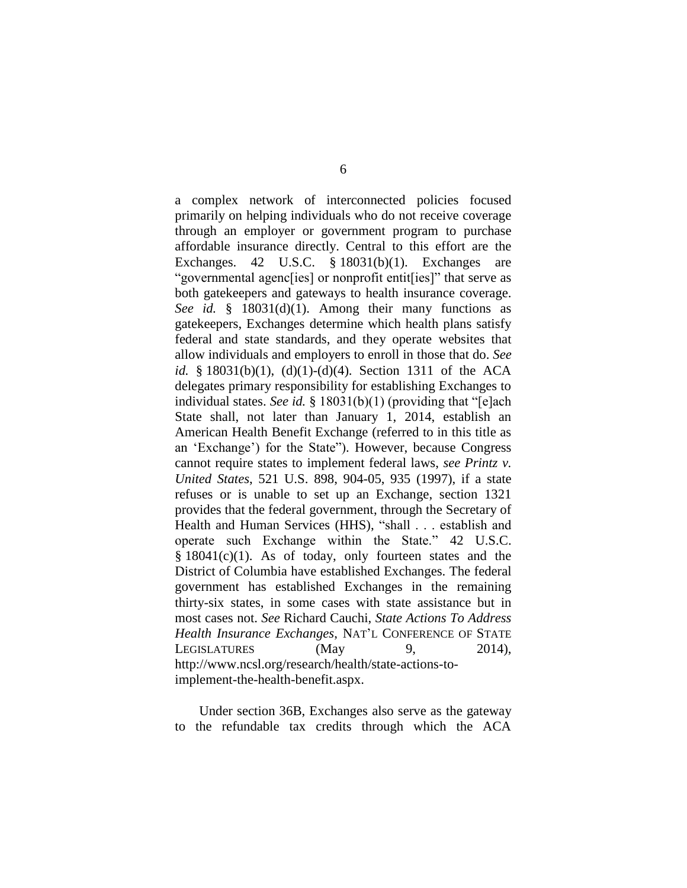a complex network of interconnected policies focused primarily on helping individuals who do not receive coverage through an employer or government program to purchase affordable insurance directly. Central to this effort are the Exchanges. 42 U.S.C. § 18031(b)(1). Exchanges are "governmental agenc[ies] or nonprofit entit[ies]" that serve as both gatekeepers and gateways to health insurance coverage. *See id.* § 18031(d)(1). Among their many functions as gatekeepers, Exchanges determine which health plans satisfy federal and state standards, and they operate websites that allow individuals and employers to enroll in those that do. *See id.* § 18031(b)(1), (d)(1)-(d)(4). Section 1311 of the ACA delegates primary responsibility for establishing Exchanges to individual states. *See id.* § 18031(b)(1) (providing that "[e]ach State shall, not later than January 1, 2014, establish an American Health Benefit Exchange (referred to in this title as an 'Exchange') for the State"). However, because Congress cannot require states to implement federal laws, *see Printz v. United States*, 521 U.S. 898, 904-05, 935 (1997), if a state refuses or is unable to set up an Exchange, section 1321 provides that the federal government, through the Secretary of Health and Human Services (HHS), "shall . . . establish and operate such Exchange within the State." 42 U.S.C. § 18041(c)(1). As of today, only fourteen states and the District of Columbia have established Exchanges. The federal government has established Exchanges in the remaining thirty-six states, in some cases with state assistance but in most cases not. *See* Richard Cauchi, *State Actions To Address Health Insurance Exchanges*, NAT'L CONFERENCE OF STATE LEGISLATURES (May 9, 2014). http://www.ncsl.org/research/health/state-actions-toimplement-the-health-benefit.aspx.

Under section 36B, Exchanges also serve as the gateway to the refundable tax credits through which the ACA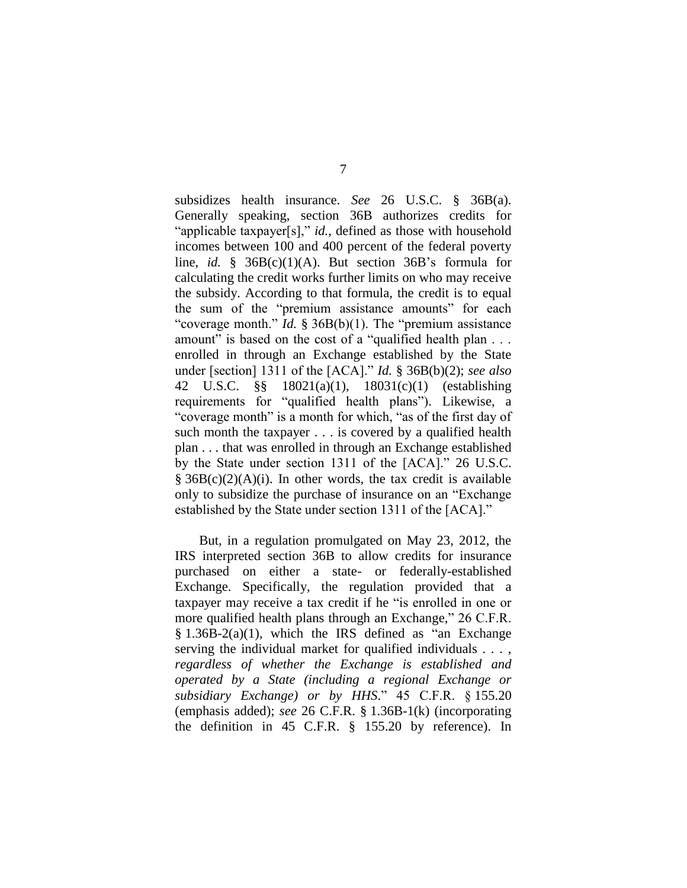subsidizes health insurance. *See* 26 U.S.C. § 36B(a). Generally speaking, section 36B authorizes credits for "applicable taxpayer[s]," *id.*, defined as those with household incomes between 100 and 400 percent of the federal poverty line, *id.* § 36B(c)(1)(A). But section 36B's formula for calculating the credit works further limits on who may receive the subsidy. According to that formula, the credit is to equal the sum of the "premium assistance amounts" for each "coverage month." *Id.* § 36B(b)(1). The "premium assistance" amount" is based on the cost of a "qualified health plan . . . enrolled in through an Exchange established by the State under [section] 1311 of the [ACA]." *Id.* § 36B(b)(2); *see also*  42 U.S.C. §§ 18021(a)(1), 18031(c)(1) (establishing requirements for "qualified health plans"). Likewise, a "coverage month" is a month for which, "as of the first day of such month the taxpayer . . . is covered by a qualified health plan . . . that was enrolled in through an Exchange established by the State under section 1311 of the [ACA]." 26 U.S.C.  $§ 36B(c)(2)(A)(i)$ . In other words, the tax credit is available only to subsidize the purchase of insurance on an "Exchange established by the State under section 1311 of the [ACA]."

But, in a regulation promulgated on May 23, 2012, the IRS interpreted section 36B to allow credits for insurance purchased on either a state- or federally-established Exchange. Specifically, the regulation provided that a taxpayer may receive a tax credit if he "is enrolled in one or more qualified health plans through an Exchange," 26 C.F.R.  $§ 1.36B-2(a)(1)$ , which the IRS defined as "an Exchange" serving the individual market for qualified individuals . . . , *regardless of whether the Exchange is established and operated by a State (including a regional Exchange or subsidiary Exchange) or by HHS*." 45 C.F.R. § 155.20 (emphasis added); *see* 26 C.F.R. § 1.36B-1(k) (incorporating the definition in 45 C.F.R. § 155.20 by reference). In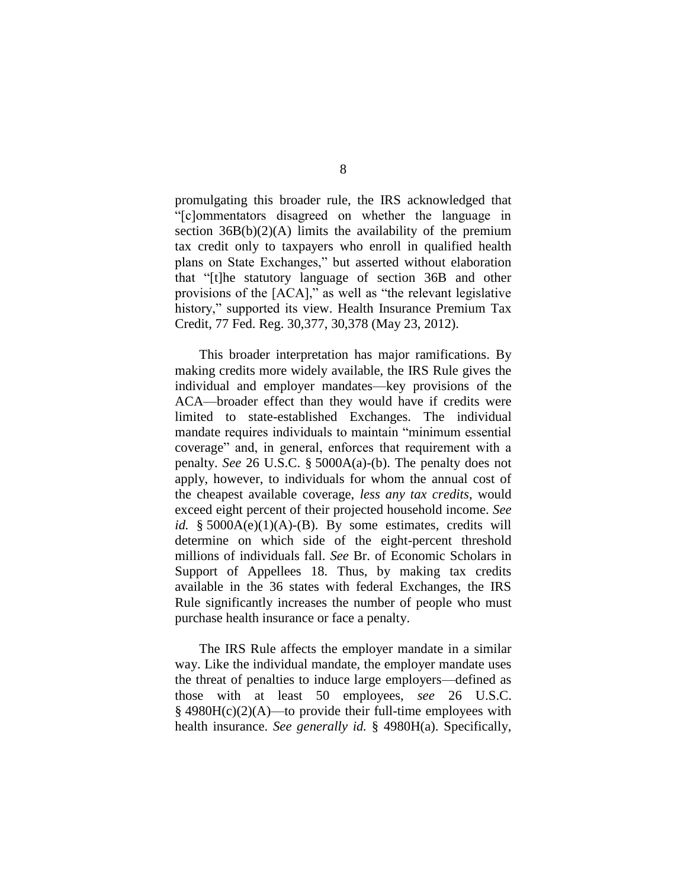promulgating this broader rule, the IRS acknowledged that "[c]ommentators disagreed on whether the language in section  $36B(b)(2)(A)$  limits the availability of the premium tax credit only to taxpayers who enroll in qualified health plans on State Exchanges," but asserted without elaboration that "[t]he statutory language of section 36B and other provisions of the [ACA]," as well as "the relevant legislative history," supported its view. Health Insurance Premium Tax Credit, 77 Fed. Reg. 30,377, 30,378 (May 23, 2012).

This broader interpretation has major ramifications. By making credits more widely available, the IRS Rule gives the individual and employer mandates—key provisions of the ACA—broader effect than they would have if credits were limited to state-established Exchanges. The individual mandate requires individuals to maintain "minimum essential coverage" and, in general, enforces that requirement with a penalty. *See* 26 U.S.C. § 5000A(a)-(b). The penalty does not apply, however, to individuals for whom the annual cost of the cheapest available coverage, *less any tax credits*, would exceed eight percent of their projected household income. *See id.* §  $5000A(e)(1)(A)-(B)$ . By some estimates, credits will determine on which side of the eight-percent threshold millions of individuals fall. *See* Br. of Economic Scholars in Support of Appellees 18. Thus, by making tax credits available in the 36 states with federal Exchanges, the IRS Rule significantly increases the number of people who must purchase health insurance or face a penalty.

The IRS Rule affects the employer mandate in a similar way. Like the individual mandate, the employer mandate uses the threat of penalties to induce large employers—defined as those with at least 50 employees, *see* 26 U.S.C.  $§$  4980H(c)(2)(A)—to provide their full-time employees with health insurance. *See generally id.* § 4980H(a). Specifically,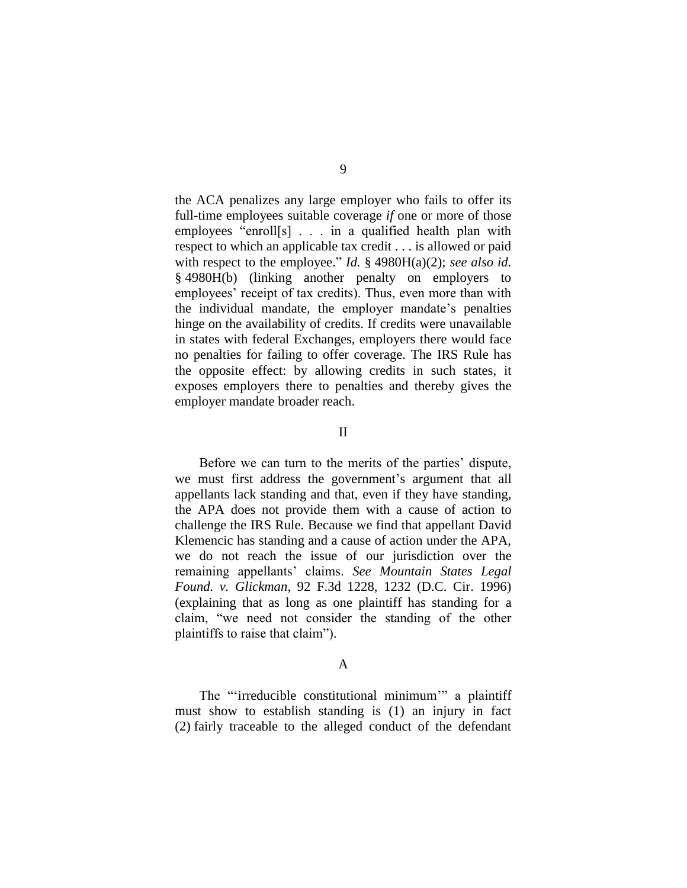the ACA penalizes any large employer who fails to offer its full-time employees suitable coverage *if* one or more of those employees "enroll[s] . . . in a qualified health plan with respect to which an applicable tax credit . . . is allowed or paid with respect to the employee." *Id.* § 4980H(a)(2); *see also id.* § 4980H(b) (linking another penalty on employers to employees' receipt of tax credits). Thus, even more than with the individual mandate, the employer mandate's penalties hinge on the availability of credits. If credits were unavailable in states with federal Exchanges, employers there would face no penalties for failing to offer coverage. The IRS Rule has the opposite effect: by allowing credits in such states, it exposes employers there to penalties and thereby gives the employer mandate broader reach.

#### II

Before we can turn to the merits of the parties' dispute, we must first address the government's argument that all appellants lack standing and that, even if they have standing, the APA does not provide them with a cause of action to challenge the IRS Rule. Because we find that appellant David Klemencic has standing and a cause of action under the APA, we do not reach the issue of our jurisdiction over the remaining appellants' claims. *See Mountain States Legal Found. v. Glickman*, 92 F.3d 1228, 1232 (D.C. Cir. 1996) (explaining that as long as one plaintiff has standing for a claim, "we need not consider the standing of the other plaintiffs to raise that claim").

### A

The "'irreducible constitutional minimum'" a plaintiff must show to establish standing is (1) an injury in fact (2) fairly traceable to the alleged conduct of the defendant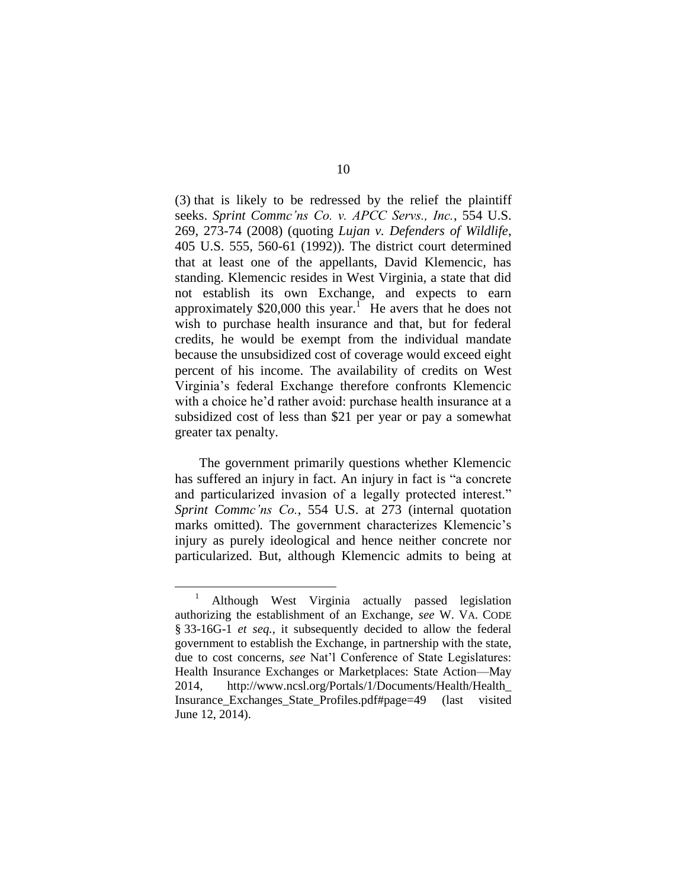(3) that is likely to be redressed by the relief the plaintiff seeks. *Sprint Commc'ns Co. v. APCC Servs., Inc.*, 554 U.S. 269, 273-74 (2008) (quoting *Lujan v. Defenders of Wildlife*, 405 U.S. 555, 560-61 (1992)). The district court determined that at least one of the appellants, David Klemencic, has standing. Klemencic resides in West Virginia, a state that did not establish its own Exchange, and expects to earn approximately \$20,000 this year.<sup>1</sup> He avers that he does not wish to purchase health insurance and that, but for federal credits, he would be exempt from the individual mandate because the unsubsidized cost of coverage would exceed eight percent of his income. The availability of credits on West Virginia's federal Exchange therefore confronts Klemencic with a choice he'd rather avoid: purchase health insurance at a subsidized cost of less than \$21 per year or pay a somewhat greater tax penalty.

The government primarily questions whether Klemencic has suffered an injury in fact. An injury in fact is "a concrete and particularized invasion of a legally protected interest." *Sprint Commc'ns Co.*, 554 U.S. at 273 (internal quotation marks omitted). The government characterizes Klemencic's injury as purely ideological and hence neither concrete nor particularized. But, although Klemencic admits to being at

<sup>&</sup>lt;sup>1</sup> Although West Virginia actually passed legislation authorizing the establishment of an Exchange, *see* W. VA. CODE § 33-16G-1 *et seq.*, it subsequently decided to allow the federal government to establish the Exchange, in partnership with the state, due to cost concerns, *see* Nat'l Conference of State Legislatures: Health Insurance Exchanges or Marketplaces: State Action—May 2014, http://www.ncsl.org/Portals/1/Documents/Health/Health\_ Insurance\_Exchanges\_State\_Profiles.pdf#page=49 (last visited June 12, 2014).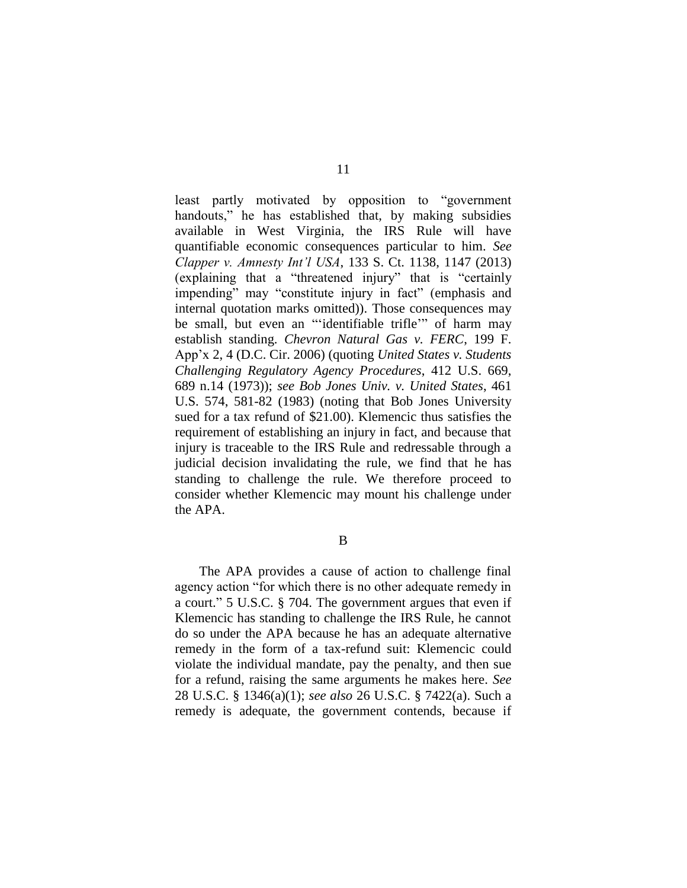least partly motivated by opposition to "government handouts," he has established that, by making subsidies available in West Virginia, the IRS Rule will have quantifiable economic consequences particular to him. *See Clapper v. Amnesty Int'l USA*, 133 S. Ct. 1138, 1147 (2013) (explaining that a "threatened injury" that is "certainly impending" may "constitute injury in fact" (emphasis and internal quotation marks omitted)). Those consequences may be small, but even an "'identifiable trifle'" of harm may establish standing. *Chevron Natural Gas v. FERC*, 199 F. App'x 2, 4 (D.C. Cir. 2006) (quoting *United States v. Students Challenging Regulatory Agency Procedures*, 412 U.S. 669, 689 n.14 (1973)); *see Bob Jones Univ. v. United States*, 461 U.S. 574, 581-82 (1983) (noting that Bob Jones University sued for a tax refund of \$21.00). Klemencic thus satisfies the requirement of establishing an injury in fact, and because that injury is traceable to the IRS Rule and redressable through a judicial decision invalidating the rule, we find that he has standing to challenge the rule. We therefore proceed to consider whether Klemencic may mount his challenge under the APA.

B

The APA provides a cause of action to challenge final agency action "for which there is no other adequate remedy in a court." 5 U.S.C. § 704. The government argues that even if Klemencic has standing to challenge the IRS Rule, he cannot do so under the APA because he has an adequate alternative remedy in the form of a tax-refund suit: Klemencic could violate the individual mandate, pay the penalty, and then sue for a refund, raising the same arguments he makes here. *See*  28 U.S.C. § 1346(a)(1); *see also* 26 U.S.C. § 7422(a). Such a remedy is adequate, the government contends, because if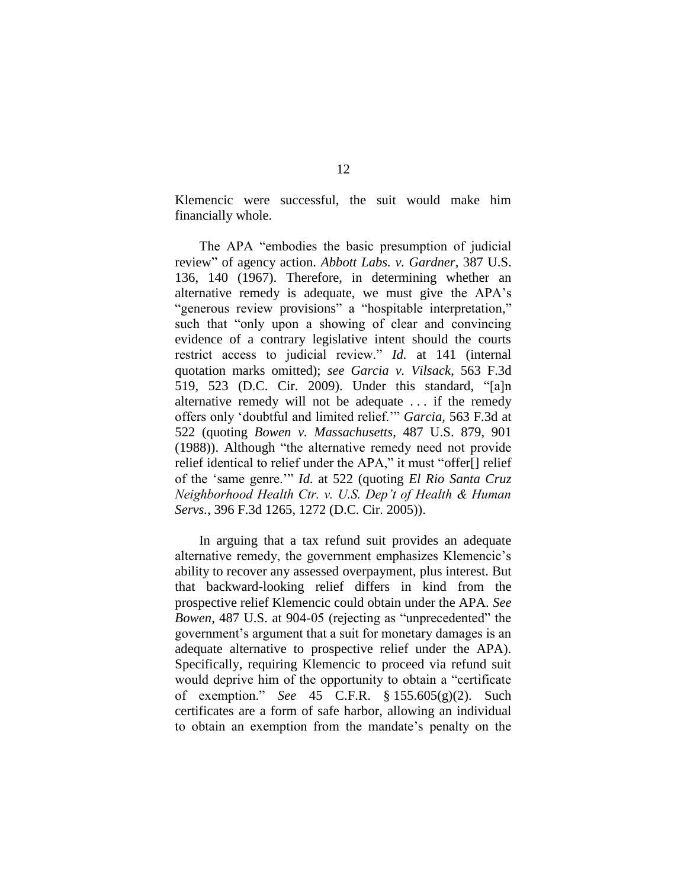Klemencic were successful, the suit would make him financially whole.

The APA "embodies the basic presumption of judicial review" of agency action. *Abbott Labs. v. Gardner*, 387 U.S. 136, 140 (1967). Therefore, in determining whether an alternative remedy is adequate, we must give the APA's "generous review provisions" a "hospitable interpretation," such that "only upon a showing of clear and convincing evidence of a contrary legislative intent should the courts restrict access to judicial review." *Id.* at 141 (internal quotation marks omitted); *see Garcia v. Vilsack*, 563 F.3d 519, 523 (D.C. Cir. 2009). Under this standard, "[a]n alternative remedy will not be adequate . . . if the remedy offers only 'doubtful and limited relief.'" *Garcia*, 563 F.3d at 522 (quoting *Bowen v. Massachusetts*, 487 U.S. 879, 901 (1988)). Although "the alternative remedy need not provide relief identical to relief under the APA," it must "offer[] relief of the 'same genre.'" *Id.* at 522 (quoting *El Rio Santa Cruz Neighborhood Health Ctr. v. U.S. Dep't of Health & Human Servs.*, 396 F.3d 1265, 1272 (D.C. Cir. 2005)).

In arguing that a tax refund suit provides an adequate alternative remedy, the government emphasizes Klemencic's ability to recover any assessed overpayment, plus interest. But that backward-looking relief differs in kind from the prospective relief Klemencic could obtain under the APA. *See Bowen*, 487 U.S. at 904-05 (rejecting as "unprecedented" the government's argument that a suit for monetary damages is an adequate alternative to prospective relief under the APA). Specifically, requiring Klemencic to proceed via refund suit would deprive him of the opportunity to obtain a "certificate of exemption." *See* 45 C.F.R. § 155.605(g)(2). Such certificates are a form of safe harbor, allowing an individual to obtain an exemption from the mandate's penalty on the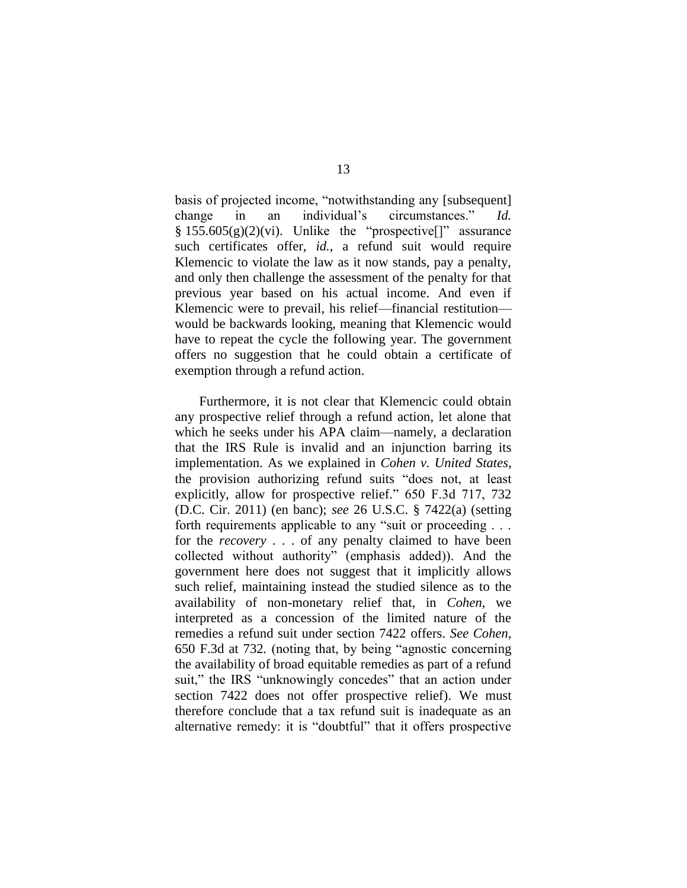basis of projected income, "notwithstanding any [subsequent] change in an individual's circumstances." *Id.*  $§ 155.605(g)(2)(vi)$ . Unlike the "prospective[]" assurance such certificates offer, *id.*, a refund suit would require Klemencic to violate the law as it now stands, pay a penalty, and only then challenge the assessment of the penalty for that previous year based on his actual income. And even if Klemencic were to prevail, his relief—financial restitution would be backwards looking, meaning that Klemencic would have to repeat the cycle the following year. The government offers no suggestion that he could obtain a certificate of exemption through a refund action.

Furthermore, it is not clear that Klemencic could obtain any prospective relief through a refund action, let alone that which he seeks under his APA claim—namely, a declaration that the IRS Rule is invalid and an injunction barring its implementation. As we explained in *Cohen v. United States*, the provision authorizing refund suits "does not, at least explicitly, allow for prospective relief." 650 F.3d 717, 732 (D.C. Cir. 2011) (en banc); *see* 26 U.S.C. § 7422(a) (setting forth requirements applicable to any "suit or proceeding . . . for the *recovery* . . . of any penalty claimed to have been collected without authority" (emphasis added)). And the government here does not suggest that it implicitly allows such relief, maintaining instead the studied silence as to the availability of non-monetary relief that, in *Cohen*, we interpreted as a concession of the limited nature of the remedies a refund suit under section 7422 offers. *See Cohen*, 650 F.3d at 732*.* (noting that, by being "agnostic concerning the availability of broad equitable remedies as part of a refund suit," the IRS "unknowingly concedes" that an action under section 7422 does not offer prospective relief). We must therefore conclude that a tax refund suit is inadequate as an alternative remedy: it is "doubtful" that it offers prospective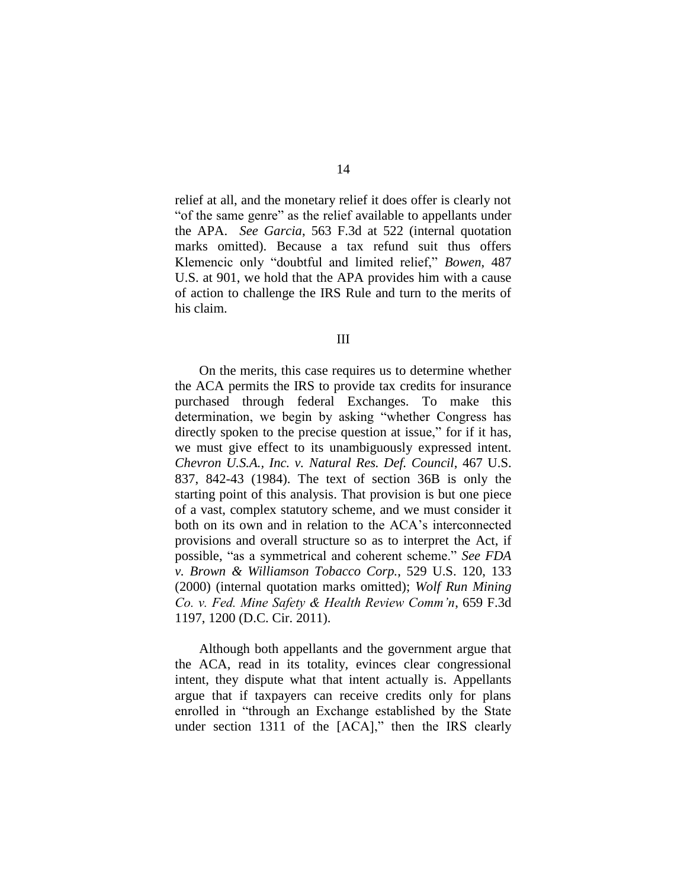relief at all, and the monetary relief it does offer is clearly not "of the same genre" as the relief available to appellants under the APA. *See Garcia*, 563 F.3d at 522 (internal quotation marks omitted). Because a tax refund suit thus offers Klemencic only "doubtful and limited relief," *Bowen*, 487 U.S. at 901, we hold that the APA provides him with a cause of action to challenge the IRS Rule and turn to the merits of his claim.

III

On the merits, this case requires us to determine whether the ACA permits the IRS to provide tax credits for insurance purchased through federal Exchanges. To make this determination, we begin by asking "whether Congress has directly spoken to the precise question at issue," for if it has, we must give effect to its unambiguously expressed intent. *Chevron U.S.A., Inc. v. Natural Res. Def. Council*, 467 U.S. 837, 842-43 (1984). The text of section 36B is only the starting point of this analysis. That provision is but one piece of a vast, complex statutory scheme, and we must consider it both on its own and in relation to the ACA's interconnected provisions and overall structure so as to interpret the Act, if possible, "as a symmetrical and coherent scheme." *See FDA v. Brown & Williamson Tobacco Corp.*, 529 U.S. 120, 133 (2000) (internal quotation marks omitted); *Wolf Run Mining Co. v. Fed. Mine Safety & Health Review Comm'n*, 659 F.3d 1197, 1200 (D.C. Cir. 2011).

Although both appellants and the government argue that the ACA, read in its totality, evinces clear congressional intent, they dispute what that intent actually is. Appellants argue that if taxpayers can receive credits only for plans enrolled in "through an Exchange established by the State under section 1311 of the [ACA]," then the IRS clearly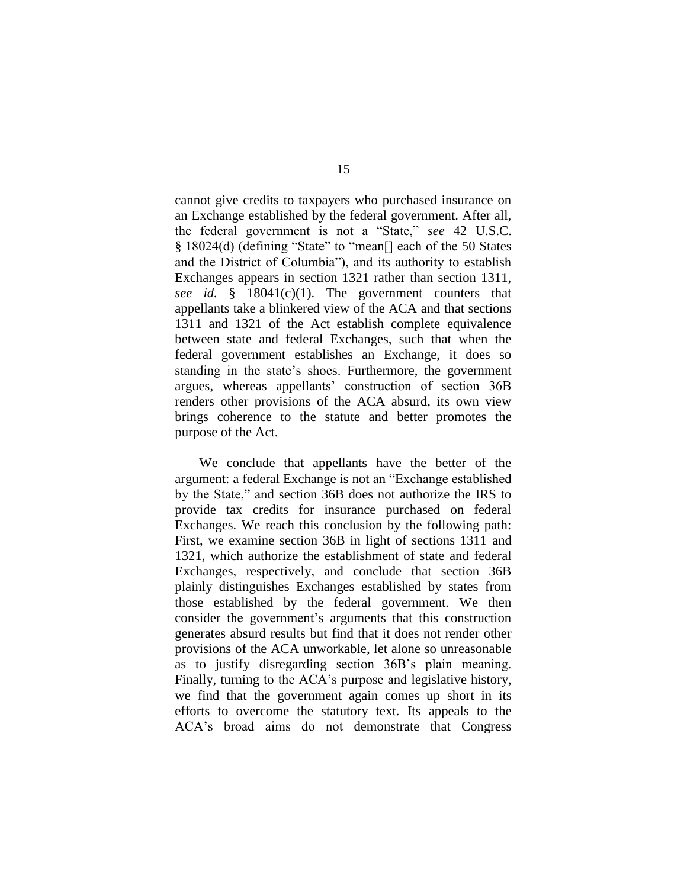cannot give credits to taxpayers who purchased insurance on an Exchange established by the federal government. After all, the federal government is not a "State," *see* 42 U.S.C. § 18024(d) (defining "State" to "mean[] each of the 50 States and the District of Columbia"), and its authority to establish Exchanges appears in section 1321 rather than section 1311, *see id.* § 18041(c)(1). The government counters that appellants take a blinkered view of the ACA and that sections 1311 and 1321 of the Act establish complete equivalence between state and federal Exchanges, such that when the federal government establishes an Exchange, it does so standing in the state's shoes. Furthermore, the government argues, whereas appellants' construction of section 36B renders other provisions of the ACA absurd, its own view brings coherence to the statute and better promotes the purpose of the Act.

We conclude that appellants have the better of the argument: a federal Exchange is not an "Exchange established by the State," and section 36B does not authorize the IRS to provide tax credits for insurance purchased on federal Exchanges. We reach this conclusion by the following path: First, we examine section 36B in light of sections 1311 and 1321, which authorize the establishment of state and federal Exchanges, respectively, and conclude that section 36B plainly distinguishes Exchanges established by states from those established by the federal government. We then consider the government's arguments that this construction generates absurd results but find that it does not render other provisions of the ACA unworkable, let alone so unreasonable as to justify disregarding section 36B's plain meaning. Finally, turning to the ACA's purpose and legislative history, we find that the government again comes up short in its efforts to overcome the statutory text. Its appeals to the ACA's broad aims do not demonstrate that Congress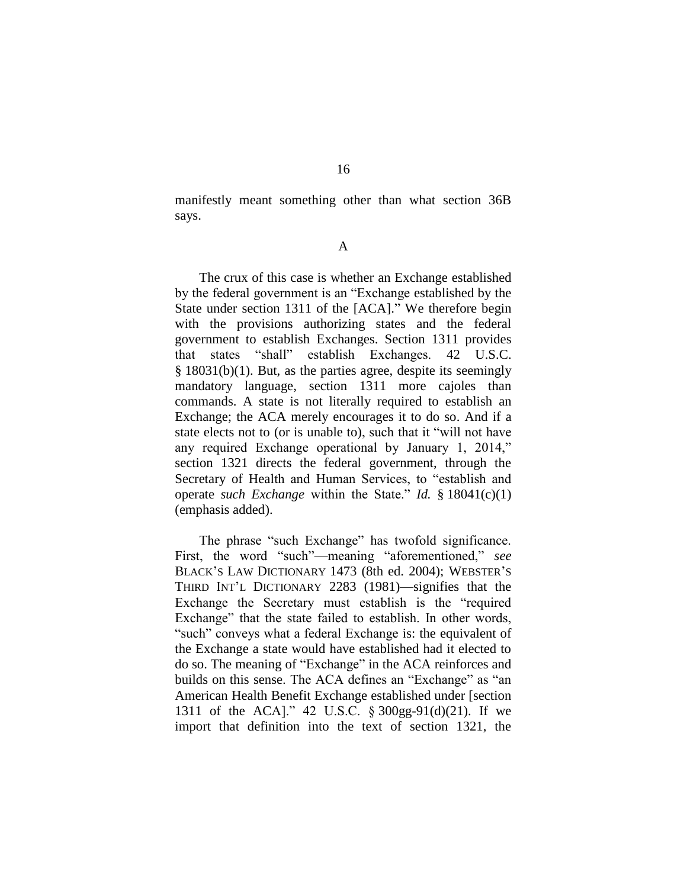manifestly meant something other than what section 36B says.

#### A

The crux of this case is whether an Exchange established by the federal government is an "Exchange established by the State under section 1311 of the [ACA]." We therefore begin with the provisions authorizing states and the federal government to establish Exchanges. Section 1311 provides that states "shall" establish Exchanges. 42 U.S.C. § 18031(b)(1). But, as the parties agree, despite its seemingly mandatory language, section 1311 more cajoles than commands. A state is not literally required to establish an Exchange; the ACA merely encourages it to do so. And if a state elects not to (or is unable to), such that it "will not have any required Exchange operational by January 1, 2014," section 1321 directs the federal government, through the Secretary of Health and Human Services, to "establish and operate *such Exchange* within the State." *Id.* § 18041(c)(1) (emphasis added).

The phrase "such Exchange" has twofold significance. First, the word "such"—meaning "aforementioned," *see*  BLACK'S LAW DICTIONARY 1473 (8th ed. 2004); WEBSTER'S THIRD INT'L DICTIONARY 2283 (1981)—signifies that the Exchange the Secretary must establish is the "required Exchange" that the state failed to establish. In other words, "such" conveys what a federal Exchange is: the equivalent of the Exchange a state would have established had it elected to do so. The meaning of "Exchange" in the ACA reinforces and builds on this sense. The ACA defines an "Exchange" as "an American Health Benefit Exchange established under [section 1311 of the ACA]." 42 U.S.C. § 300gg-91(d)(21). If we import that definition into the text of section 1321, the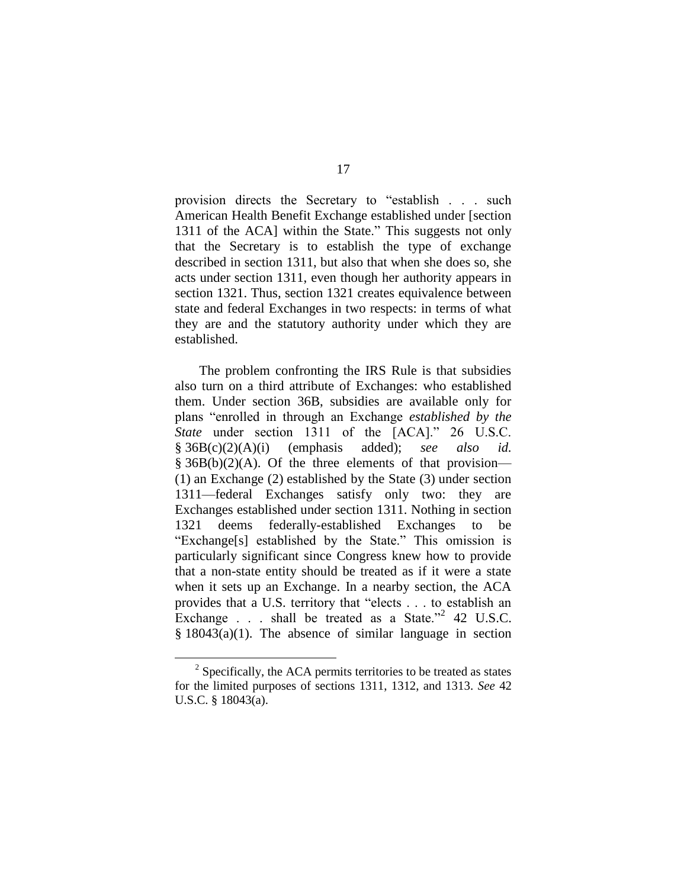provision directs the Secretary to "establish . . . such American Health Benefit Exchange established under [section 1311 of the ACA] within the State." This suggests not only that the Secretary is to establish the type of exchange described in section 1311, but also that when she does so, she acts under section 1311, even though her authority appears in section 1321. Thus, section 1321 creates equivalence between state and federal Exchanges in two respects: in terms of what they are and the statutory authority under which they are established.

The problem confronting the IRS Rule is that subsidies also turn on a third attribute of Exchanges: who established them. Under section 36B, subsidies are available only for plans "enrolled in through an Exchange *established by the State* under section 1311 of the [ACA]." 26 U.S.C. § 36B(c)(2)(A)(i) (emphasis added); *see also id.*  $§ 36B(b)(2)(A)$ . Of the three elements of that provision— (1) an Exchange (2) established by the State (3) under section 1311—federal Exchanges satisfy only two: they are Exchanges established under section 1311. Nothing in section 1321 deems federally-established Exchanges to be "Exchange[s] established by the State." This omission is particularly significant since Congress knew how to provide that a non-state entity should be treated as if it were a state when it sets up an Exchange. In a nearby section, the ACA provides that a U.S. territory that "elects . . . to establish an Exchange  $\therefore$  shall be treated as a State."<sup>2</sup> 42 U.S.C.  $§$  18043(a)(1). The absence of similar language in section

 $2^2$  Specifically, the ACA permits territories to be treated as states for the limited purposes of sections 1311, 1312, and 1313. *See* 42 U.S.C. § 18043(a).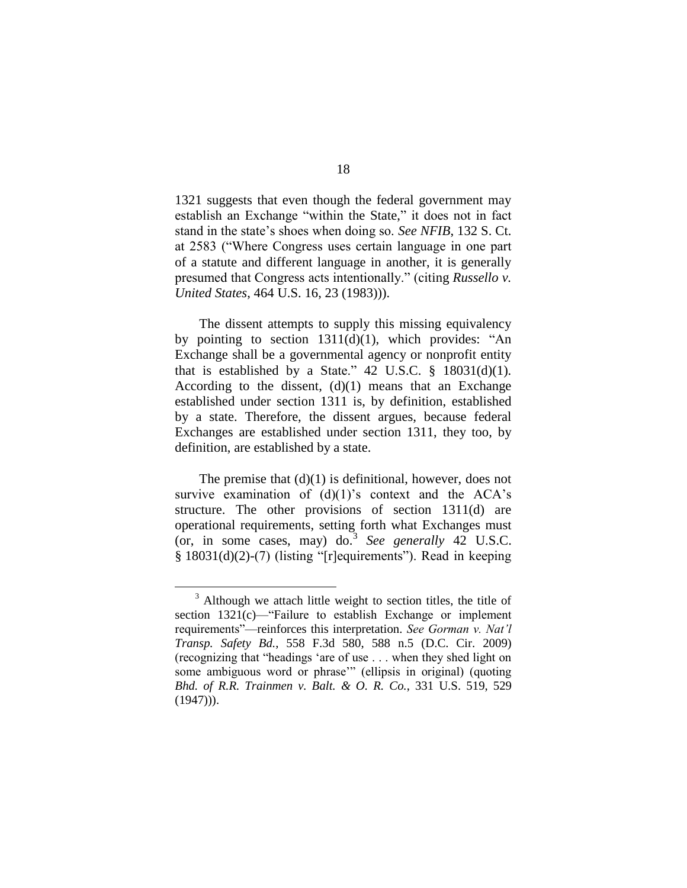1321 suggests that even though the federal government may establish an Exchange "within the State," it does not in fact stand in the state's shoes when doing so. *See NFIB*, 132 S. Ct. at 2583 ("Where Congress uses certain language in one part of a statute and different language in another, it is generally presumed that Congress acts intentionally." (citing *Russello v. United States*, 464 U.S. 16, 23 (1983))).

The dissent attempts to supply this missing equivalency by pointing to section 1311(d)(1), which provides: "An Exchange shall be a governmental agency or nonprofit entity that is established by a State." 42 U.S.C.  $\S$  18031(d)(1). According to the dissent,  $(d)(1)$  means that an Exchange established under section 1311 is, by definition, established by a state. Therefore, the dissent argues, because federal Exchanges are established under section 1311, they too, by definition, are established by a state.

The premise that  $(d)(1)$  is definitional, however, does not survive examination of  $(d)(1)$ 's context and the ACA's structure. The other provisions of section 1311(d) are operational requirements, setting forth what Exchanges must (or, in some cases, may) do.<sup>3</sup> *See generally* 42 U.S.C. § 18031(d)(2)-(7) (listing "[r]equirements"). Read in keeping

<sup>&</sup>lt;sup>3</sup> Although we attach little weight to section titles, the title of section 1321(c)—"Failure to establish Exchange or implement requirements"—reinforces this interpretation. *See Gorman v. Nat'l Transp. Safety Bd.*, 558 F.3d 580, 588 n.5 (D.C. Cir. 2009) (recognizing that "headings 'are of use . . . when they shed light on some ambiguous word or phrase'" (ellipsis in original) (quoting *Bhd. of R.R. Trainmen v. Balt. & O. R. Co.*, 331 U.S. 519, 529  $(1947)$ ).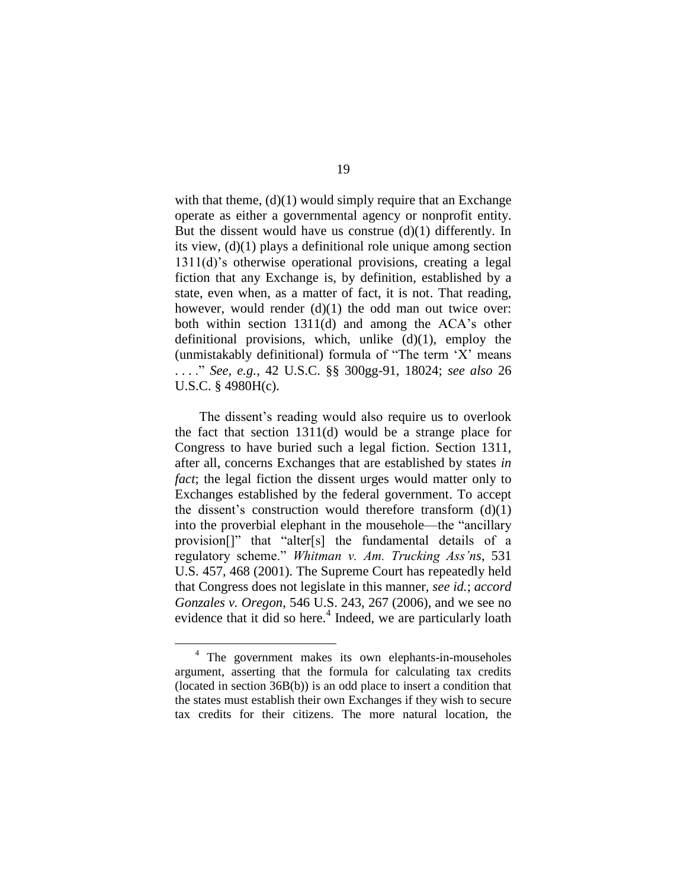with that theme,  $(d)(1)$  would simply require that an Exchange operate as either a governmental agency or nonprofit entity. But the dissent would have us construe  $(d)(1)$  differently. In its view, (d)(1) plays a definitional role unique among section 1311(d)'s otherwise operational provisions, creating a legal fiction that any Exchange is, by definition, established by a state, even when, as a matter of fact, it is not. That reading, however, would render (d)(1) the odd man out twice over: both within section 1311(d) and among the ACA's other definitional provisions, which, unlike  $(d)(1)$ , employ the (unmistakably definitional) formula of "The term 'X' means . . . ." *See, e.g.*, 42 U.S.C. §§ 300gg-91, 18024; *see also* 26 U.S.C. § 4980H(c).

The dissent's reading would also require us to overlook the fact that section 1311(d) would be a strange place for Congress to have buried such a legal fiction. Section 1311, after all, concerns Exchanges that are established by states *in fact*; the legal fiction the dissent urges would matter only to Exchanges established by the federal government. To accept the dissent's construction would therefore transform  $(d)(1)$ into the proverbial elephant in the mousehole—the "ancillary provision[]" that "alter[s] the fundamental details of a regulatory scheme." *Whitman v. Am. Trucking Ass'ns*, 531 U.S. 457, 468 (2001). The Supreme Court has repeatedly held that Congress does not legislate in this manner, *see id.*; *accord Gonzales v. Oregon*, 546 U.S. 243, 267 (2006), and we see no evidence that it did so here.<sup>4</sup> Indeed, we are particularly loath

<sup>4</sup> The government makes its own elephants-in-mouseholes argument, asserting that the formula for calculating tax credits (located in section 36B(b)) is an odd place to insert a condition that the states must establish their own Exchanges if they wish to secure tax credits for their citizens. The more natural location, the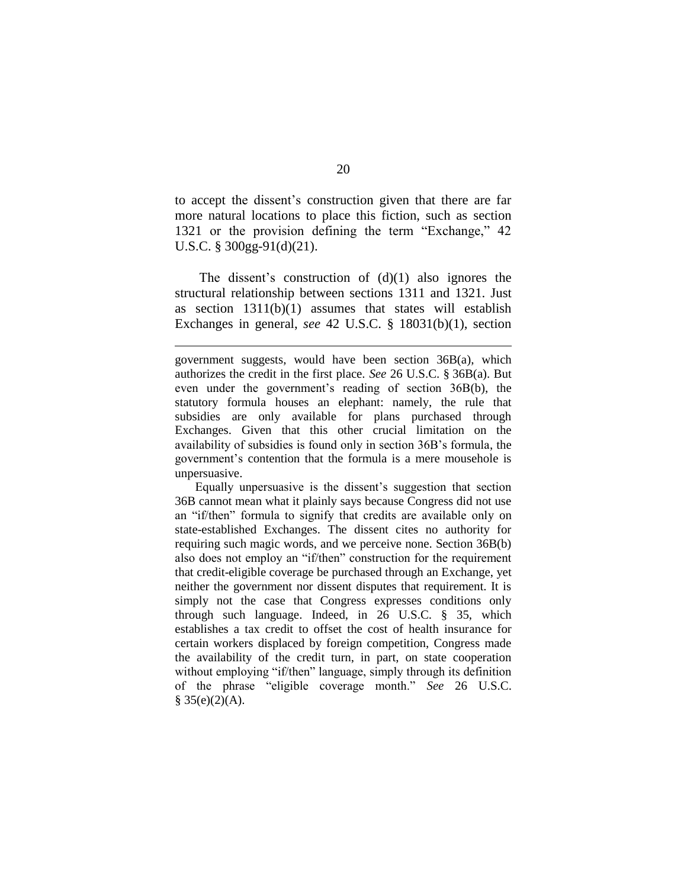to accept the dissent's construction given that there are far more natural locations to place this fiction, such as section 1321 or the provision defining the term "Exchange," 42 U.S.C. § 300gg-91(d)(21).

The dissent's construction of  $(d)(1)$  also ignores the structural relationship between sections 1311 and 1321. Just as section 1311(b)(1) assumes that states will establish Exchanges in general, *see* 42 U.S.C. § 18031(b)(1), section

 $\overline{a}$ 

Equally unpersuasive is the dissent's suggestion that section 36B cannot mean what it plainly says because Congress did not use an "if/then" formula to signify that credits are available only on state-established Exchanges. The dissent cites no authority for requiring such magic words, and we perceive none. Section 36B(b) also does not employ an "if/then" construction for the requirement that credit-eligible coverage be purchased through an Exchange, yet neither the government nor dissent disputes that requirement. It is simply not the case that Congress expresses conditions only through such language. Indeed, in 26 U.S.C. § 35, which establishes a tax credit to offset the cost of health insurance for certain workers displaced by foreign competition, Congress made the availability of the credit turn, in part, on state cooperation without employing "if/then" language, simply through its definition of the phrase "eligible coverage month." *See* 26 U.S.C.  $§ 35(e)(2)(A).$ 

government suggests, would have been section 36B(a), which authorizes the credit in the first place. *See* 26 U.S.C. § 36B(a). But even under the government's reading of section 36B(b), the statutory formula houses an elephant: namely, the rule that subsidies are only available for plans purchased through Exchanges. Given that this other crucial limitation on the availability of subsidies is found only in section 36B's formula, the government's contention that the formula is a mere mousehole is unpersuasive.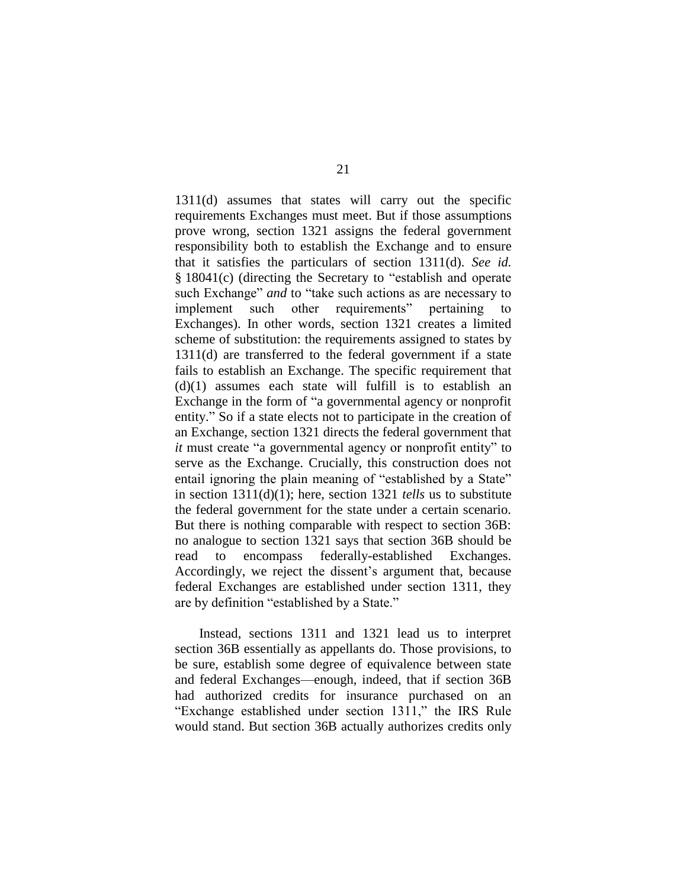1311(d) assumes that states will carry out the specific requirements Exchanges must meet. But if those assumptions prove wrong, section 1321 assigns the federal government responsibility both to establish the Exchange and to ensure that it satisfies the particulars of section 1311(d). *See id.* § 18041(c) (directing the Secretary to "establish and operate such Exchange" *and* to "take such actions as are necessary to implement such other requirements" pertaining to Exchanges). In other words, section 1321 creates a limited scheme of substitution: the requirements assigned to states by 1311(d) are transferred to the federal government if a state fails to establish an Exchange. The specific requirement that  $(d)(1)$  assumes each state will fulfill is to establish an Exchange in the form of "a governmental agency or nonprofit entity." So if a state elects not to participate in the creation of an Exchange, section 1321 directs the federal government that *it* must create "a governmental agency or nonprofit entity" to serve as the Exchange. Crucially, this construction does not entail ignoring the plain meaning of "established by a State" in section 1311(d)(1); here, section 1321 *tells* us to substitute the federal government for the state under a certain scenario. But there is nothing comparable with respect to section 36B: no analogue to section 1321 says that section 36B should be read to encompass federally-established Exchanges. Accordingly, we reject the dissent's argument that, because federal Exchanges are established under section 1311, they are by definition "established by a State."

Instead, sections 1311 and 1321 lead us to interpret section 36B essentially as appellants do. Those provisions, to be sure, establish some degree of equivalence between state and federal Exchanges—enough, indeed, that if section 36B had authorized credits for insurance purchased on an "Exchange established under section 1311," the IRS Rule would stand. But section 36B actually authorizes credits only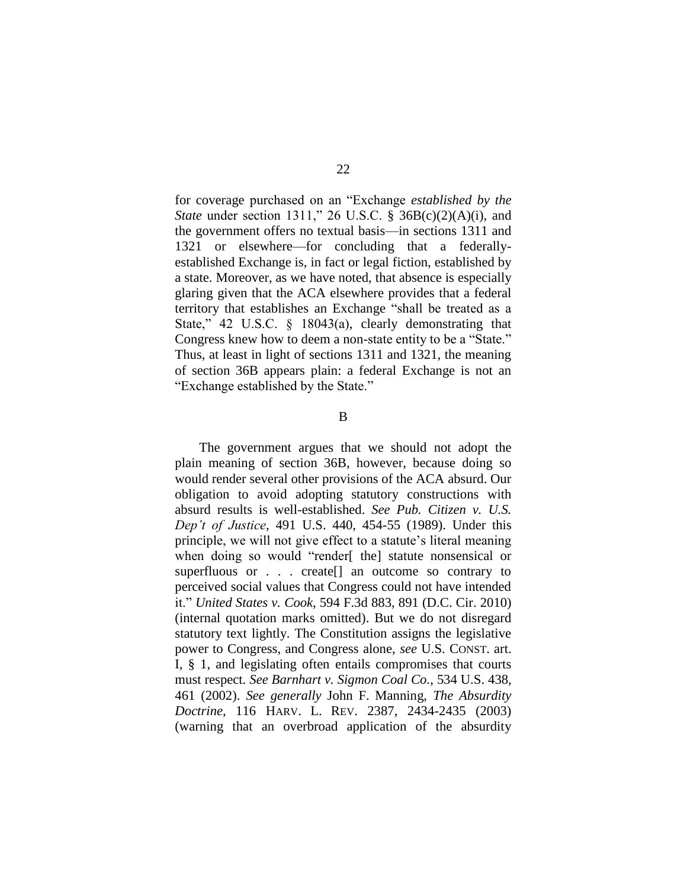for coverage purchased on an "Exchange *established by the State* under section 1311," 26 U.S.C. § 36B(c)(2)(A)(i), and the government offers no textual basis—in sections 1311 and 1321 or elsewhere—for concluding that a federallyestablished Exchange is, in fact or legal fiction, established by a state. Moreover, as we have noted, that absence is especially glaring given that the ACA elsewhere provides that a federal territory that establishes an Exchange "shall be treated as a State," 42 U.S.C. § 18043(a), clearly demonstrating that Congress knew how to deem a non-state entity to be a "State." Thus, at least in light of sections 1311 and 1321, the meaning of section 36B appears plain: a federal Exchange is not an "Exchange established by the State."

B

The government argues that we should not adopt the plain meaning of section 36B, however, because doing so would render several other provisions of the ACA absurd. Our obligation to avoid adopting statutory constructions with absurd results is well-established. *See Pub. Citizen v. U.S. Dep't of Justice*, 491 U.S. 440, 454-55 (1989). Under this principle, we will not give effect to a statute's literal meaning when doing so would "render[ the] statute nonsensical or superfluous or . . . create[] an outcome so contrary to perceived social values that Congress could not have intended it." *United States v. Cook*, 594 F.3d 883, 891 (D.C. Cir. 2010) (internal quotation marks omitted). But we do not disregard statutory text lightly. The Constitution assigns the legislative power to Congress, and Congress alone, *see* U.S. CONST. art. I, § 1, and legislating often entails compromises that courts must respect. *See Barnhart v. Sigmon Coal Co.*, 534 U.S. 438, 461 (2002). *See generally* John F. Manning, *The Absurdity Doctrine*, 116 HARV. L. REV. 2387, 2434-2435 (2003) (warning that an overbroad application of the absurdity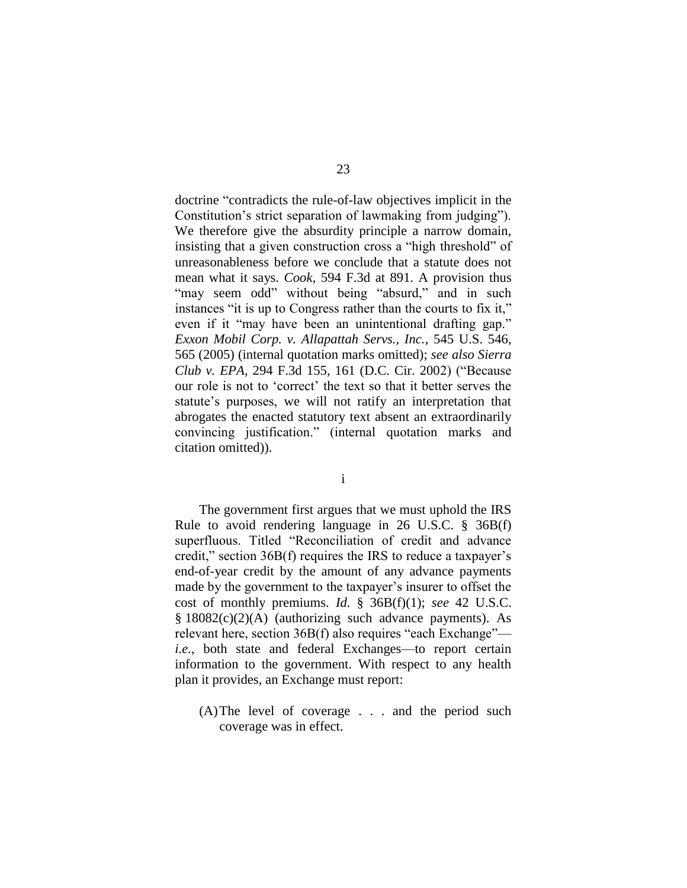doctrine "contradicts the rule-of-law objectives implicit in the Constitution's strict separation of lawmaking from judging"). We therefore give the absurdity principle a narrow domain, insisting that a given construction cross a "high threshold" of unreasonableness before we conclude that a statute does not mean what it says. *Cook*, 594 F.3d at 891. A provision thus "may seem odd" without being "absurd," and in such instances "it is up to Congress rather than the courts to fix it," even if it "may have been an unintentional drafting gap." *Exxon Mobil Corp. v. Allapattah Servs., Inc.*, 545 U.S. 546, 565 (2005) (internal quotation marks omitted); *see also Sierra Club v. EPA*, 294 F.3d 155, 161 (D.C. Cir. 2002) ("Because our role is not to 'correct' the text so that it better serves the statute's purposes, we will not ratify an interpretation that abrogates the enacted statutory text absent an extraordinarily convincing justification." (internal quotation marks and citation omitted)).

i

The government first argues that we must uphold the IRS Rule to avoid rendering language in 26 U.S.C. § 36B(f) superfluous. Titled "Reconciliation of credit and advance credit," section 36B(f) requires the IRS to reduce a taxpayer's end-of-year credit by the amount of any advance payments made by the government to the taxpayer's insurer to offset the cost of monthly premiums. *Id.* § 36B(f)(1); *see* 42 U.S.C.  $§$  18082(c)(2)(A) (authorizing such advance payments). As relevant here, section 36B(f) also requires "each Exchange" *i.e.*, both state and federal Exchanges—to report certain information to the government. With respect to any health plan it provides, an Exchange must report:

(A)The level of coverage . . . and the period such coverage was in effect.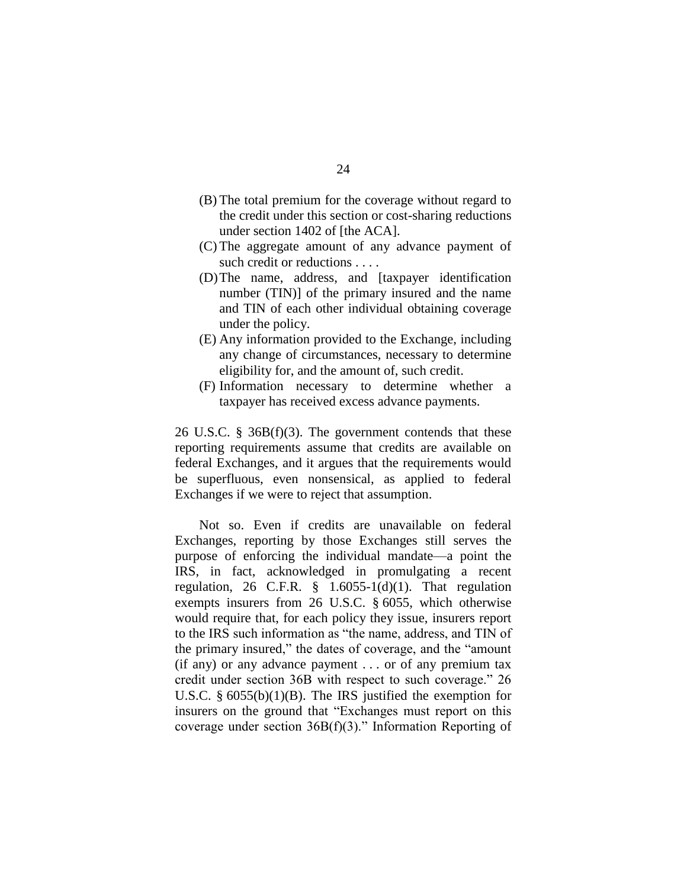- (B) The total premium for the coverage without regard to the credit under this section or cost-sharing reductions under section 1402 of [the ACA].
- (C) The aggregate amount of any advance payment of such credit or reductions . . . .
- (D)The name, address, and [taxpayer identification number (TIN)] of the primary insured and the name and TIN of each other individual obtaining coverage under the policy.
- (E) Any information provided to the Exchange, including any change of circumstances, necessary to determine eligibility for, and the amount of, such credit.
- (F) Information necessary to determine whether a taxpayer has received excess advance payments.

26 U.S.C. § 36B(f)(3). The government contends that these reporting requirements assume that credits are available on federal Exchanges, and it argues that the requirements would be superfluous, even nonsensical, as applied to federal Exchanges if we were to reject that assumption.

Not so. Even if credits are unavailable on federal Exchanges, reporting by those Exchanges still serves the purpose of enforcing the individual mandate—a point the IRS, in fact, acknowledged in promulgating a recent regulation, 26 C.F.R.  $\frac{8}{1.6055}$ -1(d)(1). That regulation exempts insurers from 26 U.S.C. § 6055, which otherwise would require that, for each policy they issue, insurers report to the IRS such information as "the name, address, and TIN of the primary insured," the dates of coverage, and the "amount (if any) or any advance payment . . . or of any premium tax credit under section 36B with respect to such coverage." 26 U.S.C. § 6055(b)(1)(B). The IRS justified the exemption for insurers on the ground that "Exchanges must report on this coverage under section 36B(f)(3)." Information Reporting of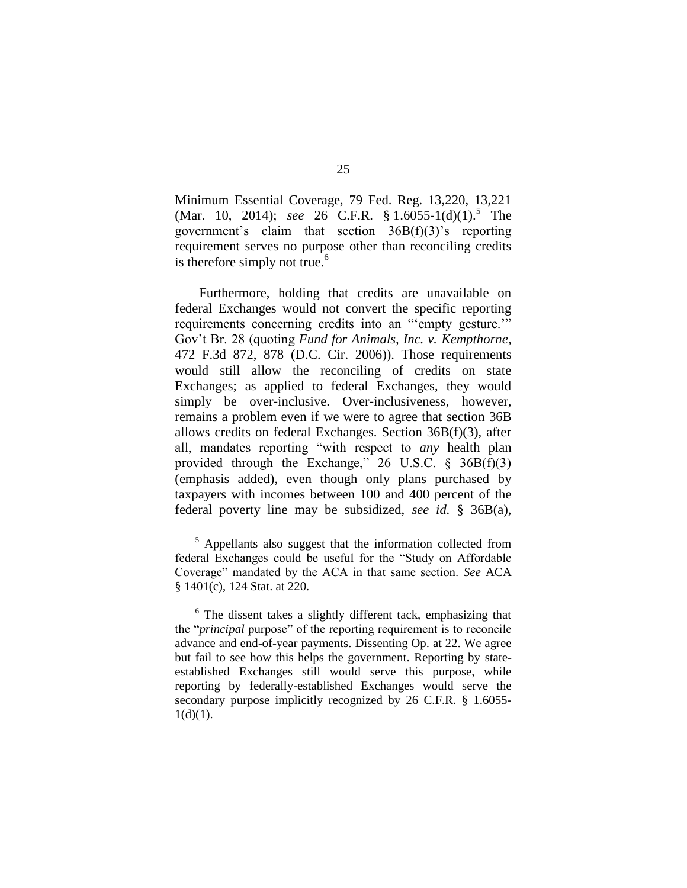Minimum Essential Coverage, 79 Fed. Reg. 13,220, 13,221 (Mar. 10, 2014); *see* 26 C.F.R. § 1.6055-1(d)(1).<sup>5</sup> The government's claim that section  $36B(f)(3)$ 's reporting requirement serves no purpose other than reconciling credits is therefore simply not true. $<sup>6</sup>$ </sup>

Furthermore, holding that credits are unavailable on federal Exchanges would not convert the specific reporting requirements concerning credits into an "'empty gesture.'" Gov't Br. 28 (quoting *Fund for Animals, Inc. v. Kempthorne*, 472 F.3d 872, 878 (D.C. Cir. 2006)). Those requirements would still allow the reconciling of credits on state Exchanges; as applied to federal Exchanges, they would simply be over-inclusive. Over-inclusiveness, however, remains a problem even if we were to agree that section 36B allows credits on federal Exchanges. Section 36B(f)(3), after all, mandates reporting "with respect to *any* health plan provided through the Exchange,"  $26$  U.S.C.  $\frac{6}{9}$  36B(f)(3) (emphasis added), even though only plans purchased by taxpayers with incomes between 100 and 400 percent of the federal poverty line may be subsidized, *see id.* § 36B(a),

 $<sup>5</sup>$  Appellants also suggest that the information collected from</sup> federal Exchanges could be useful for the "Study on Affordable Coverage" mandated by the ACA in that same section. *See* ACA § 1401(c), 124 Stat. at 220.

 $6$  The dissent takes a slightly different tack, emphasizing that the "*principal* purpose" of the reporting requirement is to reconcile advance and end-of-year payments. Dissenting Op. at 22. We agree but fail to see how this helps the government. Reporting by stateestablished Exchanges still would serve this purpose, while reporting by federally-established Exchanges would serve the secondary purpose implicitly recognized by 26 C.F.R. § 1.6055- $1(d)(1)$ .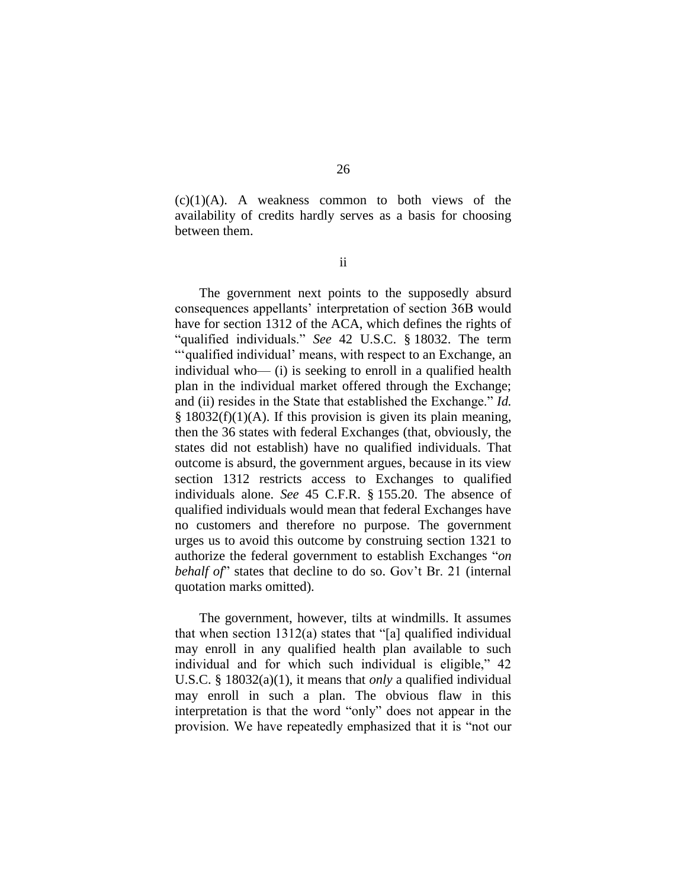$(c)(1)(A)$ . A weakness common to both views of the availability of credits hardly serves as a basis for choosing between them.

ii

The government next points to the supposedly absurd consequences appellants' interpretation of section 36B would have for section 1312 of the ACA, which defines the rights of "qualified individuals." *See* 42 U.S.C. § 18032. The term "'qualified individual' means, with respect to an Exchange, an individual who— (i) is seeking to enroll in a qualified health plan in the individual market offered through the Exchange; and (ii) resides in the State that established the Exchange." *Id.*  $§$  18032(f)(1)(A). If this provision is given its plain meaning, then the 36 states with federal Exchanges (that, obviously, the states did not establish) have no qualified individuals. That outcome is absurd, the government argues, because in its view section 1312 restricts access to Exchanges to qualified individuals alone. *See* 45 C.F.R. § 155.20. The absence of qualified individuals would mean that federal Exchanges have no customers and therefore no purpose. The government urges us to avoid this outcome by construing section 1321 to authorize the federal government to establish Exchanges "*on behalf of*" states that decline to do so. Gov't Br. 21 (internal quotation marks omitted).

The government, however, tilts at windmills. It assumes that when section 1312(a) states that "[a] qualified individual may enroll in any qualified health plan available to such individual and for which such individual is eligible," 42 U.S.C. § 18032(a)(1), it means that *only* a qualified individual may enroll in such a plan. The obvious flaw in this interpretation is that the word "only" does not appear in the provision. We have repeatedly emphasized that it is "not our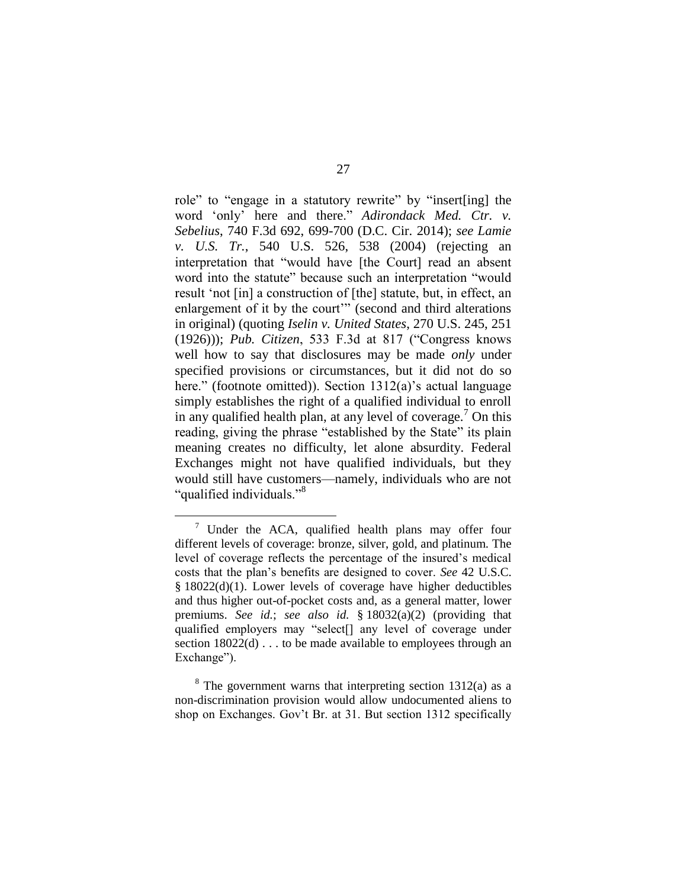role" to "engage in a statutory rewrite" by "insert[ing] the word 'only' here and there." *Adirondack Med. Ctr. v. Sebelius*, 740 F.3d 692, 699-700 (D.C. Cir. 2014); *see Lamie v. U.S. Tr.*, 540 U.S. 526, 538 (2004) (rejecting an interpretation that "would have [the Court] read an absent word into the statute" because such an interpretation "would result 'not [in] a construction of [the] statute, but, in effect, an enlargement of it by the court" (second and third alterations in original) (quoting *Iselin v. United States*, 270 U.S. 245, 251 (1926))); *Pub. Citizen*, 533 F.3d at 817 ("Congress knows well how to say that disclosures may be made *only* under specified provisions or circumstances, but it did not do so here." (footnote omitted)). Section 1312(a)'s actual language simply establishes the right of a qualified individual to enroll in any qualified health plan, at any level of coverage.<sup>7</sup> On this reading, giving the phrase "established by the State" its plain meaning creates no difficulty, let alone absurdity. Federal Exchanges might not have qualified individuals, but they would still have customers—namely, individuals who are not "qualified individuals."<sup>8</sup>

Under the ACA, qualified health plans may offer four different levels of coverage: bronze, silver, gold, and platinum. The level of coverage reflects the percentage of the insured's medical costs that the plan's benefits are designed to cover. *See* 42 U.S.C. § 18022(d)(1). Lower levels of coverage have higher deductibles and thus higher out-of-pocket costs and, as a general matter, lower premiums. *See id.*; *see also id.* § 18032(a)(2) (providing that qualified employers may "select[] any level of coverage under section  $18022(d)$ ... to be made available to employees through an Exchange").

 $8^8$  The government warns that interpreting section 1312(a) as a non-discrimination provision would allow undocumented aliens to shop on Exchanges. Gov't Br. at 31. But section 1312 specifically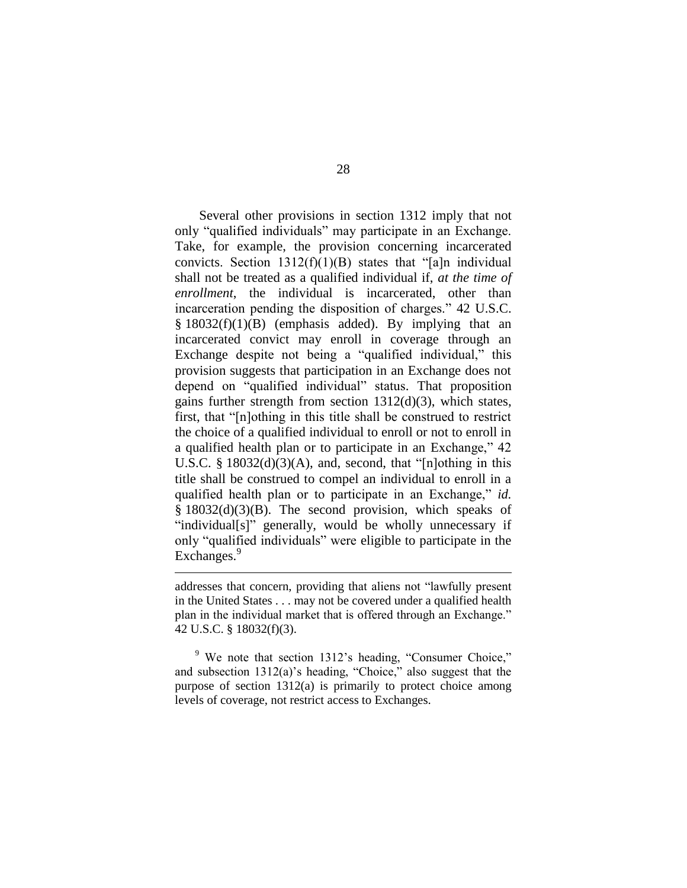Several other provisions in section 1312 imply that not only "qualified individuals" may participate in an Exchange. Take, for example, the provision concerning incarcerated convicts. Section  $1312(f)(1)(B)$  states that "[a]n individual shall not be treated as a qualified individual if, *at the time of enrollment*, the individual is incarcerated, other than incarceration pending the disposition of charges." 42 U.S.C.  $§ 18032(f)(1)(B)$  (emphasis added). By implying that an incarcerated convict may enroll in coverage through an Exchange despite not being a "qualified individual," this provision suggests that participation in an Exchange does not depend on "qualified individual" status. That proposition gains further strength from section 1312(d)(3), which states, first, that "[n]othing in this title shall be construed to restrict the choice of a qualified individual to enroll or not to enroll in a qualified health plan or to participate in an Exchange," 42 U.S.C.  $\S$  18032(d)(3)(A), and, second, that "[n]othing in this title shall be construed to compel an individual to enroll in a qualified health plan or to participate in an Exchange," *id.* § 18032(d)(3)(B). The second provision, which speaks of "individual[s]" generally, would be wholly unnecessary if only "qualified individuals" were eligible to participate in the Exchanges.<sup>9</sup>

addresses that concern, providing that aliens not "lawfully present in the United States . . . may not be covered under a qualified health plan in the individual market that is offered through an Exchange." 42 U.S.C. § 18032(f)(3).

 $\overline{a}$ 

<sup>9</sup> We note that section 1312's heading, "Consumer Choice," and subsection 1312(a)'s heading, "Choice," also suggest that the purpose of section 1312(a) is primarily to protect choice among levels of coverage, not restrict access to Exchanges.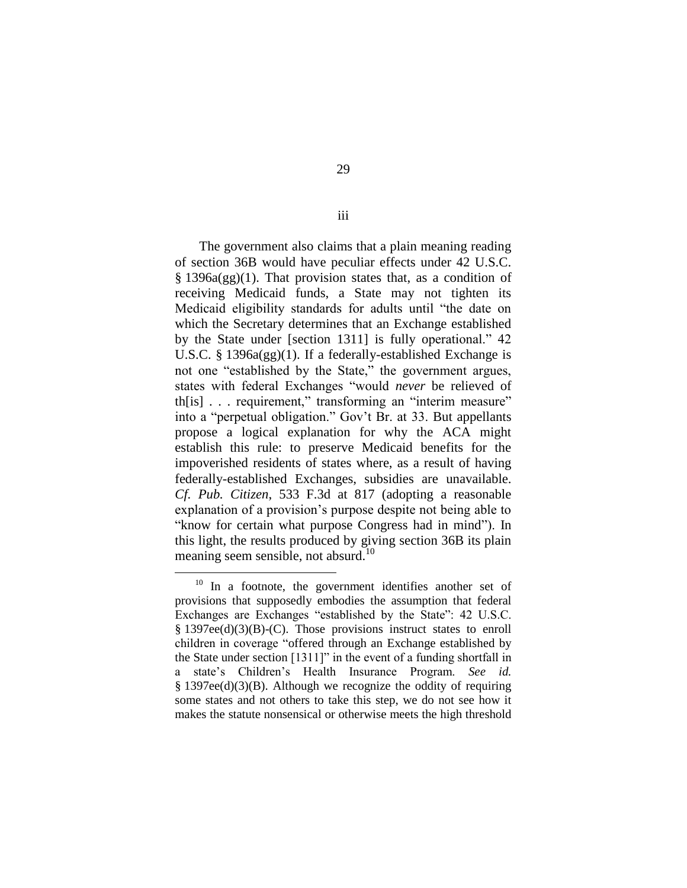The government also claims that a plain meaning reading of section 36B would have peculiar effects under 42 U.S.C. § 1396a(gg)(1). That provision states that, as a condition of receiving Medicaid funds, a State may not tighten its Medicaid eligibility standards for adults until "the date on which the Secretary determines that an Exchange established by the State under [section 1311] is fully operational." 42 U.S.C. § 1396a(gg)(1). If a federally-established Exchange is not one "established by the State," the government argues, states with federal Exchanges "would *never* be relieved of th[is] . . . requirement," transforming an "interim measure" into a "perpetual obligation." Gov't Br. at 33. But appellants propose a logical explanation for why the ACA might establish this rule: to preserve Medicaid benefits for the impoverished residents of states where, as a result of having federally-established Exchanges, subsidies are unavailable. *Cf. Pub. Citizen*, 533 F.3d at 817 (adopting a reasonable explanation of a provision's purpose despite not being able to "know for certain what purpose Congress had in mind"). In this light, the results produced by giving section 36B its plain meaning seem sensible, not absurd.<sup>10</sup>

 $\overline{a}$ 

iii

<sup>&</sup>lt;sup>10</sup> In a footnote, the government identifies another set of provisions that supposedly embodies the assumption that federal Exchanges are Exchanges "established by the State": 42 U.S.C. § 1397ee(d)(3)(B)-(C). Those provisions instruct states to enroll children in coverage "offered through an Exchange established by the State under section [1311]" in the event of a funding shortfall in a state's Children's Health Insurance Program. *See id.* § 1397ee(d)(3)(B). Although we recognize the oddity of requiring some states and not others to take this step, we do not see how it makes the statute nonsensical or otherwise meets the high threshold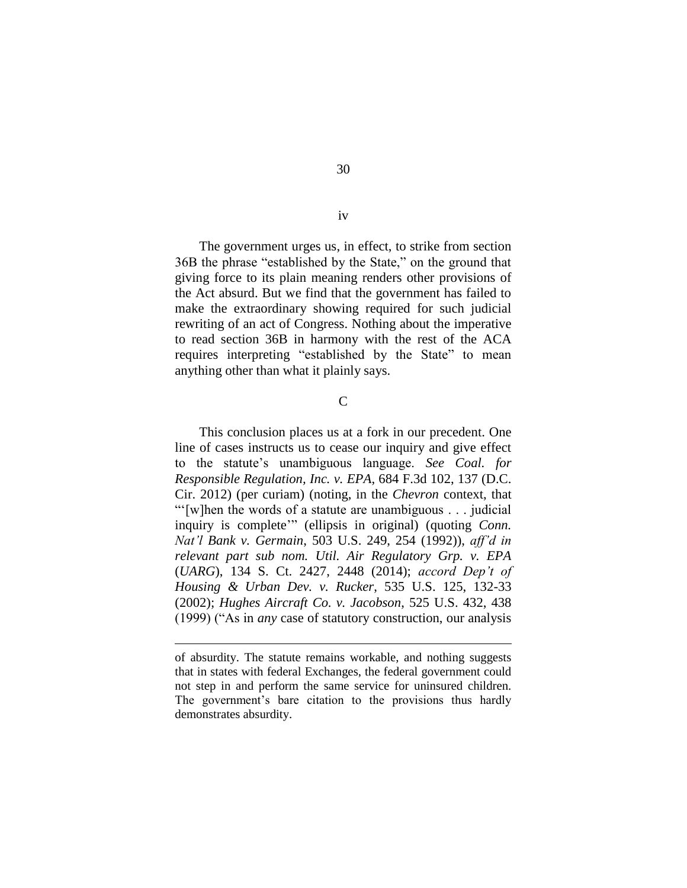30

iv

The government urges us, in effect, to strike from section 36B the phrase "established by the State," on the ground that giving force to its plain meaning renders other provisions of the Act absurd. But we find that the government has failed to make the extraordinary showing required for such judicial rewriting of an act of Congress. Nothing about the imperative to read section 36B in harmony with the rest of the ACA requires interpreting "established by the State" to mean anything other than what it plainly says.

 $\overline{C}$ 

This conclusion places us at a fork in our precedent. One line of cases instructs us to cease our inquiry and give effect to the statute's unambiguous language. *See Coal. for Responsible Regulation, Inc. v. EPA*, 684 F.3d 102, 137 (D.C. Cir. 2012) (per curiam) (noting, in the *Chevron* context, that "'[w]hen the words of a statute are unambiguous . . . judicial inquiry is complete'" (ellipsis in original) (quoting *Conn. Nat'l Bank v. Germain*, 503 U.S. 249, 254 (1992)), *aff'd in relevant part sub nom. Util. Air Regulatory Grp. v. EPA* (*UARG*), 134 S. Ct. 2427, 2448 (2014); *accord Dep't of Housing & Urban Dev. v. Rucker*, 535 U.S. 125, 132-33 (2002); *Hughes Aircraft Co. v. Jacobson*, 525 U.S. 432, 438 (1999) ("As in *any* case of statutory construction, our analysis

of absurdity. The statute remains workable, and nothing suggests that in states with federal Exchanges, the federal government could not step in and perform the same service for uninsured children. The government's bare citation to the provisions thus hardly demonstrates absurdity.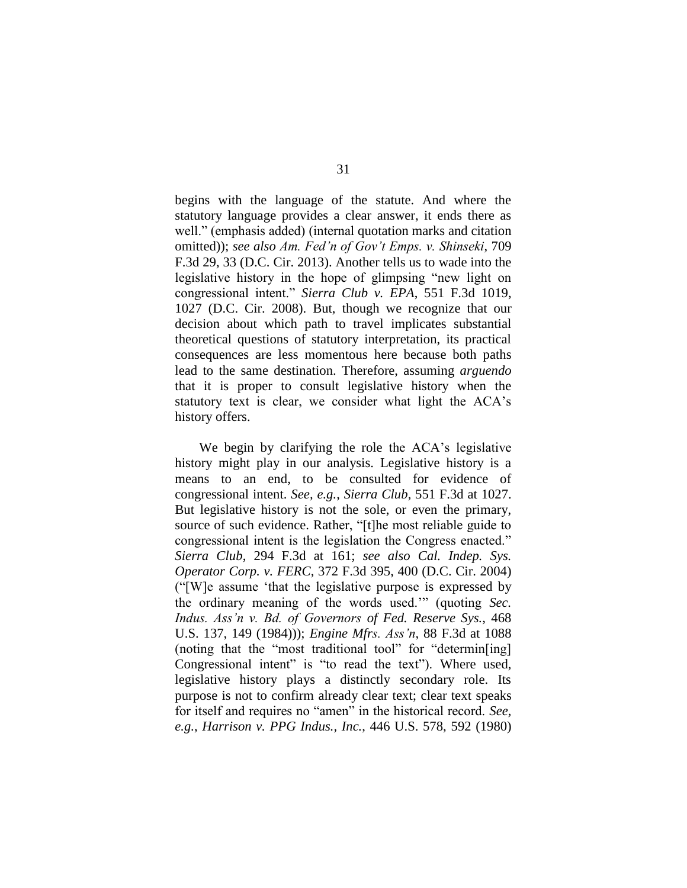begins with the language of the statute. And where the statutory language provides a clear answer, it ends there as well." (emphasis added) (internal quotation marks and citation omitted)); *see also Am. Fed'n of Gov't Emps. v. Shinseki*, 709 F.3d 29, 33 (D.C. Cir. 2013). Another tells us to wade into the legislative history in the hope of glimpsing "new light on congressional intent." *Sierra Club v. EPA*, 551 F.3d 1019, 1027 (D.C. Cir. 2008). But, though we recognize that our decision about which path to travel implicates substantial theoretical questions of statutory interpretation, its practical consequences are less momentous here because both paths lead to the same destination. Therefore, assuming *arguendo* that it is proper to consult legislative history when the statutory text is clear, we consider what light the ACA's history offers.

We begin by clarifying the role the ACA's legislative history might play in our analysis. Legislative history is a means to an end, to be consulted for evidence of congressional intent. *See, e.g.*, *Sierra Club*, 551 F.3d at 1027. But legislative history is not the sole, or even the primary, source of such evidence. Rather, "[t]he most reliable guide to congressional intent is the legislation the Congress enacted." *Sierra Club*, 294 F.3d at 161; *see also Cal. Indep. Sys. Operator Corp. v. FERC*, 372 F.3d 395, 400 (D.C. Cir. 2004) ("[W]e assume 'that the legislative purpose is expressed by the ordinary meaning of the words used.'" (quoting *Sec. Indus. Ass'n v. Bd. of Governors of Fed. Reserve Sys.*, 468 U.S. 137, 149 (1984))); *Engine Mfrs. Ass'n*, 88 F.3d at 1088 (noting that the "most traditional tool" for "determin[ing] Congressional intent" is "to read the text"). Where used, legislative history plays a distinctly secondary role. Its purpose is not to confirm already clear text; clear text speaks for itself and requires no "amen" in the historical record. *See, e.g.*, *Harrison v. PPG Indus., Inc.*, 446 U.S. 578, 592 (1980)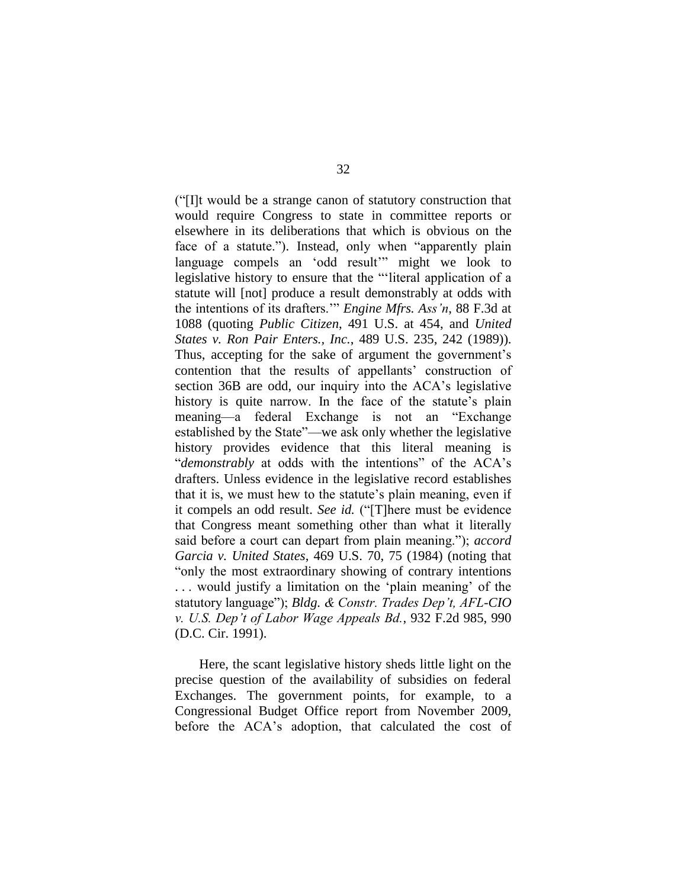("[I]t would be a strange canon of statutory construction that would require Congress to state in committee reports or elsewhere in its deliberations that which is obvious on the face of a statute."). Instead, only when "apparently plain language compels an 'odd result'" might we look to legislative history to ensure that the "'literal application of a statute will [not] produce a result demonstrably at odds with the intentions of its drafters.'" *Engine Mfrs. Ass'n*, 88 F.3d at 1088 (quoting *Public Citizen*, 491 U.S. at 454, and *United States v. Ron Pair Enters., Inc.*, 489 U.S. 235, 242 (1989)). Thus, accepting for the sake of argument the government's contention that the results of appellants' construction of section 36B are odd, our inquiry into the ACA's legislative history is quite narrow. In the face of the statute's plain meaning—a federal Exchange is not an "Exchange established by the State"—we ask only whether the legislative history provides evidence that this literal meaning is "*demonstrably* at odds with the intentions" of the ACA's drafters. Unless evidence in the legislative record establishes that it is, we must hew to the statute's plain meaning, even if it compels an odd result. *See id.* ("[T]here must be evidence that Congress meant something other than what it literally said before a court can depart from plain meaning."); *accord Garcia v. United States*, 469 U.S. 70, 75 (1984) (noting that "only the most extraordinary showing of contrary intentions . . . would justify a limitation on the 'plain meaning' of the statutory language"); *Bldg. & Constr. Trades Dep't, AFL-CIO v. U.S. Dep't of Labor Wage Appeals Bd.*, 932 F.2d 985, 990 (D.C. Cir. 1991).

Here, the scant legislative history sheds little light on the precise question of the availability of subsidies on federal Exchanges. The government points, for example, to a Congressional Budget Office report from November 2009, before the ACA's adoption, that calculated the cost of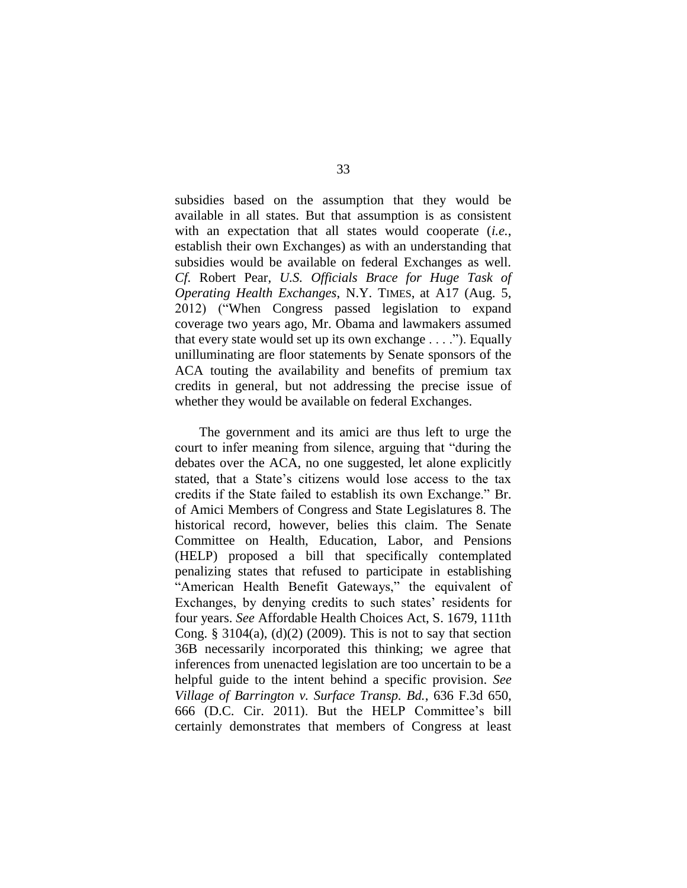subsidies based on the assumption that they would be available in all states. But that assumption is as consistent with an expectation that all states would cooperate (*i.e.*, establish their own Exchanges) as with an understanding that subsidies would be available on federal Exchanges as well. *Cf.* Robert Pear, *U.S. Officials Brace for Huge Task of Operating Health Exchanges*, N.Y. TIMES, at A17 (Aug. 5, 2012) ("When Congress passed legislation to expand coverage two years ago, Mr. Obama and lawmakers assumed that every state would set up its own exchange . . . ."). Equally unilluminating are floor statements by Senate sponsors of the ACA touting the availability and benefits of premium tax credits in general, but not addressing the precise issue of whether they would be available on federal Exchanges.

The government and its amici are thus left to urge the court to infer meaning from silence, arguing that "during the debates over the ACA, no one suggested, let alone explicitly stated, that a State's citizens would lose access to the tax credits if the State failed to establish its own Exchange." Br. of Amici Members of Congress and State Legislatures 8. The historical record, however, belies this claim. The Senate Committee on Health, Education, Labor, and Pensions (HELP) proposed a bill that specifically contemplated penalizing states that refused to participate in establishing "American Health Benefit Gateways," the equivalent of Exchanges, by denying credits to such states' residents for four years. *See* Affordable Health Choices Act, S. 1679, 111th Cong. § 3104(a),  $(d)(2)$  (2009). This is not to say that section 36B necessarily incorporated this thinking; we agree that inferences from unenacted legislation are too uncertain to be a helpful guide to the intent behind a specific provision. *See Village of Barrington v. Surface Transp. Bd.*, 636 F.3d 650, 666 (D.C. Cir. 2011). But the HELP Committee's bill certainly demonstrates that members of Congress at least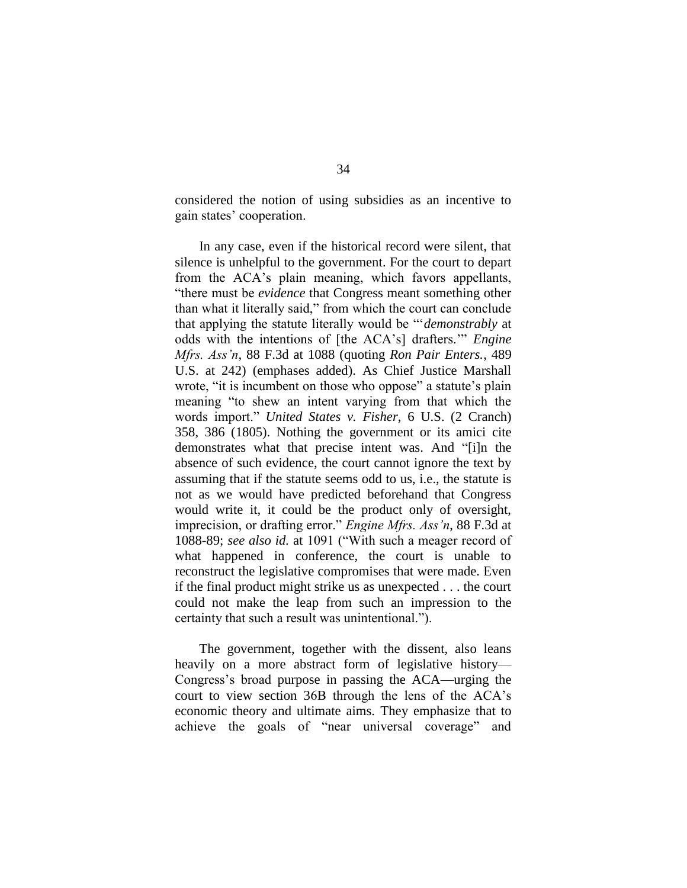considered the notion of using subsidies as an incentive to gain states' cooperation.

In any case, even if the historical record were silent, that silence is unhelpful to the government. For the court to depart from the ACA's plain meaning, which favors appellants, "there must be *evidence* that Congress meant something other than what it literally said," from which the court can conclude that applying the statute literally would be "'*demonstrably* at odds with the intentions of [the ACA's] drafters.'" *Engine Mfrs. Ass'n*, 88 F.3d at 1088 (quoting *Ron Pair Enters.*, 489 U.S. at 242) (emphases added). As Chief Justice Marshall wrote, "it is incumbent on those who oppose" a statute's plain meaning "to shew an intent varying from that which the words import." *United States v. Fisher*, 6 U.S. (2 Cranch) 358, 386 (1805). Nothing the government or its amici cite demonstrates what that precise intent was. And "[i]n the absence of such evidence, the court cannot ignore the text by assuming that if the statute seems odd to us, i.e., the statute is not as we would have predicted beforehand that Congress would write it, it could be the product only of oversight, imprecision, or drafting error." *Engine Mfrs. Ass'n*, 88 F.3d at 1088-89; *see also id.* at 1091 ("With such a meager record of what happened in conference, the court is unable to reconstruct the legislative compromises that were made. Even if the final product might strike us as unexpected . . . the court could not make the leap from such an impression to the certainty that such a result was unintentional.").

The government, together with the dissent, also leans heavily on a more abstract form of legislative history— Congress's broad purpose in passing the ACA—urging the court to view section 36B through the lens of the ACA's economic theory and ultimate aims. They emphasize that to achieve the goals of "near universal coverage" and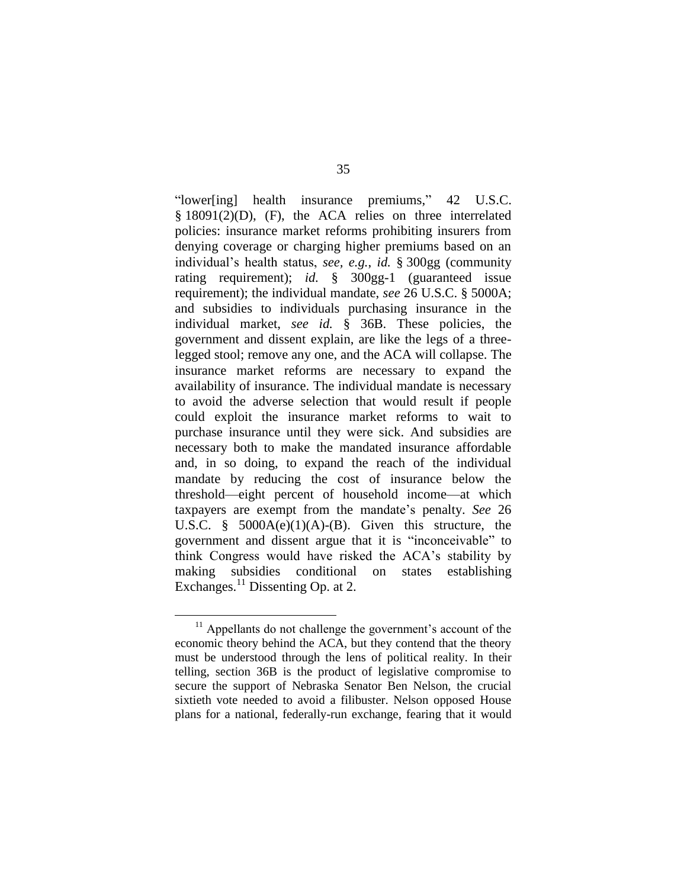"lower[ing] health insurance premiums," 42 U.S.C. § 18091(2)(D), (F), the ACA relies on three interrelated policies: insurance market reforms prohibiting insurers from denying coverage or charging higher premiums based on an individual's health status, *see, e.g.*, *id.* § 300gg (community rating requirement); *id.* § 300gg-1 (guaranteed issue requirement); the individual mandate, *see* 26 U.S.C. § 5000A; and subsidies to individuals purchasing insurance in the individual market, *see id.* § 36B. These policies, the government and dissent explain, are like the legs of a threelegged stool; remove any one, and the ACA will collapse. The insurance market reforms are necessary to expand the availability of insurance. The individual mandate is necessary to avoid the adverse selection that would result if people could exploit the insurance market reforms to wait to purchase insurance until they were sick. And subsidies are necessary both to make the mandated insurance affordable and, in so doing, to expand the reach of the individual mandate by reducing the cost of insurance below the threshold—eight percent of household income—at which taxpayers are exempt from the mandate's penalty. *See* 26 U.S.C. §  $5000A(e)(1)(A)-(B)$ . Given this structure, the government and dissent argue that it is "inconceivable" to think Congress would have risked the ACA's stability by making subsidies conditional on states establishing Exchanges.<sup>11</sup> Dissenting Op. at 2.

 $11$  Appellants do not challenge the government's account of the economic theory behind the ACA, but they contend that the theory must be understood through the lens of political reality. In their telling, section 36B is the product of legislative compromise to secure the support of Nebraska Senator Ben Nelson, the crucial sixtieth vote needed to avoid a filibuster. Nelson opposed House plans for a national, federally-run exchange, fearing that it would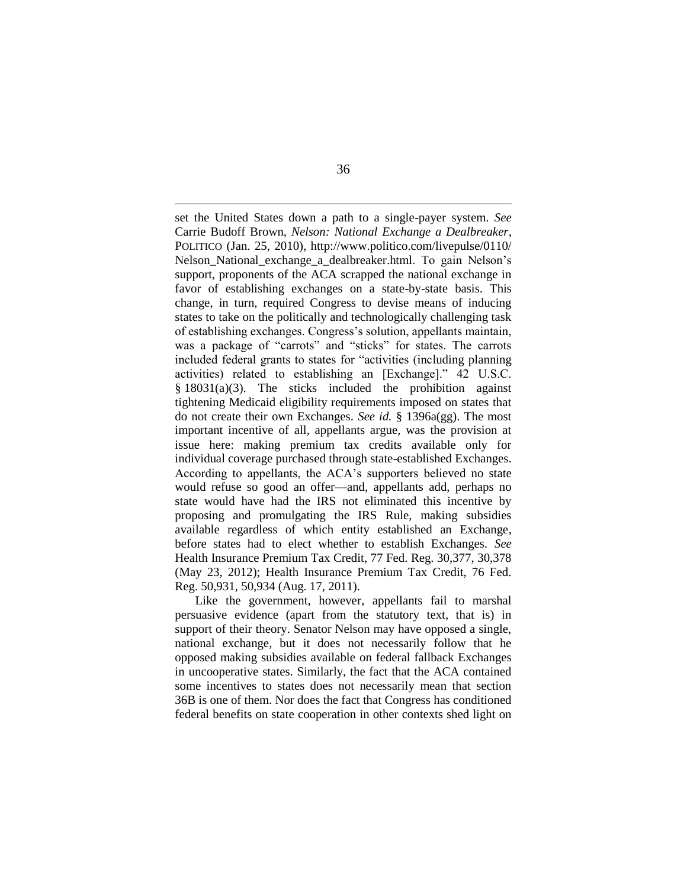set the United States down a path to a single-payer system. *See*  Carrie Budoff Brown, *Nelson: National Exchange a Dealbreaker*, POLITICO (Jan. 25, 2010), http://www.politico.com/livepulse/0110/ Nelson National exchange a dealbreaker.html. To gain Nelson's support, proponents of the ACA scrapped the national exchange in favor of establishing exchanges on a state-by-state basis. This change, in turn, required Congress to devise means of inducing states to take on the politically and technologically challenging task of establishing exchanges. Congress's solution, appellants maintain, was a package of "carrots" and "sticks" for states. The carrots included federal grants to states for "activities (including planning activities) related to establishing an [Exchange]." 42 U.S.C. § 18031(a)(3). The sticks included the prohibition against tightening Medicaid eligibility requirements imposed on states that do not create their own Exchanges. *See id.* § 1396a(gg). The most important incentive of all, appellants argue, was the provision at issue here: making premium tax credits available only for individual coverage purchased through state-established Exchanges. According to appellants, the ACA's supporters believed no state would refuse so good an offer—and, appellants add, perhaps no state would have had the IRS not eliminated this incentive by proposing and promulgating the IRS Rule, making subsidies available regardless of which entity established an Exchange, before states had to elect whether to establish Exchanges. *See*  Health Insurance Premium Tax Credit, 77 Fed. Reg. 30,377, 30,378 (May 23, 2012); Health Insurance Premium Tax Credit, 76 Fed. Reg. 50,931, 50,934 (Aug. 17, 2011).

Like the government, however, appellants fail to marshal persuasive evidence (apart from the statutory text, that is) in support of their theory. Senator Nelson may have opposed a single, national exchange, but it does not necessarily follow that he opposed making subsidies available on federal fallback Exchanges in uncooperative states. Similarly, the fact that the ACA contained some incentives to states does not necessarily mean that section 36B is one of them. Nor does the fact that Congress has conditioned federal benefits on state cooperation in other contexts shed light on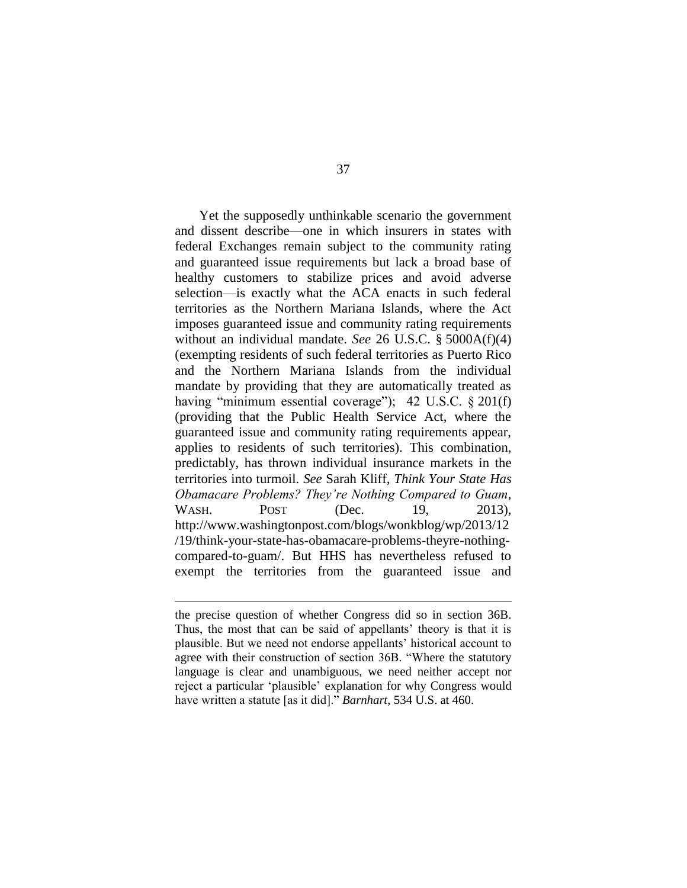Yet the supposedly unthinkable scenario the government and dissent describe—one in which insurers in states with federal Exchanges remain subject to the community rating and guaranteed issue requirements but lack a broad base of healthy customers to stabilize prices and avoid adverse selection—is exactly what the ACA enacts in such federal territories as the Northern Mariana Islands, where the Act imposes guaranteed issue and community rating requirements without an individual mandate. *See* 26 U.S.C. § 5000A(f)(4) (exempting residents of such federal territories as Puerto Rico and the Northern Mariana Islands from the individual mandate by providing that they are automatically treated as having "minimum essential coverage"); 42 U.S.C. § 201(f) (providing that the Public Health Service Act, where the guaranteed issue and community rating requirements appear, applies to residents of such territories). This combination, predictably, has thrown individual insurance markets in the territories into turmoil. *See* Sarah Kliff, *Think Your State Has Obamacare Problems? They're Nothing Compared to Guam*, WASH. POST (Dec. 19, 2013), http://www.washingtonpost.com/blogs/wonkblog/wp/2013/12 /19/think-your-state-has-obamacare-problems-theyre-nothingcompared-to-guam/. But HHS has nevertheless refused to exempt the territories from the guaranteed issue and

 $\overline{a}$ 

the precise question of whether Congress did so in section 36B. Thus, the most that can be said of appellants' theory is that it is plausible. But we need not endorse appellants' historical account to agree with their construction of section 36B. "Where the statutory language is clear and unambiguous, we need neither accept nor reject a particular 'plausible' explanation for why Congress would have written a statute [as it did]." *Barnhart*, 534 U.S. at 460.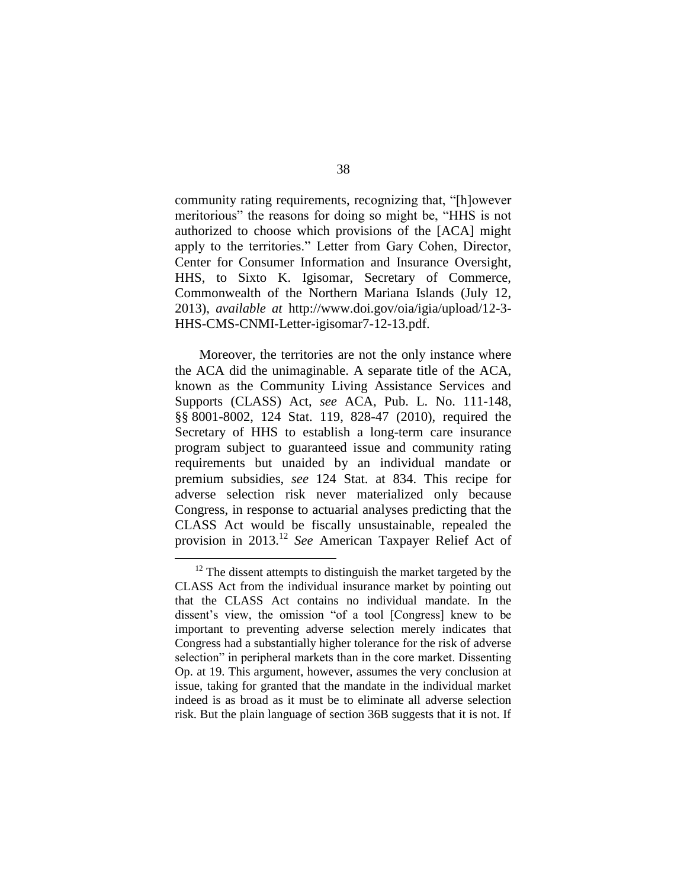community rating requirements, recognizing that, "[h]owever meritorious" the reasons for doing so might be, "HHS is not authorized to choose which provisions of the [ACA] might apply to the territories." Letter from Gary Cohen, Director, Center for Consumer Information and Insurance Oversight, HHS, to Sixto K. Igisomar, Secretary of Commerce, Commonwealth of the Northern Mariana Islands (July 12, 2013), *available at* http://www.doi.gov/oia/igia/upload/12-3- HHS-CMS-CNMI-Letter-igisomar7-12-13.pdf.

Moreover, the territories are not the only instance where the ACA did the unimaginable. A separate title of the ACA, known as the Community Living Assistance Services and Supports (CLASS) Act, *see* ACA, Pub. L. No. 111-148, §§ 8001-8002, 124 Stat. 119, 828-47 (2010), required the Secretary of HHS to establish a long-term care insurance program subject to guaranteed issue and community rating requirements but unaided by an individual mandate or premium subsidies, *see* 124 Stat. at 834. This recipe for adverse selection risk never materialized only because Congress, in response to actuarial analyses predicting that the CLASS Act would be fiscally unsustainable, repealed the provision in 2013.<sup>12</sup> *See* American Taxpayer Relief Act of

 $\overline{a}$ 

 $12$  The dissent attempts to distinguish the market targeted by the CLASS Act from the individual insurance market by pointing out that the CLASS Act contains no individual mandate. In the dissent's view, the omission "of a tool [Congress] knew to be important to preventing adverse selection merely indicates that Congress had a substantially higher tolerance for the risk of adverse selection" in peripheral markets than in the core market. Dissenting Op. at 19. This argument, however, assumes the very conclusion at issue, taking for granted that the mandate in the individual market indeed is as broad as it must be to eliminate all adverse selection risk. But the plain language of section 36B suggests that it is not. If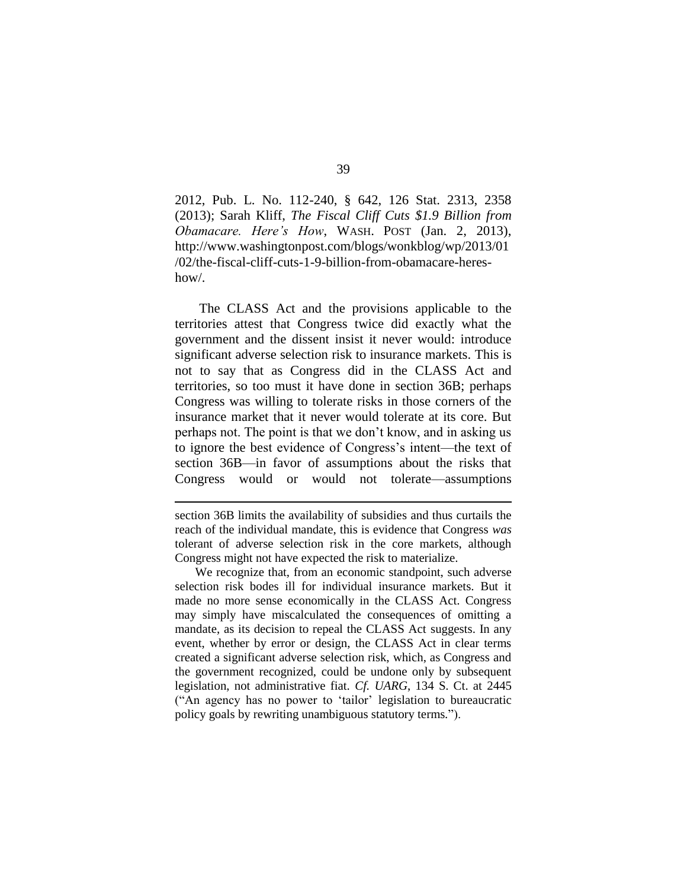2012, Pub. L. No. 112-240, § 642, 126 Stat. 2313, 2358 (2013); Sarah Kliff, *The Fiscal Cliff Cuts \$1.9 Billion from Obamacare. Here's How*, WASH. POST (Jan. 2, 2013), http://www.washingtonpost.com/blogs/wonkblog/wp/2013/01 /02/the-fiscal-cliff-cuts-1-9-billion-from-obamacare-hereshow/.

The CLASS Act and the provisions applicable to the territories attest that Congress twice did exactly what the government and the dissent insist it never would: introduce significant adverse selection risk to insurance markets. This is not to say that as Congress did in the CLASS Act and territories, so too must it have done in section 36B; perhaps Congress was willing to tolerate risks in those corners of the insurance market that it never would tolerate at its core. But perhaps not. The point is that we don't know, and in asking us to ignore the best evidence of Congress's intent—the text of section 36B—in favor of assumptions about the risks that Congress would or would not tolerate—assumptions

 $\overline{a}$ 

We recognize that, from an economic standpoint, such adverse selection risk bodes ill for individual insurance markets. But it made no more sense economically in the CLASS Act. Congress may simply have miscalculated the consequences of omitting a mandate, as its decision to repeal the CLASS Act suggests. In any event, whether by error or design, the CLASS Act in clear terms created a significant adverse selection risk, which, as Congress and the government recognized, could be undone only by subsequent legislation, not administrative fiat. *Cf. UARG*, 134 S. Ct. at 2445 ("An agency has no power to 'tailor' legislation to bureaucratic policy goals by rewriting unambiguous statutory terms.").

section 36B limits the availability of subsidies and thus curtails the reach of the individual mandate, this is evidence that Congress *was*  tolerant of adverse selection risk in the core markets, although Congress might not have expected the risk to materialize.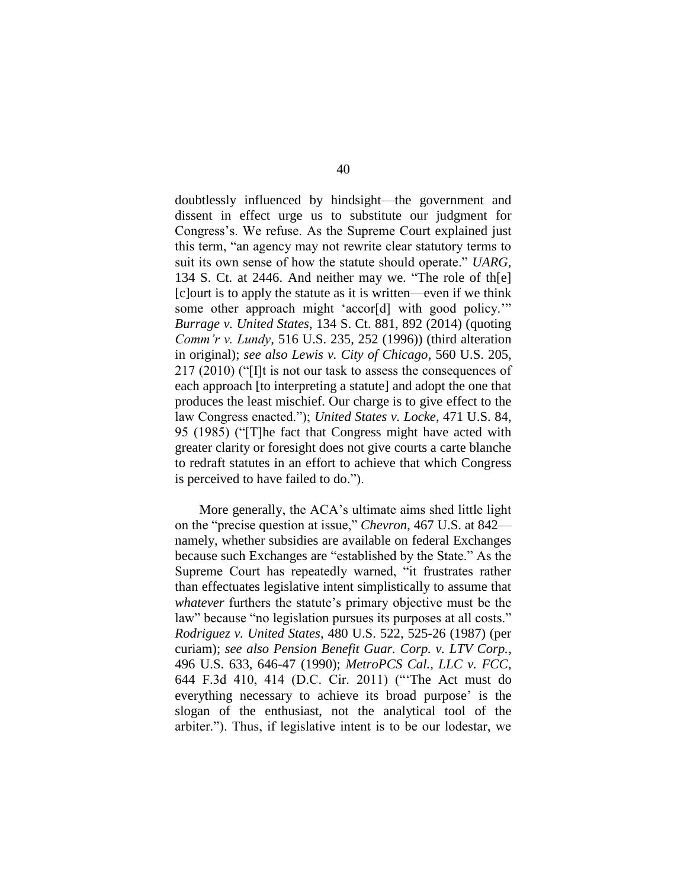doubtlessly influenced by hindsight—the government and dissent in effect urge us to substitute our judgment for Congress's. We refuse. As the Supreme Court explained just this term, "an agency may not rewrite clear statutory terms to suit its own sense of how the statute should operate." *UARG*, 134 S. Ct. at 2446. And neither may we. "The role of th[e] [c]ourt is to apply the statute as it is written—even if we think some other approach might 'accor[d] with good policy.'" *Burrage v. United States*, 134 S. Ct. 881, 892 (2014) (quoting *Comm'r v. Lundy*, 516 U.S. 235, 252 (1996)) (third alteration in original); *see also Lewis v. City of Chicago*, 560 U.S. 205, 217 (2010) ("[I]t is not our task to assess the consequences of each approach [to interpreting a statute] and adopt the one that produces the least mischief. Our charge is to give effect to the law Congress enacted."); *United States v. Locke*, 471 U.S. 84, 95 (1985) ("[T]he fact that Congress might have acted with greater clarity or foresight does not give courts a carte blanche to redraft statutes in an effort to achieve that which Congress is perceived to have failed to do.").

More generally, the ACA's ultimate aims shed little light on the "precise question at issue," *Chevron*, 467 U.S. at 842 namely, whether subsidies are available on federal Exchanges because such Exchanges are "established by the State." As the Supreme Court has repeatedly warned, "it frustrates rather than effectuates legislative intent simplistically to assume that *whatever* furthers the statute's primary objective must be the law" because "no legislation pursues its purposes at all costs." *Rodriguez v. United States*, 480 U.S. 522, 525-26 (1987) (per curiam); *see also Pension Benefit Guar. Corp. v. LTV Corp.*, 496 U.S. 633, 646-47 (1990); *MetroPCS Cal., LLC v. FCC*, 644 F.3d 410, 414 (D.C. Cir. 2011) ("'The Act must do everything necessary to achieve its broad purpose' is the slogan of the enthusiast, not the analytical tool of the arbiter."). Thus, if legislative intent is to be our lodestar, we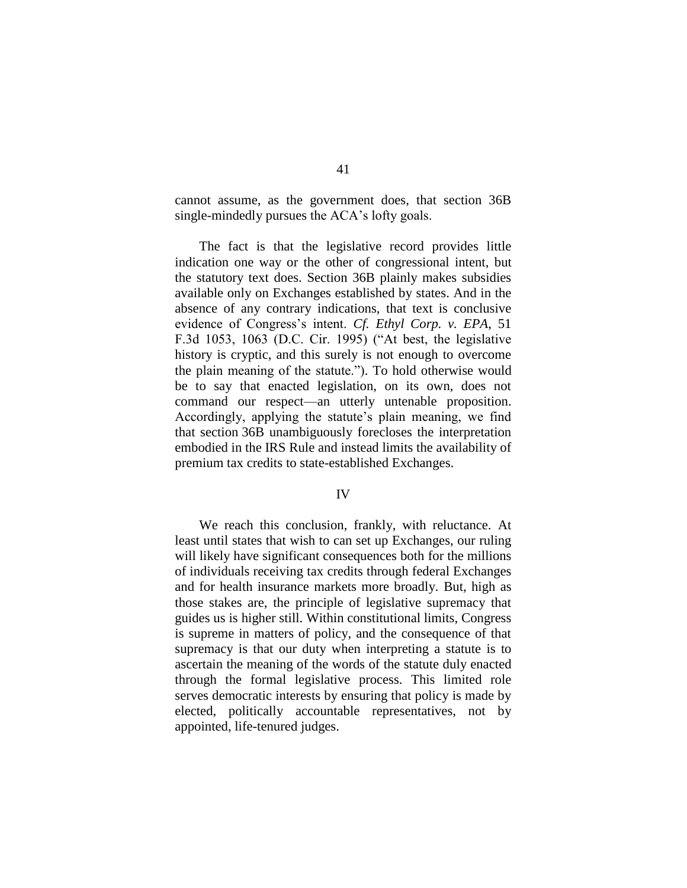cannot assume, as the government does, that section 36B single-mindedly pursues the ACA's lofty goals.

The fact is that the legislative record provides little indication one way or the other of congressional intent, but the statutory text does. Section 36B plainly makes subsidies available only on Exchanges established by states. And in the absence of any contrary indications, that text is conclusive evidence of Congress's intent. *Cf. Ethyl Corp. v. EPA*, 51 F.3d 1053, 1063 (D.C. Cir. 1995) ("At best, the legislative history is cryptic, and this surely is not enough to overcome the plain meaning of the statute."). To hold otherwise would be to say that enacted legislation, on its own, does not command our respect—an utterly untenable proposition. Accordingly, applying the statute's plain meaning, we find that section 36B unambiguously forecloses the interpretation embodied in the IRS Rule and instead limits the availability of premium tax credits to state-established Exchanges.

### IV

We reach this conclusion, frankly, with reluctance. At least until states that wish to can set up Exchanges, our ruling will likely have significant consequences both for the millions of individuals receiving tax credits through federal Exchanges and for health insurance markets more broadly. But, high as those stakes are, the principle of legislative supremacy that guides us is higher still. Within constitutional limits, Congress is supreme in matters of policy, and the consequence of that supremacy is that our duty when interpreting a statute is to ascertain the meaning of the words of the statute duly enacted through the formal legislative process. This limited role serves democratic interests by ensuring that policy is made by elected, politically accountable representatives, not by appointed, life-tenured judges.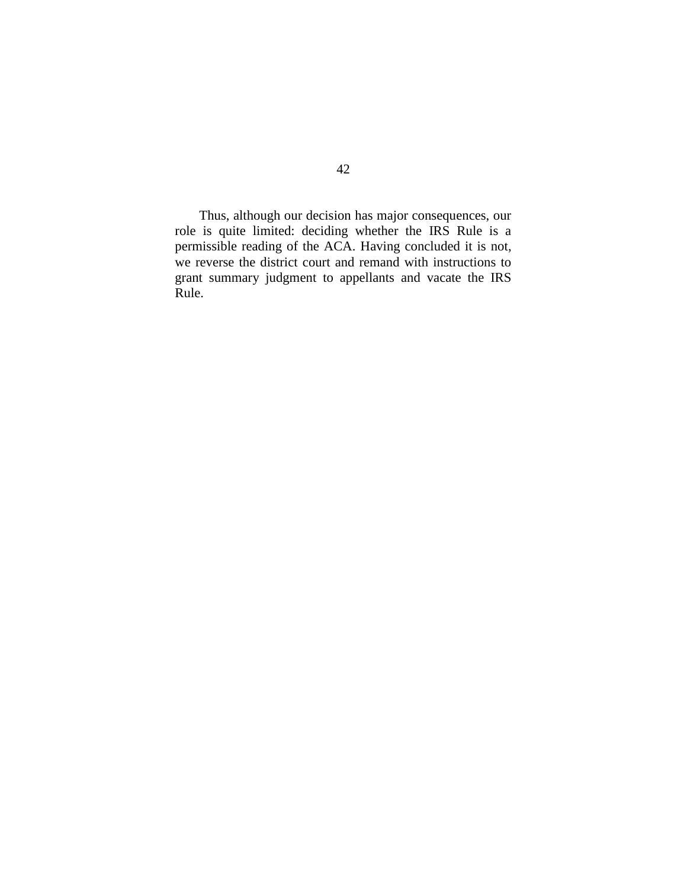Thus, although our decision has major consequences, our role is quite limited: deciding whether the IRS Rule is a permissible reading of the ACA. Having concluded it is not, we reverse the district court and remand with instructions to grant summary judgment to appellants and vacate the IRS Rule.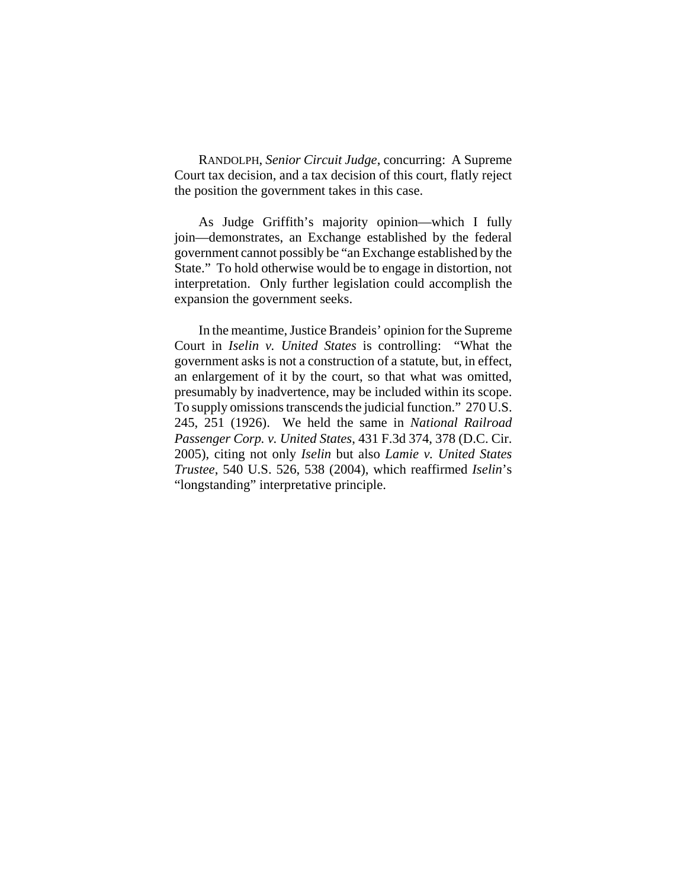RANDOLPH, *Senior Circuit Judge*, concurring: A Supreme Court tax decision, and a tax decision of this court, flatly reject the position the government takes in this case.

As Judge Griffith's majority opinion—which I fully join—demonstrates, an Exchange established by the federal government cannot possibly be "an Exchange established by the State." To hold otherwise would be to engage in distortion, not interpretation. Only further legislation could accomplish the expansion the government seeks.

In the meantime, Justice Brandeis' opinion for the Supreme Court in *Iselin v. United States* is controlling: "What the government asks is not a construction of a statute, but, in effect, an enlargement of it by the court, so that what was omitted, presumably by inadvertence, may be included within its scope. To supply omissions transcends the judicial function." 270 U.S. 245, 251 (1926). We held the same in *National Railroad Passenger Corp. v. United States*, 431 F.3d 374, 378 (D.C. Cir. 2005), citing not only *Iselin* but also *Lamie v. United States Trustee*, 540 U.S. 526, 538 (2004), which reaffirmed *Iselin*'s "longstanding" interpretative principle.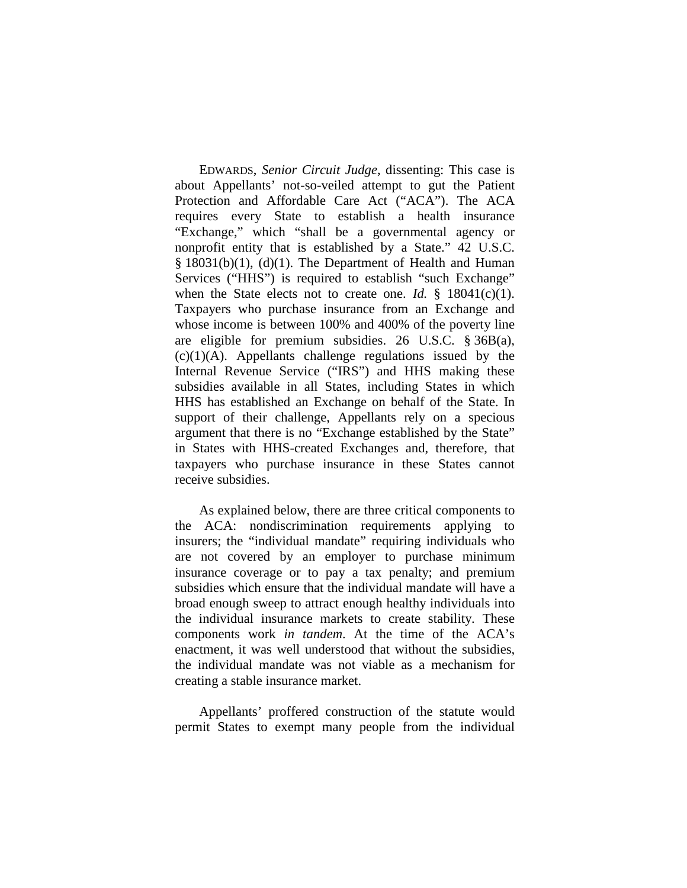EDWARDS, *Senior Circuit Judge*, dissenting: This case is about Appellants' not-so-veiled attempt to gut the Patient Protection and Affordable Care Act ("ACA"). The ACA requires every State to establish a health insurance "Exchange," which "shall be a governmental agency or nonprofit entity that is established by a State." 42 U.S.C.  $§$  18031(b)(1), (d)(1). The Department of Health and Human Services ("HHS") is required to establish "such Exchange" when the State elects not to create one. *Id.* § 18041(c)(1). Taxpayers who purchase insurance from an Exchange and whose income is between 100% and 400% of the poverty line are eligible for premium subsidies. 26 U.S.C. § 36B(a),  $(c)(1)(A)$ . Appellants challenge regulations issued by the Internal Revenue Service ("IRS") and HHS making these subsidies available in all States, including States in which HHS has established an Exchange on behalf of the State. In support of their challenge, Appellants rely on a specious argument that there is no "Exchange established by the State" in States with HHS-created Exchanges and, therefore, that taxpayers who purchase insurance in these States cannot receive subsidies.

As explained below, there are three critical components to the ACA: nondiscrimination requirements applying to insurers; the "individual mandate" requiring individuals who are not covered by an employer to purchase minimum insurance coverage or to pay a tax penalty; and premium subsidies which ensure that the individual mandate will have a broad enough sweep to attract enough healthy individuals into the individual insurance markets to create stability. These components work *in tandem*. At the time of the ACA's enactment, it was well understood that without the subsidies, the individual mandate was not viable as a mechanism for creating a stable insurance market.

Appellants' proffered construction of the statute would permit States to exempt many people from the individual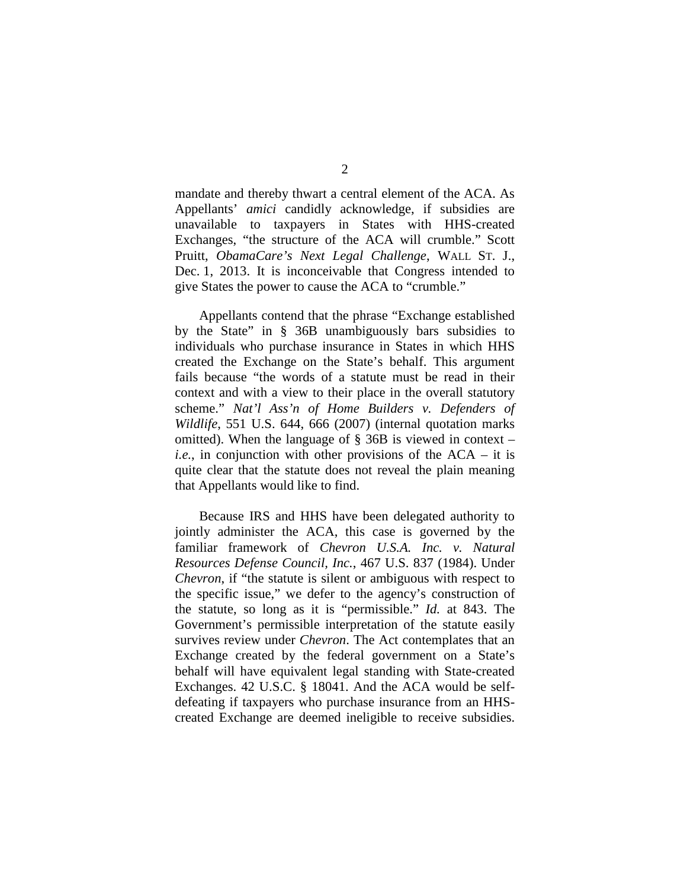mandate and thereby thwart a central element of the ACA. As Appellants' *amici* candidly acknowledge, if subsidies are unavailable to taxpayers in States with HHS-created Exchanges, "the structure of the ACA will crumble." Scott Pruitt, *ObamaCare's Next Legal Challenge*, WALL ST. J., Dec. 1, 2013. It is inconceivable that Congress intended to give States the power to cause the ACA to "crumble."

Appellants contend that the phrase "Exchange established by the State" in § 36B unambiguously bars subsidies to individuals who purchase insurance in States in which HHS created the Exchange on the State's behalf. This argument fails because "the words of a statute must be read in their context and with a view to their place in the overall statutory scheme." *Nat'l Ass'n of Home Builders v. Defenders of Wildlife*, 551 U.S. 644, 666 (2007) (internal quotation marks omitted). When the language of  $\S$  36B is viewed in context – *i.e.*, in conjunction with other provisions of the ACA – it is quite clear that the statute does not reveal the plain meaning that Appellants would like to find.

Because IRS and HHS have been delegated authority to jointly administer the ACA, this case is governed by the familiar framework of *Chevron U.S.A. Inc. v. Natural Resources Defense Council, Inc.*, 467 U.S. 837 (1984). Under *Chevron*, if "the statute is silent or ambiguous with respect to the specific issue," we defer to the agency's construction of the statute, so long as it is "permissible." *Id.* at 843. The Government's permissible interpretation of the statute easily survives review under *Chevron*. The Act contemplates that an Exchange created by the federal government on a State's behalf will have equivalent legal standing with State-created Exchanges. 42 U.S.C. § 18041. And the ACA would be selfdefeating if taxpayers who purchase insurance from an HHScreated Exchange are deemed ineligible to receive subsidies.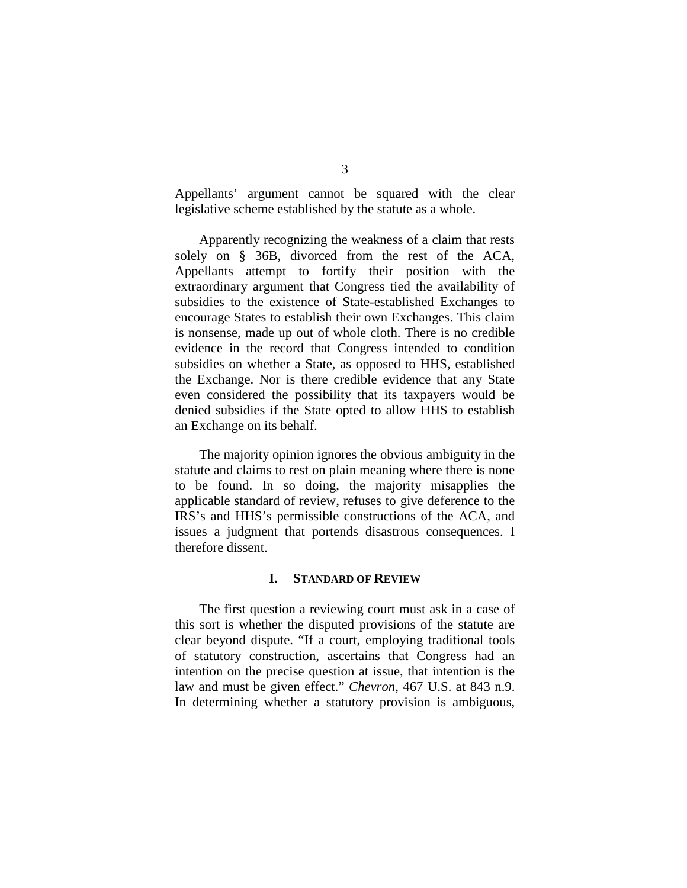Appellants' argument cannot be squared with the clear legislative scheme established by the statute as a whole.

Apparently recognizing the weakness of a claim that rests solely on § 36B, divorced from the rest of the ACA, Appellants attempt to fortify their position with the extraordinary argument that Congress tied the availability of subsidies to the existence of State-established Exchanges to encourage States to establish their own Exchanges. This claim is nonsense, made up out of whole cloth. There is no credible evidence in the record that Congress intended to condition subsidies on whether a State, as opposed to HHS, established the Exchange. Nor is there credible evidence that any State even considered the possibility that its taxpayers would be denied subsidies if the State opted to allow HHS to establish an Exchange on its behalf.

The majority opinion ignores the obvious ambiguity in the statute and claims to rest on plain meaning where there is none to be found. In so doing, the majority misapplies the applicable standard of review, refuses to give deference to the IRS's and HHS's permissible constructions of the ACA, and issues a judgment that portends disastrous consequences. I therefore dissent.

#### **I. STANDARD OF REVIEW**

The first question a reviewing court must ask in a case of this sort is whether the disputed provisions of the statute are clear beyond dispute. "If a court, employing traditional tools of statutory construction, ascertains that Congress had an intention on the precise question at issue, that intention is the law and must be given effect." *Chevron*, 467 U.S. at 843 n.9. In determining whether a statutory provision is ambiguous,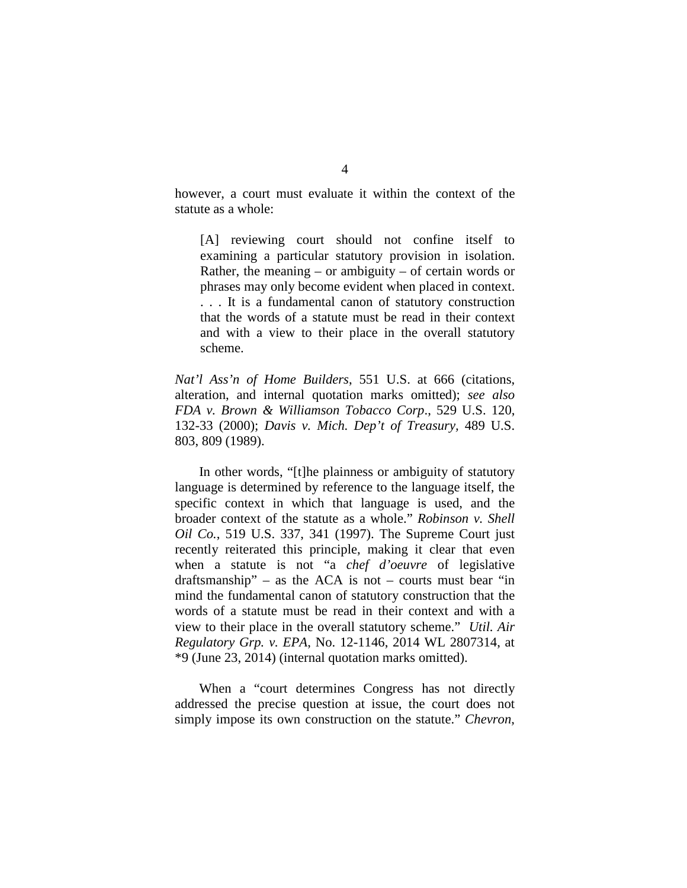however, a court must evaluate it within the context of the statute as a whole:

[A] reviewing court should not confine itself to examining a particular statutory provision in isolation. Rather, the meaning  $-$  or ambiguity  $-$  of certain words or phrases may only become evident when placed in context. . . . It is a fundamental canon of statutory construction that the words of a statute must be read in their context and with a view to their place in the overall statutory scheme.

*Nat'l Ass'n of Home Builders*, 551 U.S. at 666 (citations, alteration, and internal quotation marks omitted); *see also FDA v. Brown & Williamson Tobacco Corp*., 529 U.S. 120, 132-33 (2000); *Davis v. Mich. Dep't of Treasury,* 489 U.S. 803, 809 (1989).

In other words, "[t]he plainness or ambiguity of statutory language is determined by reference to the language itself, the specific context in which that language is used, and the broader context of the statute as a whole." *Robinson v. Shell Oil Co.*, 519 U.S. 337, 341 (1997). The Supreme Court just recently reiterated this principle, making it clear that even when a statute is not "a *chef d'oeuvre* of legislative draftsmanship" – as the ACA is not – courts must bear "in mind the fundamental canon of statutory construction that the words of a statute must be read in their context and with a view to their place in the overall statutory scheme." *Util. Air Regulatory Grp. v. EPA*, No. 12-1146, 2014 WL 2807314, at \*9 (June 23, 2014) (internal quotation marks omitted).

When a "court determines Congress has not directly addressed the precise question at issue, the court does not simply impose its own construction on the statute." *Chevron*,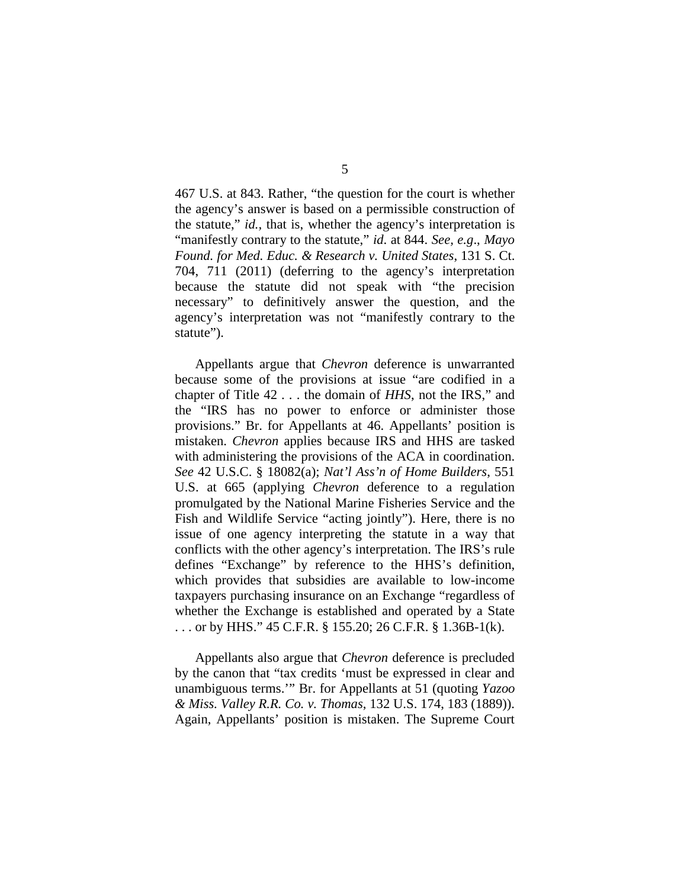467 U.S. at 843. Rather, "the question for the court is whether the agency's answer is based on a permissible construction of the statute," *id.,* that is, whether the agency's interpretation is "manifestly contrary to the statute," *id*. at 844. *See, e.g*., *Mayo Found. for Med. Educ. & Research v. United States*, 131 S. Ct. 704, 711 (2011) (deferring to the agency's interpretation because the statute did not speak with "the precision necessary" to definitively answer the question, and the agency's interpretation was not "manifestly contrary to the statute").

Appellants argue that *Chevron* deference is unwarranted because some of the provisions at issue "are codified in a chapter of Title 42 . . . the domain of *HHS*, not the IRS," and the "IRS has no power to enforce or administer those provisions." Br. for Appellants at 46. Appellants' position is mistaken. *Chevron* applies because IRS and HHS are tasked with administering the provisions of the ACA in coordination. *See* 42 U.S.C. § 18082(a); *Nat'l Ass'n of Home Builders*, 551 U.S. at 665 (applying *Chevron* deference to a regulation promulgated by the National Marine Fisheries Service and the Fish and Wildlife Service "acting jointly"). Here, there is no issue of one agency interpreting the statute in a way that conflicts with the other agency's interpretation. The IRS's rule defines "Exchange" by reference to the HHS's definition, which provides that subsidies are available to low-income taxpayers purchasing insurance on an Exchange "regardless of whether the Exchange is established and operated by a State . . . or by HHS." 45 C.F.R. § 155.20; 26 C.F.R. § 1.36B-1(k).

Appellants also argue that *Chevron* deference is precluded by the canon that "tax credits 'must be expressed in clear and unambiguous terms.'" Br. for Appellants at 51 (quoting *Yazoo & Miss. Valley R.R. Co. v. Thomas*, 132 U.S. 174, 183 (1889)). Again, Appellants' position is mistaken. The Supreme Court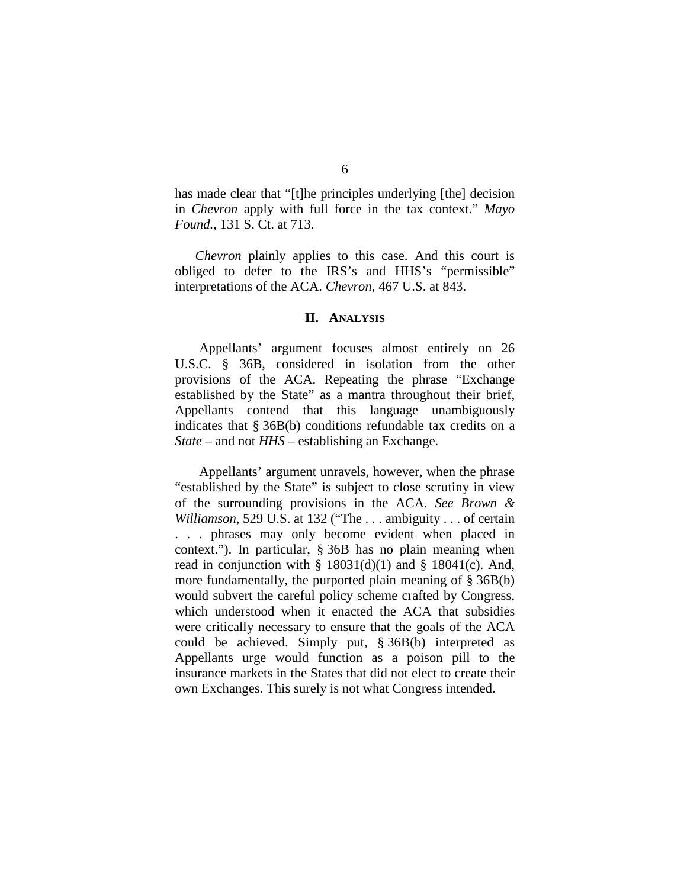has made clear that "[t]he principles underlying [the] decision in *Chevron* apply with full force in the tax context." *Mayo Found.*, 131 S. Ct. at 713.

*Chevron* plainly applies to this case. And this court is obliged to defer to the IRS's and HHS's "permissible" interpretations of the ACA. *Chevron*, 467 U.S. at 843.

#### **II. ANALYSIS**

Appellants' argument focuses almost entirely on 26 U.S.C. § 36B, considered in isolation from the other provisions of the ACA. Repeating the phrase "Exchange established by the State" as a mantra throughout their brief, Appellants contend that this language unambiguously indicates that § 36B(b) conditions refundable tax credits on a *State* – and not *HHS* – establishing an Exchange.

Appellants' argument unravels, however, when the phrase "established by the State" is subject to close scrutiny in view of the surrounding provisions in the ACA. *See Brown & Williamson*, 529 U.S. at 132 ("The . . . ambiguity . . . of certain . . . phrases may only become evident when placed in context."). In particular, § 36B has no plain meaning when read in conjunction with  $\S$  18031(d)(1) and  $\S$  18041(c). And, more fundamentally, the purported plain meaning of § 36B(b) would subvert the careful policy scheme crafted by Congress, which understood when it enacted the ACA that subsidies were critically necessary to ensure that the goals of the ACA could be achieved. Simply put, § 36B(b) interpreted as Appellants urge would function as a poison pill to the insurance markets in the States that did not elect to create their own Exchanges. This surely is not what Congress intended.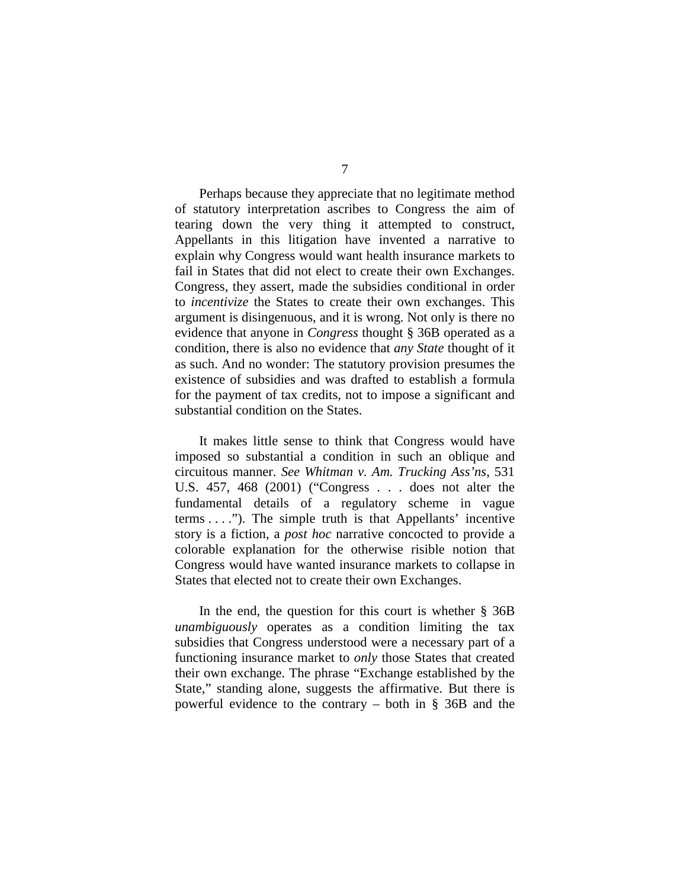Perhaps because they appreciate that no legitimate method of statutory interpretation ascribes to Congress the aim of tearing down the very thing it attempted to construct, Appellants in this litigation have invented a narrative to explain why Congress would want health insurance markets to fail in States that did not elect to create their own Exchanges. Congress, they assert, made the subsidies conditional in order to *incentivize* the States to create their own exchanges. This argument is disingenuous, and it is wrong. Not only is there no evidence that anyone in *Congress* thought § 36B operated as a condition, there is also no evidence that *any State* thought of it as such. And no wonder: The statutory provision presumes the existence of subsidies and was drafted to establish a formula for the payment of tax credits, not to impose a significant and substantial condition on the States.

It makes little sense to think that Congress would have imposed so substantial a condition in such an oblique and circuitous manner. *See Whitman v. Am. Trucking Ass'ns*, 531 U.S. 457, 468 (2001) ("Congress . . . does not alter the fundamental details of a regulatory scheme in vague terms . . . ."). The simple truth is that Appellants' incentive story is a fiction, a *post hoc* narrative concocted to provide a colorable explanation for the otherwise risible notion that Congress would have wanted insurance markets to collapse in States that elected not to create their own Exchanges.

In the end, the question for this court is whether § 36B *unambiguously* operates as a condition limiting the tax subsidies that Congress understood were a necessary part of a functioning insurance market to *only* those States that created their own exchange. The phrase "Exchange established by the State," standing alone, suggests the affirmative. But there is powerful evidence to the contrary – both in § 36B and the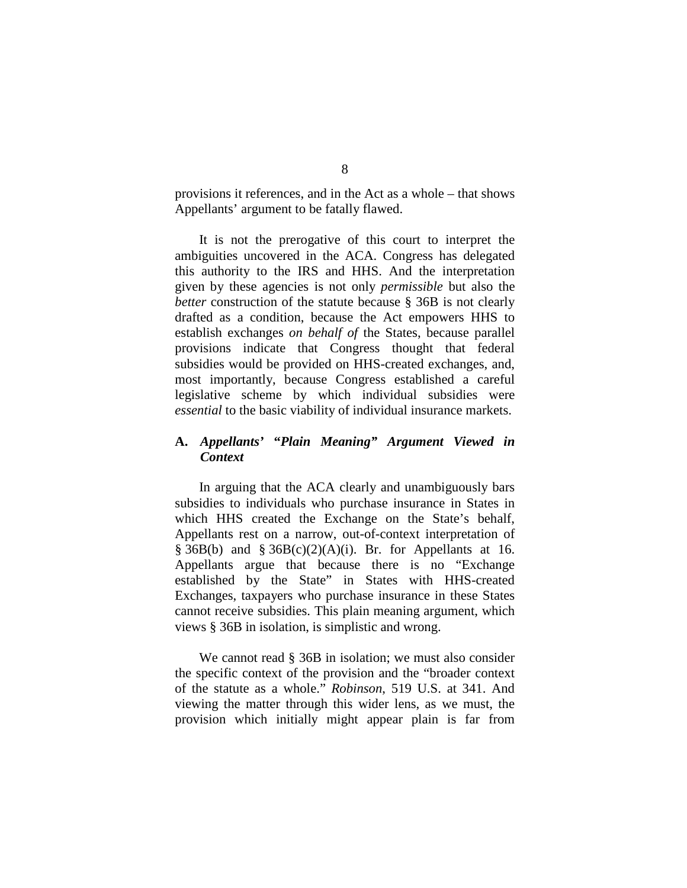provisions it references, and in the Act as a whole – that shows Appellants' argument to be fatally flawed.

It is not the prerogative of this court to interpret the ambiguities uncovered in the ACA. Congress has delegated this authority to the IRS and HHS. And the interpretation given by these agencies is not only *permissible* but also the *better* construction of the statute because § 36B is not clearly drafted as a condition, because the Act empowers HHS to establish exchanges *on behalf of* the States, because parallel provisions indicate that Congress thought that federal subsidies would be provided on HHS-created exchanges, and, most importantly, because Congress established a careful legislative scheme by which individual subsidies were *essential* to the basic viability of individual insurance markets.

# **A.** *Appellants'* **"***Plain Meaning" Argument Viewed in Context*

In arguing that the ACA clearly and unambiguously bars subsidies to individuals who purchase insurance in States in which HHS created the Exchange on the State's behalf, Appellants rest on a narrow, out-of-context interpretation of  $§$  36B(b) and  $§$  36B(c)(2)(A)(i). Br. for Appellants at 16. Appellants argue that because there is no "Exchange established by the State" in States with HHS-created Exchanges, taxpayers who purchase insurance in these States cannot receive subsidies. This plain meaning argument, which views § 36B in isolation, is simplistic and wrong.

We cannot read § 36B in isolation; we must also consider the specific context of the provision and the "broader context of the statute as a whole." *Robinson*, 519 U.S. at 341. And viewing the matter through this wider lens, as we must, the provision which initially might appear plain is far from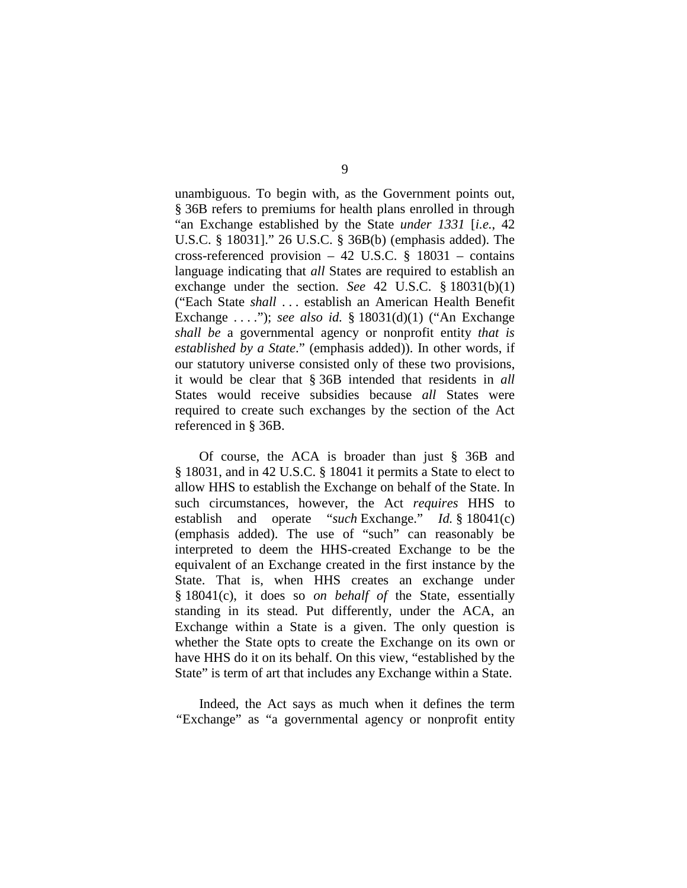unambiguous. To begin with, as the Government points out, § 36B refers to premiums for health plans enrolled in through "an Exchange established by the State *under 1331* [*i.e.*, 42 U.S.C. § 18031]." 26 U.S.C. § 36B(b) (emphasis added). The cross-referenced provision – 42 U.S.C.  $\S$  18031 – contains language indicating that *all* States are required to establish an exchange under the section. *See* 42 U.S.C. § 18031(b)(1) ("Each State *shall* . . . establish an American Health Benefit Exchange . . . ."); *see also id.* § 18031(d)(1) ("An Exchange *shall be* a governmental agency or nonprofit entity *that is established by a State*." (emphasis added)). In other words, if our statutory universe consisted only of these two provisions, it would be clear that § 36B intended that residents in *all* States would receive subsidies because *all* States were required to create such exchanges by the section of the Act referenced in § 36B.

Of course, the ACA is broader than just § 36B and § 18031, and in 42 U.S.C. § 18041 it permits a State to elect to allow HHS to establish the Exchange on behalf of the State. In such circumstances, however, the Act *requires* HHS to establish and operate "*such* Exchange." *Id.* § 18041(c) (emphasis added). The use of "such" can reasonably be interpreted to deem the HHS-created Exchange to be the equivalent of an Exchange created in the first instance by the State. That is, when HHS creates an exchange under § 18041(c), it does so *on behalf of* the State, essentially standing in its stead. Put differently, under the ACA, an Exchange within a State is a given. The only question is whether the State opts to create the Exchange on its own or have HHS do it on its behalf. On this view, "established by the State" is term of art that includes any Exchange within a State.

Indeed, the Act says as much when it defines the term *"*Exchange" as "a governmental agency or nonprofit entity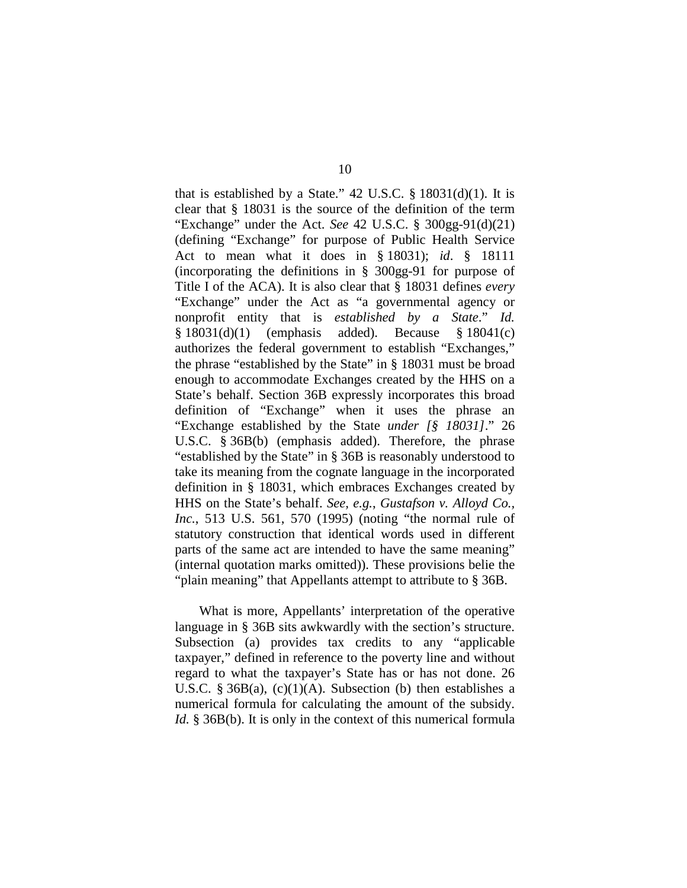that is established by a State." 42 U.S.C.  $\S$  18031(d)(1). It is clear that § 18031 is the source of the definition of the term "Exchange" under the Act. *See* 42 U.S.C. § 300gg-91(d)(21) (defining "Exchange" for purpose of Public Health Service Act to mean what it does in § 18031); *id*. § 18111 (incorporating the definitions in § 300gg-91 for purpose of Title I of the ACA). It is also clear that § 18031 defines *every*  "Exchange" under the Act as "a governmental agency or nonprofit entity that is *established by a State*." *Id.* § 18031(d)(1) (emphasis added). Because § 18041(c) authorizes the federal government to establish "Exchanges," the phrase "established by the State" in § 18031 must be broad enough to accommodate Exchanges created by the HHS on a State's behalf. Section 36B expressly incorporates this broad definition of "Exchange" when it uses the phrase an "Exchange established by the State *under [§ 18031]*." 26 U.S.C. § 36B(b) (emphasis added). Therefore, the phrase "established by the State" in § 36B is reasonably understood to take its meaning from the cognate language in the incorporated definition in § 18031, which embraces Exchanges created by HHS on the State's behalf. *See, e.g.*, *Gustafson v. Alloyd Co., Inc.*, 513 U.S. 561, 570 (1995) (noting "the normal rule of statutory construction that identical words used in different parts of the same act are intended to have the same meaning" (internal quotation marks omitted)). These provisions belie the "plain meaning" that Appellants attempt to attribute to § 36B.

What is more, Appellants' interpretation of the operative language in § 36B sits awkwardly with the section's structure. Subsection (a) provides tax credits to any "applicable taxpayer," defined in reference to the poverty line and without regard to what the taxpayer's State has or has not done. 26 U.S.C. § 36B(a),  $(c)(1)(A)$ . Subsection (b) then establishes a numerical formula for calculating the amount of the subsidy. *Id.* § 36B(b). It is only in the context of this numerical formula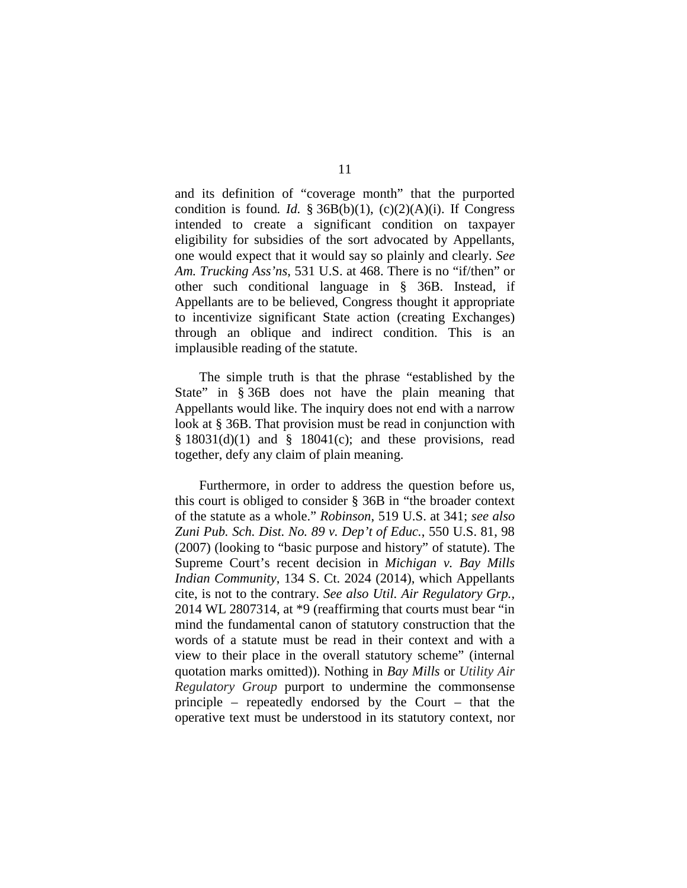and its definition of "coverage month" that the purported condition is found. *Id.*  $\frac{2}{3}$  36B(b)(1), (c)(2)(A)(i). If Congress intended to create a significant condition on taxpayer eligibility for subsidies of the sort advocated by Appellants, one would expect that it would say so plainly and clearly. *See Am. Trucking Ass'ns*, 531 U.S. at 468. There is no "if/then" or other such conditional language in § 36B. Instead, if Appellants are to be believed, Congress thought it appropriate to incentivize significant State action (creating Exchanges) through an oblique and indirect condition. This is an implausible reading of the statute.

The simple truth is that the phrase "established by the State" in § 36B does not have the plain meaning that Appellants would like. The inquiry does not end with a narrow look at § 36B. That provision must be read in conjunction with  $§ 18031(d)(1)$  and  $§ 18041(c)$ ; and these provisions, read together, defy any claim of plain meaning.

Furthermore, in order to address the question before us, this court is obliged to consider § 36B in "the broader context of the statute as a whole." *Robinson*, 519 U.S. at 341; *see also Zuni Pub. Sch. Dist. No. 89 v. Dep't of Educ.*, 550 U.S. 81, 98 (2007) (looking to "basic purpose and history" of statute). The Supreme Court's recent decision in *Michigan v. Bay Mills Indian Community*, 134 S. Ct. 2024 (2014), which Appellants cite, is not to the contrary. *See also Util. Air Regulatory Grp.,*  2014 WL 2807314, at \*9 (reaffirming that courts must bear "in mind the fundamental canon of statutory construction that the words of a statute must be read in their context and with a view to their place in the overall statutory scheme" (internal quotation marks omitted)). Nothing in *Bay Mills* or *Utility Air Regulatory Group* purport to undermine the commonsense principle – repeatedly endorsed by the Court – that the operative text must be understood in its statutory context, nor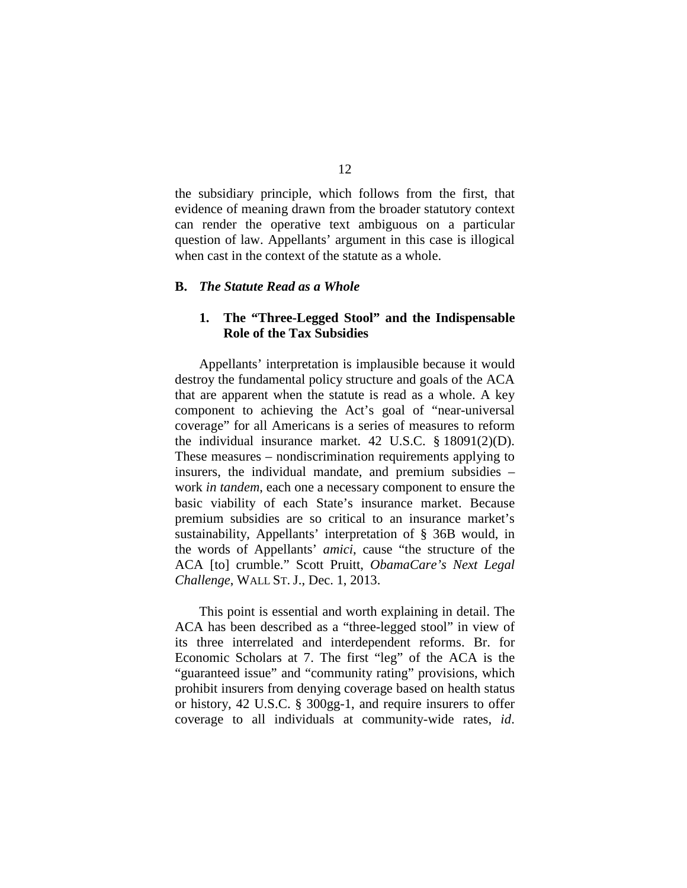the subsidiary principle, which follows from the first, that evidence of meaning drawn from the broader statutory context can render the operative text ambiguous on a particular question of law. Appellants' argument in this case is illogical when cast in the context of the statute as a whole.

#### **B.** *The Statute Read as a Whole*

# **1. The "Three-Legged Stool" and the Indispensable Role of the Tax Subsidies**

Appellants' interpretation is implausible because it would destroy the fundamental policy structure and goals of the ACA that are apparent when the statute is read as a whole. A key component to achieving the Act's goal of "near-universal coverage" for all Americans is a series of measures to reform the individual insurance market. 42 U.S.C. § 18091(2)(D). These measures – nondiscrimination requirements applying to insurers, the individual mandate, and premium subsidies – work *in tandem*, each one a necessary component to ensure the basic viability of each State's insurance market. Because premium subsidies are so critical to an insurance market's sustainability, Appellants' interpretation of § 36B would, in the words of Appellants' *amici*, cause "the structure of the ACA [to] crumble." Scott Pruitt, *ObamaCare's Next Legal Challenge*, WALL ST. J., Dec. 1, 2013.

This point is essential and worth explaining in detail. The ACA has been described as a "three-legged stool" in view of its three interrelated and interdependent reforms. Br. for Economic Scholars at 7. The first "leg" of the ACA is the "guaranteed issue" and "community rating" provisions, which prohibit insurers from denying coverage based on health status or history, 42 U.S.C. § 300gg-1, and require insurers to offer coverage to all individuals at community-wide rates, *id*.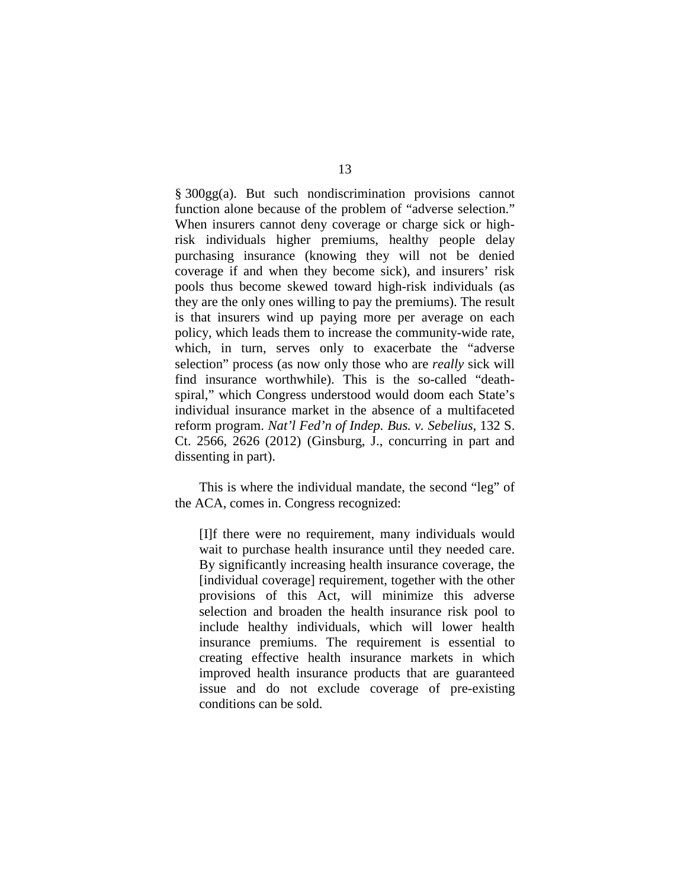§ 300gg(a). But such nondiscrimination provisions cannot function alone because of the problem of "adverse selection." When insurers cannot deny coverage or charge sick or highrisk individuals higher premiums, healthy people delay purchasing insurance (knowing they will not be denied coverage if and when they become sick), and insurers' risk pools thus become skewed toward high-risk individuals (as they are the only ones willing to pay the premiums). The result is that insurers wind up paying more per average on each policy, which leads them to increase the community-wide rate, which, in turn, serves only to exacerbate the "adverse selection" process (as now only those who are *really* sick will find insurance worthwhile). This is the so-called "deathspiral," which Congress understood would doom each State's individual insurance market in the absence of a multifaceted reform program. *Nat'l Fed'n of Indep. Bus. v. Sebelius*, 132 S. Ct. 2566, 2626 (2012) (Ginsburg, J., concurring in part and dissenting in part).

This is where the individual mandate, the second "leg" of the ACA, comes in. Congress recognized:

[I]f there were no requirement, many individuals would wait to purchase health insurance until they needed care. By significantly increasing health insurance coverage, the [individual coverage] requirement, together with the other provisions of this Act, will minimize this adverse selection and broaden the health insurance risk pool to include healthy individuals, which will lower health insurance premiums. The requirement is essential to creating effective health insurance markets in which improved health insurance products that are guaranteed issue and do not exclude coverage of pre-existing conditions can be sold.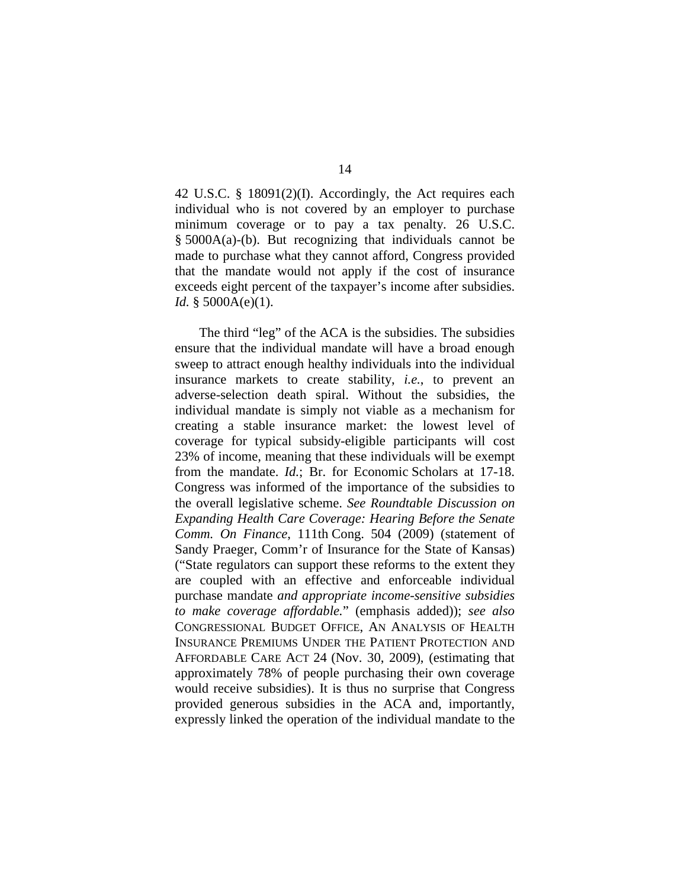42 U.S.C. § 18091(2)(I). Accordingly, the Act requires each individual who is not covered by an employer to purchase minimum coverage or to pay a tax penalty. 26 U.S.C. § 5000A(a)-(b). But recognizing that individuals cannot be made to purchase what they cannot afford, Congress provided that the mandate would not apply if the cost of insurance exceeds eight percent of the taxpayer's income after subsidies. *Id.* § 5000A(e)(1).

The third "leg" of the ACA is the subsidies. The subsidies ensure that the individual mandate will have a broad enough sweep to attract enough healthy individuals into the individual insurance markets to create stability, *i.e.*, to prevent an adverse-selection death spiral. Without the subsidies, the individual mandate is simply not viable as a mechanism for creating a stable insurance market: the lowest level of coverage for typical subsidy-eligible participants will cost 23% of income, meaning that these individuals will be exempt from the mandate. *Id.*; Br. for Economic Scholars at 17-18. Congress was informed of the importance of the subsidies to the overall legislative scheme. *See Roundtable Discussion on Expanding Health Care Coverage: Hearing Before the Senate Comm. On Finance*, 111th Cong. 504 (2009) (statement of Sandy Praeger, Comm'r of Insurance for the State of Kansas) ("State regulators can support these reforms to the extent they are coupled with an effective and enforceable individual purchase mandate *and appropriate income-sensitive subsidies to make coverage affordable.*" (emphasis added)); *see also*  CONGRESSIONAL BUDGET OFFICE, AN ANALYSIS OF HEALTH INSURANCE PREMIUMS UNDER THE PATIENT PROTECTION AND AFFORDABLE CARE ACT 24 (Nov. 30, 2009), (estimating that approximately 78% of people purchasing their own coverage would receive subsidies). It is thus no surprise that Congress provided generous subsidies in the ACA and, importantly, expressly linked the operation of the individual mandate to the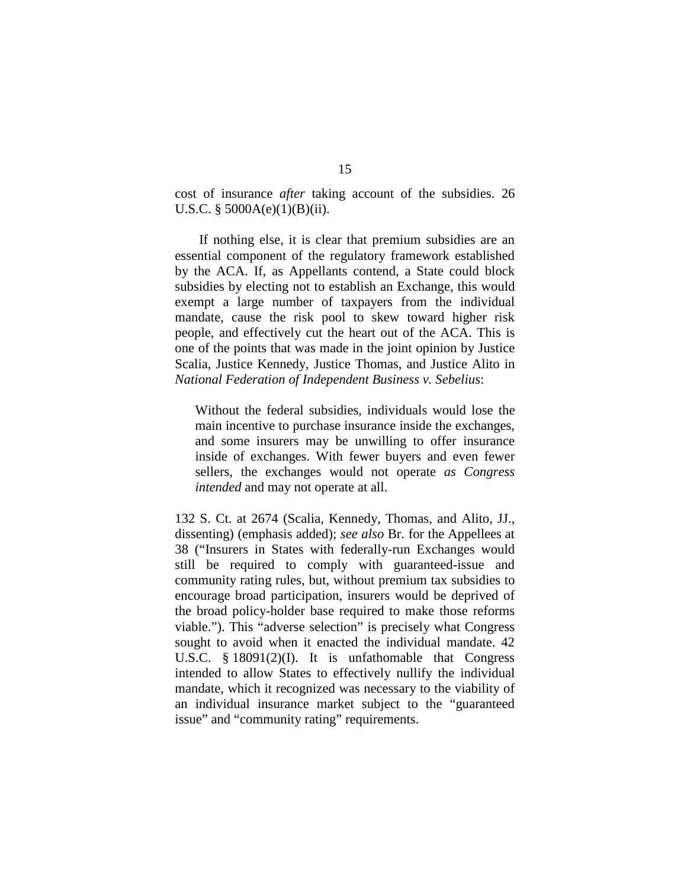cost of insurance *after* taking account of the subsidies. 26 U.S.C. § 5000A(e)(1)(B)(ii).

If nothing else, it is clear that premium subsidies are an essential component of the regulatory framework established by the ACA. If, as Appellants contend, a State could block subsidies by electing not to establish an Exchange, this would exempt a large number of taxpayers from the individual mandate, cause the risk pool to skew toward higher risk people, and effectively cut the heart out of the ACA. This is one of the points that was made in the joint opinion by Justice Scalia, Justice Kennedy, Justice Thomas, and Justice Alito in *National Federation of Independent Business v. Sebelius*:

Without the federal subsidies, individuals would lose the main incentive to purchase insurance inside the exchanges, and some insurers may be unwilling to offer insurance inside of exchanges. With fewer buyers and even fewer sellers, the exchanges would not operate *as Congress intended* and may not operate at all.

132 S. Ct. at 2674 (Scalia, Kennedy, Thomas, and Alito, JJ., dissenting) (emphasis added); *see also* Br. for the Appellees at 38 ("Insurers in States with federally-run Exchanges would still be required to comply with guaranteed-issue and community rating rules, but, without premium tax subsidies to encourage broad participation, insurers would be deprived of the broad policy-holder base required to make those reforms viable."). This "adverse selection" is precisely what Congress sought to avoid when it enacted the individual mandate. 42 U.S.C. § 18091(2)(I). It is unfathomable that Congress intended to allow States to effectively nullify the individual mandate, which it recognized was necessary to the viability of an individual insurance market subject to the "guaranteed issue" and "community rating" requirements.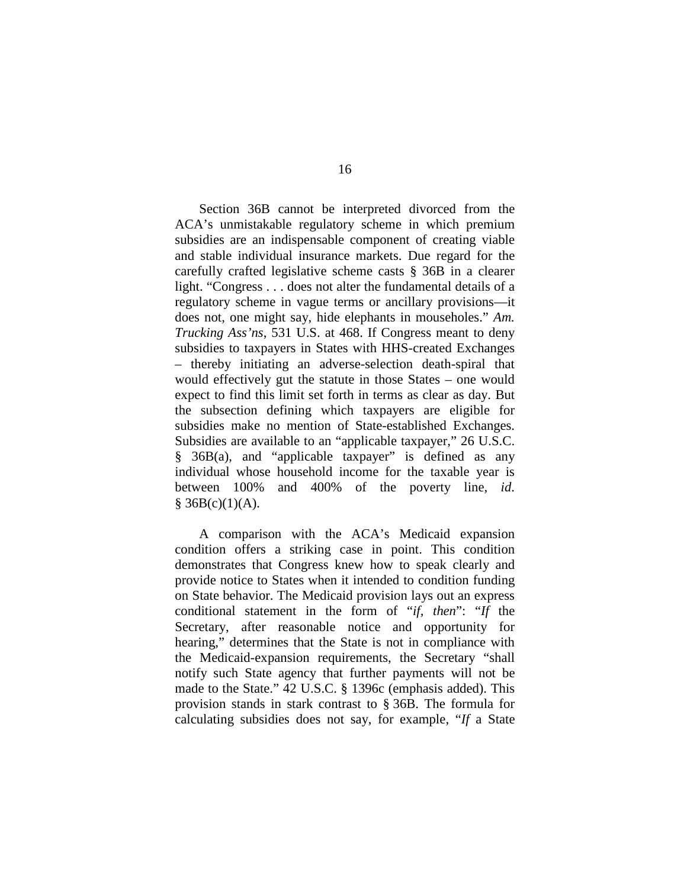Section 36B cannot be interpreted divorced from the ACA's unmistakable regulatory scheme in which premium subsidies are an indispensable component of creating viable and stable individual insurance markets. Due regard for the carefully crafted legislative scheme casts § 36B in a clearer light. "Congress . . . does not alter the fundamental details of a regulatory scheme in vague terms or ancillary provisions—it does not, one might say, hide elephants in mouseholes." *Am. Trucking Ass'ns*, 531 U.S. at 468. If Congress meant to deny subsidies to taxpayers in States with HHS-created Exchanges – thereby initiating an adverse-selection death-spiral that would effectively gut the statute in those States – one would expect to find this limit set forth in terms as clear as day. But the subsection defining which taxpayers are eligible for subsidies make no mention of State-established Exchanges. Subsidies are available to an "applicable taxpayer," 26 U.S.C. § 36B(a), and "applicable taxpayer" is defined as any individual whose household income for the taxable year is between 100% and 400% of the poverty line, *id*.  $§$  36B(c)(1)(A).

A comparison with the ACA's Medicaid expansion condition offers a striking case in point. This condition demonstrates that Congress knew how to speak clearly and provide notice to States when it intended to condition funding on State behavior. The Medicaid provision lays out an express conditional statement in the form of "*if, then*": "*If* the Secretary, after reasonable notice and opportunity for hearing," determines that the State is not in compliance with the Medicaid-expansion requirements, the Secretary "shall notify such State agency that further payments will not be made to the State." 42 U.S.C. § 1396c (emphasis added). This provision stands in stark contrast to § 36B. The formula for calculating subsidies does not say, for example, "*If* a State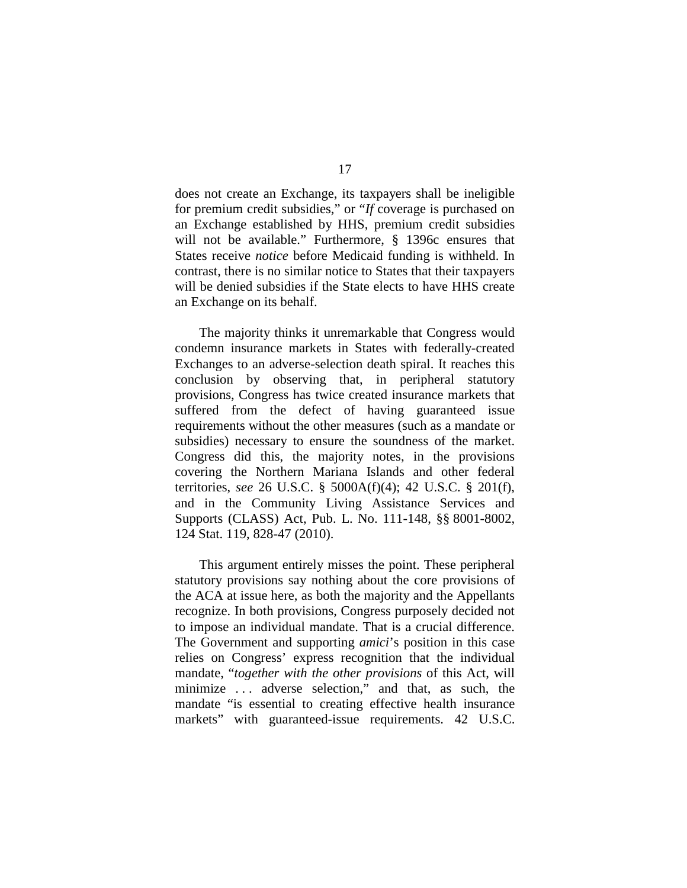does not create an Exchange, its taxpayers shall be ineligible for premium credit subsidies," or "*If* coverage is purchased on an Exchange established by HHS, premium credit subsidies will not be available." Furthermore, § 1396c ensures that States receive *notice* before Medicaid funding is withheld. In contrast, there is no similar notice to States that their taxpayers will be denied subsidies if the State elects to have HHS create an Exchange on its behalf.

The majority thinks it unremarkable that Congress would condemn insurance markets in States with federally-created Exchanges to an adverse-selection death spiral. It reaches this conclusion by observing that, in peripheral statutory provisions, Congress has twice created insurance markets that suffered from the defect of having guaranteed issue requirements without the other measures (such as a mandate or subsidies) necessary to ensure the soundness of the market. Congress did this, the majority notes, in the provisions covering the Northern Mariana Islands and other federal territories, *see* 26 U.S.C. § 5000A(f)(4); 42 U.S.C. § 201(f), and in the Community Living Assistance Services and Supports (CLASS) Act, Pub. L. No. 111-148, §§ 8001-8002, 124 Stat. 119, 828-47 (2010).

This argument entirely misses the point. These peripheral statutory provisions say nothing about the core provisions of the ACA at issue here, as both the majority and the Appellants recognize. In both provisions, Congress purposely decided not to impose an individual mandate. That is a crucial difference. The Government and supporting *amici*'s position in this case relies on Congress' express recognition that the individual mandate, "*together with the other provisions* of this Act, will minimize . . . adverse selection," and that, as such, the mandate "is essential to creating effective health insurance markets" with guaranteed-issue requirements. 42 U.S.C.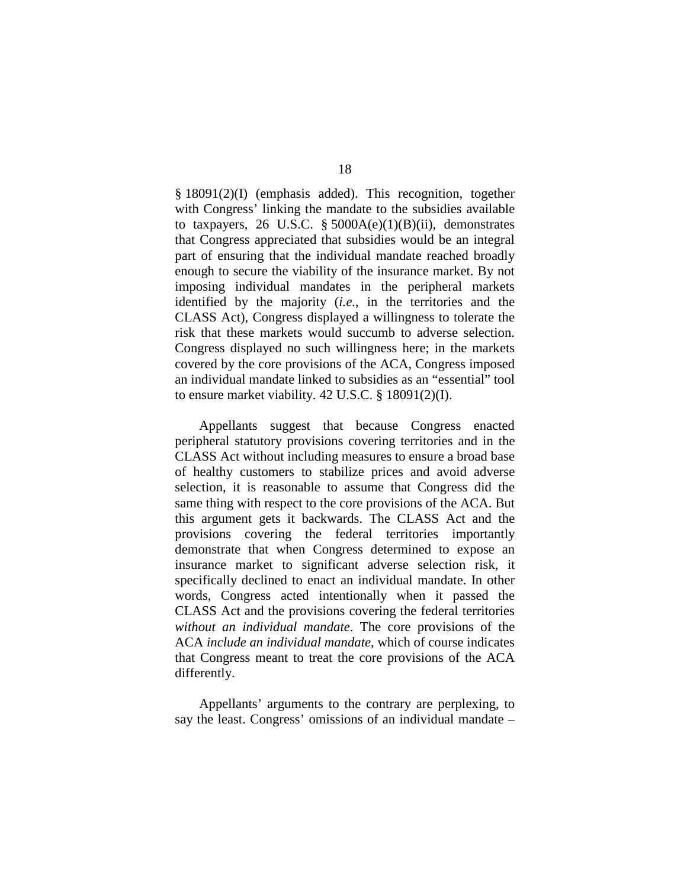§ 18091(2)(I) (emphasis added). This recognition, together with Congress' linking the mandate to the subsidies available to taxpayers, 26 U.S.C.  $\S$  5000A(e)(1)(B)(ii), demonstrates that Congress appreciated that subsidies would be an integral part of ensuring that the individual mandate reached broadly enough to secure the viability of the insurance market. By not imposing individual mandates in the peripheral markets identified by the majority (*i.e.*, in the territories and the CLASS Act), Congress displayed a willingness to tolerate the risk that these markets would succumb to adverse selection. Congress displayed no such willingness here; in the markets covered by the core provisions of the ACA, Congress imposed an individual mandate linked to subsidies as an "essential" tool to ensure market viability. 42 U.S.C. § 18091(2)(I).

Appellants suggest that because Congress enacted peripheral statutory provisions covering territories and in the CLASS Act without including measures to ensure a broad base of healthy customers to stabilize prices and avoid adverse selection, it is reasonable to assume that Congress did the same thing with respect to the core provisions of the ACA. But this argument gets it backwards. The CLASS Act and the provisions covering the federal territories importantly demonstrate that when Congress determined to expose an insurance market to significant adverse selection risk, it specifically declined to enact an individual mandate. In other words, Congress acted intentionally when it passed the CLASS Act and the provisions covering the federal territories *without an individual mandate*. The core provisions of the ACA *include an individual mandate*, which of course indicates that Congress meant to treat the core provisions of the ACA differently.

Appellants' arguments to the contrary are perplexing, to say the least. Congress' omissions of an individual mandate –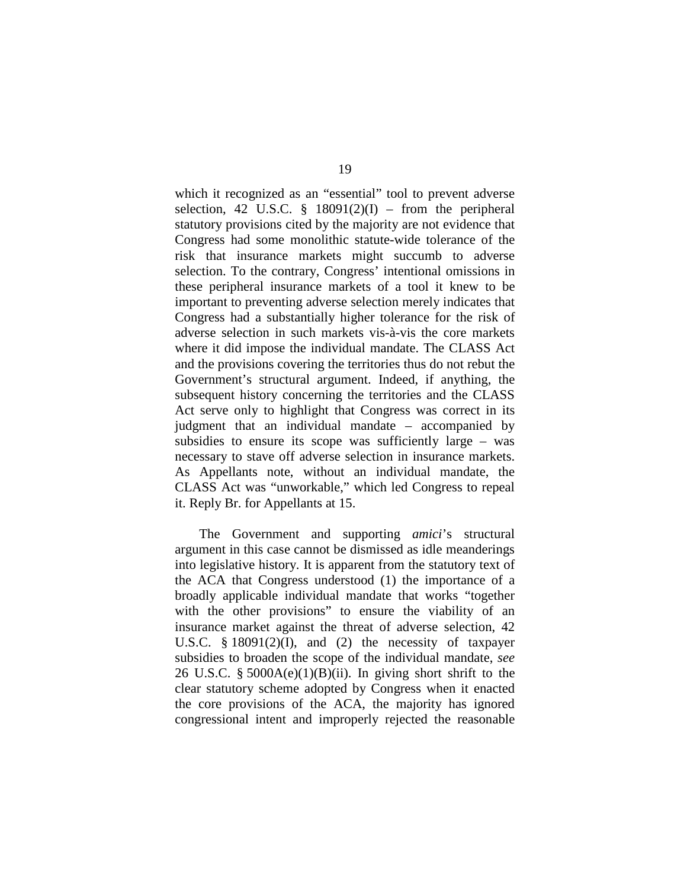which it recognized as an "essential" tool to prevent adverse selection, 42 U.S.C.  $\S$  18091(2)(I) – from the peripheral statutory provisions cited by the majority are not evidence that Congress had some monolithic statute-wide tolerance of the risk that insurance markets might succumb to adverse selection. To the contrary, Congress' intentional omissions in these peripheral insurance markets of a tool it knew to be important to preventing adverse selection merely indicates that Congress had a substantially higher tolerance for the risk of adverse selection in such markets vis-à-vis the core markets where it did impose the individual mandate. The CLASS Act and the provisions covering the territories thus do not rebut the Government's structural argument. Indeed, if anything, the subsequent history concerning the territories and the CLASS Act serve only to highlight that Congress was correct in its judgment that an individual mandate – accompanied by subsidies to ensure its scope was sufficiently large – was necessary to stave off adverse selection in insurance markets. As Appellants note, without an individual mandate, the CLASS Act was "unworkable," which led Congress to repeal it. Reply Br. for Appellants at 15.

The Government and supporting *amici*'s structural argument in this case cannot be dismissed as idle meanderings into legislative history. It is apparent from the statutory text of the ACA that Congress understood (1) the importance of a broadly applicable individual mandate that works "together with the other provisions" to ensure the viability of an insurance market against the threat of adverse selection, 42 U.S.C.  $§$  18091(2)(I), and (2) the necessity of taxpayer subsidies to broaden the scope of the individual mandate, *see*  26 U.S.C. §  $5000A(e)(1)(B)(ii)$ . In giving short shrift to the clear statutory scheme adopted by Congress when it enacted the core provisions of the ACA, the majority has ignored congressional intent and improperly rejected the reasonable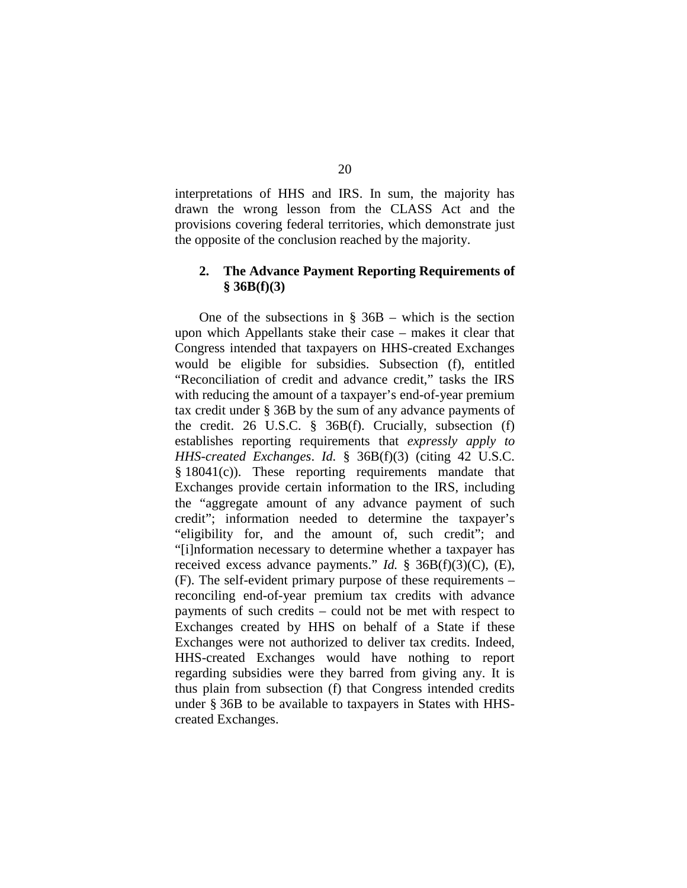interpretations of HHS and IRS. In sum, the majority has drawn the wrong lesson from the CLASS Act and the provisions covering federal territories, which demonstrate just the opposite of the conclusion reached by the majority.

## **2. The Advance Payment Reporting Requirements of § 36B(f)(3)**

One of the subsections in  $\S$  36B – which is the section upon which Appellants stake their case – makes it clear that Congress intended that taxpayers on HHS-created Exchanges would be eligible for subsidies. Subsection (f), entitled "Reconciliation of credit and advance credit," tasks the IRS with reducing the amount of a taxpayer's end-of-year premium tax credit under § 36B by the sum of any advance payments of the credit. 26 U.S.C. § 36B(f). Crucially, subsection (f) establishes reporting requirements that *expressly apply to HHS-created Exchanges*. *Id.* § 36B(f)(3) (citing 42 U.S.C. § 18041(c)). These reporting requirements mandate that Exchanges provide certain information to the IRS, including the "aggregate amount of any advance payment of such credit"; information needed to determine the taxpayer's "eligibility for, and the amount of, such credit"; and "[i]nformation necessary to determine whether a taxpayer has received excess advance payments." *Id.* § 36B(f)(3)(C), (E), (F). The self-evident primary purpose of these requirements – reconciling end-of-year premium tax credits with advance payments of such credits – could not be met with respect to Exchanges created by HHS on behalf of a State if these Exchanges were not authorized to deliver tax credits. Indeed, HHS-created Exchanges would have nothing to report regarding subsidies were they barred from giving any. It is thus plain from subsection (f) that Congress intended credits under § 36B to be available to taxpayers in States with HHScreated Exchanges.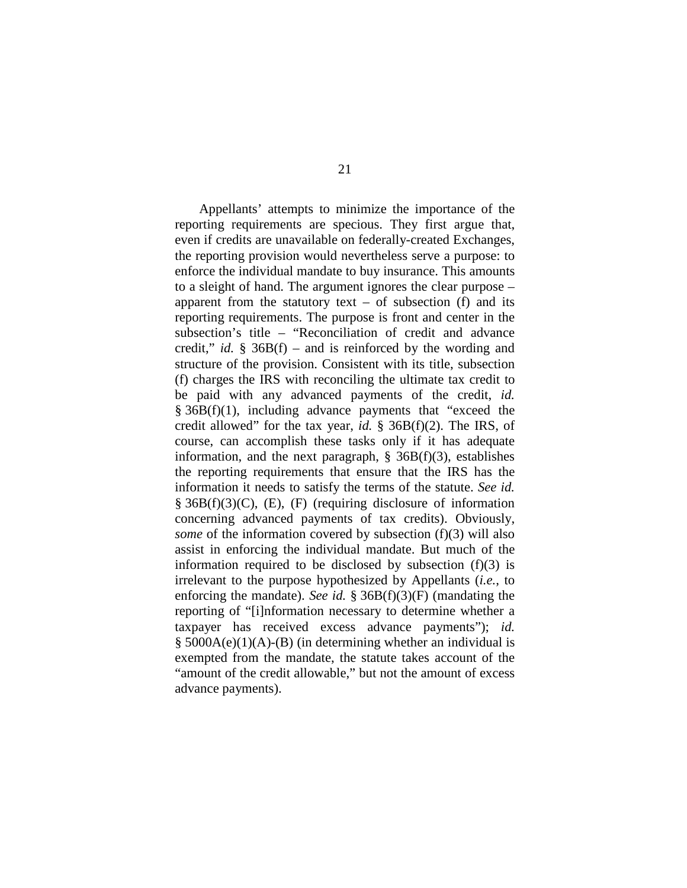Appellants' attempts to minimize the importance of the reporting requirements are specious. They first argue that, even if credits are unavailable on federally-created Exchanges, the reporting provision would nevertheless serve a purpose: to enforce the individual mandate to buy insurance. This amounts to a sleight of hand. The argument ignores the clear purpose – apparent from the statutory text – of subsection (f) and its reporting requirements. The purpose is front and center in the subsection's title – "Reconciliation of credit and advance credit," *id.* § 36B(f) – and is reinforced by the wording and structure of the provision. Consistent with its title, subsection (f) charges the IRS with reconciling the ultimate tax credit to be paid with any advanced payments of the credit, *id.*  § 36B(f)(1), including advance payments that "exceed the credit allowed" for the tax year, *id.* § 36B(f)(2). The IRS, of course, can accomplish these tasks only if it has adequate information, and the next paragraph,  $\S$  36B(f)(3), establishes the reporting requirements that ensure that the IRS has the information it needs to satisfy the terms of the statute. *See id.*   $§$  36B(f)(3)(C), (E), (F) (requiring disclosure of information concerning advanced payments of tax credits). Obviously, *some* of the information covered by subsection (f)(3) will also assist in enforcing the individual mandate. But much of the information required to be disclosed by subsection  $(f)(3)$  is irrelevant to the purpose hypothesized by Appellants (*i.e.*, to enforcing the mandate). *See id.* § 36B(f)(3)(F) (mandating the reporting of "[i]nformation necessary to determine whether a taxpayer has received excess advance payments"); *id.*   $§$  5000A(e)(1)(A)-(B) (in determining whether an individual is exempted from the mandate, the statute takes account of the "amount of the credit allowable," but not the amount of excess advance payments).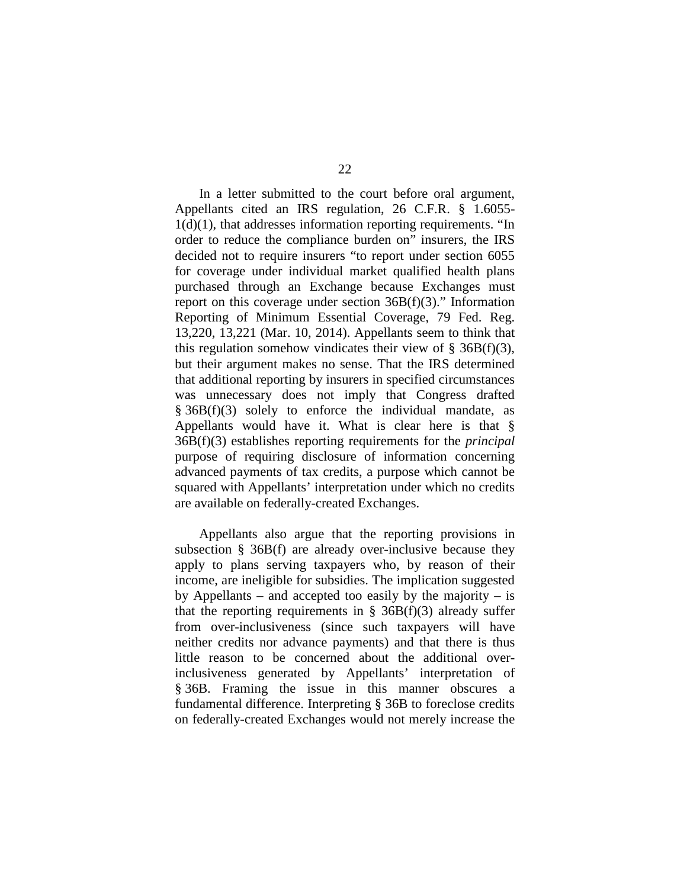In a letter submitted to the court before oral argument, Appellants cited an IRS regulation, 26 C.F.R. § 1.6055-  $1(d)(1)$ , that addresses information reporting requirements. "In order to reduce the compliance burden on" insurers, the IRS decided not to require insurers "to report under section 6055 for coverage under individual market qualified health plans purchased through an Exchange because Exchanges must report on this coverage under section 36B(f)(3)." Information Reporting of Minimum Essential Coverage, 79 Fed. Reg. 13,220, 13,221 (Mar. 10, 2014). Appellants seem to think that this regulation somehow vindicates their view of  $\S$  36B(f)(3), but their argument makes no sense. That the IRS determined that additional reporting by insurers in specified circumstances was unnecessary does not imply that Congress drafted  $§ 36B(f)(3)$  solely to enforce the individual mandate, as Appellants would have it. What is clear here is that § 36B(f)(3) establishes reporting requirements for the *principal* purpose of requiring disclosure of information concerning advanced payments of tax credits, a purpose which cannot be squared with Appellants' interpretation under which no credits are available on federally-created Exchanges.

Appellants also argue that the reporting provisions in subsection § 36B(f) are already over-inclusive because they apply to plans serving taxpayers who, by reason of their income, are ineligible for subsidies. The implication suggested by Appellants – and accepted too easily by the majority – is that the reporting requirements in  $\S$  36B(f)(3) already suffer from over-inclusiveness (since such taxpayers will have neither credits nor advance payments) and that there is thus little reason to be concerned about the additional overinclusiveness generated by Appellants' interpretation of § 36B. Framing the issue in this manner obscures a fundamental difference. Interpreting § 36B to foreclose credits on federally-created Exchanges would not merely increase the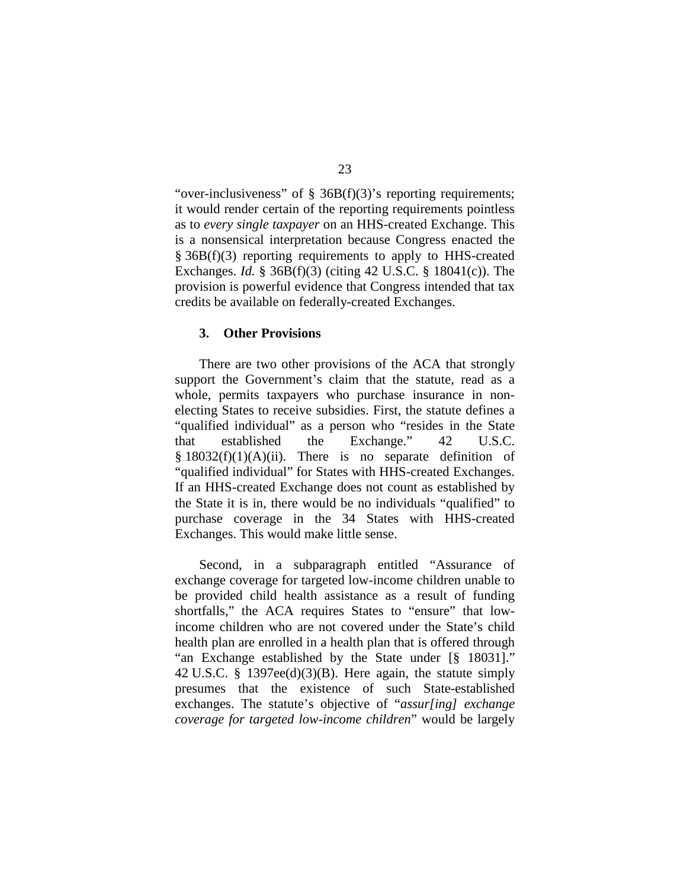"over-inclusiveness" of § 36B(f)(3)'s reporting requirements; it would render certain of the reporting requirements pointless as to *every single taxpayer* on an HHS-created Exchange. This is a nonsensical interpretation because Congress enacted the § 36B(f)(3) reporting requirements to apply to HHS-created Exchanges. *Id.* § 36B(f)(3) (citing 42 U.S.C. § 18041(c)). The provision is powerful evidence that Congress intended that tax credits be available on federally-created Exchanges.

## **3. Other Provisions**

There are two other provisions of the ACA that strongly support the Government's claim that the statute, read as a whole, permits taxpayers who purchase insurance in nonelecting States to receive subsidies. First, the statute defines a "qualified individual" as a person who "resides in the State that established the Exchange." 42 U.S.C.  $§ 18032(f)(1)(A)(ii)$ . There is no separate definition of "qualified individual" for States with HHS-created Exchanges. If an HHS-created Exchange does not count as established by the State it is in, there would be no individuals "qualified" to purchase coverage in the 34 States with HHS-created Exchanges. This would make little sense.

Second, in a subparagraph entitled "Assurance of exchange coverage for targeted low-income children unable to be provided child health assistance as a result of funding shortfalls," the ACA requires States to "ensure" that lowincome children who are not covered under the State's child health plan are enrolled in a health plan that is offered through "an Exchange established by the State under [§ 18031]." 42 U.S.C. § 1397ee(d)(3)(B). Here again, the statute simply presumes that the existence of such State-established exchanges. The statute's objective of "*assur[ing] exchange coverage for targeted low-income children*" would be largely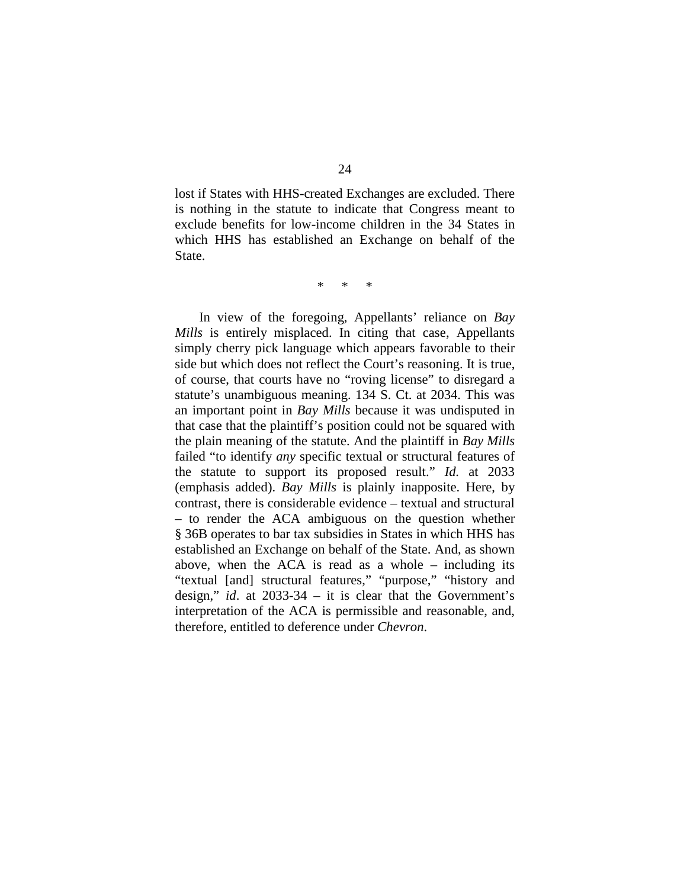lost if States with HHS-created Exchanges are excluded. There is nothing in the statute to indicate that Congress meant to exclude benefits for low-income children in the 34 States in which HHS has established an Exchange on behalf of the State.

\* \* \*

In view of the foregoing, Appellants' reliance on *Bay Mills* is entirely misplaced. In citing that case, Appellants simply cherry pick language which appears favorable to their side but which does not reflect the Court's reasoning. It is true, of course, that courts have no "roving license" to disregard a statute's unambiguous meaning. 134 S. Ct. at 2034. This was an important point in *Bay Mills* because it was undisputed in that case that the plaintiff's position could not be squared with the plain meaning of the statute. And the plaintiff in *Bay Mills* failed "to identify *any* specific textual or structural features of the statute to support its proposed result." *Id.* at 2033 (emphasis added). *Bay Mills* is plainly inapposite. Here, by contrast, there is considerable evidence – textual and structural – to render the ACA ambiguous on the question whether § 36B operates to bar tax subsidies in States in which HHS has established an Exchange on behalf of the State. And, as shown above, when the ACA is read as a whole – including its "textual [and] structural features," "purpose," "history and design," *id*. at 2033-34 – it is clear that the Government's interpretation of the ACA is permissible and reasonable, and, therefore, entitled to deference under *Chevron*.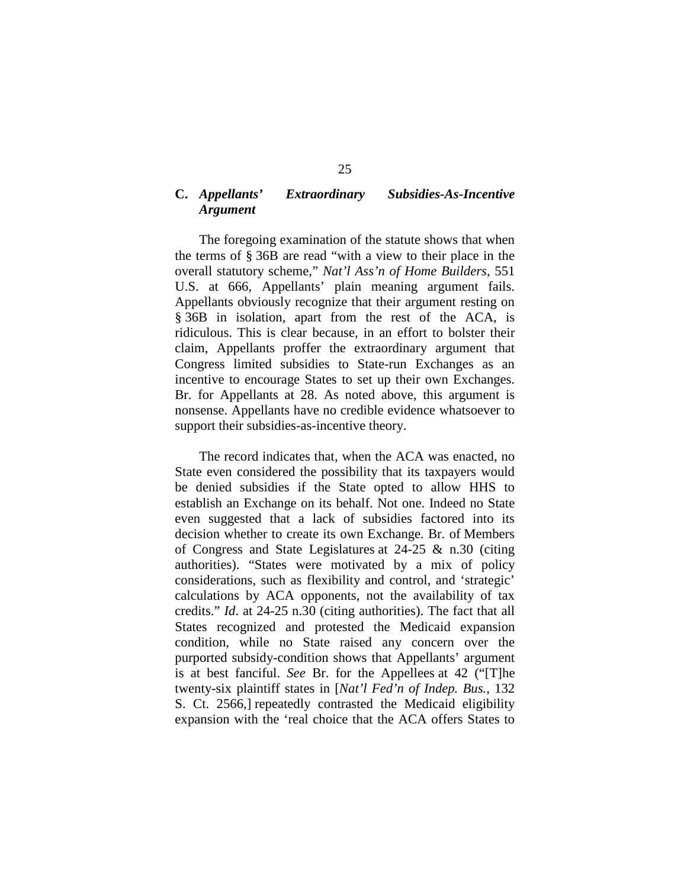# **C.** *Appellants' Extraordinary Subsidies-As-Incentive Argument*

The foregoing examination of the statute shows that when the terms of § 36B are read "with a view to their place in the overall statutory scheme," *Nat'l Ass'n of Home Builders*, 551 U.S. at 666, Appellants' plain meaning argument fails. Appellants obviously recognize that their argument resting on § 36B in isolation, apart from the rest of the ACA, is ridiculous. This is clear because, in an effort to bolster their claim, Appellants proffer the extraordinary argument that Congress limited subsidies to State-run Exchanges as an incentive to encourage States to set up their own Exchanges. Br. for Appellants at 28. As noted above, this argument is nonsense. Appellants have no credible evidence whatsoever to support their subsidies-as-incentive theory.

The record indicates that, when the ACA was enacted, no State even considered the possibility that its taxpayers would be denied subsidies if the State opted to allow HHS to establish an Exchange on its behalf. Not one. Indeed no State even suggested that a lack of subsidies factored into its decision whether to create its own Exchange. Br. of Members of Congress and State Legislatures at 24-25 & n.30 (citing authorities). "States were motivated by a mix of policy considerations, such as flexibility and control, and 'strategic' calculations by ACA opponents, not the availability of tax credits." *Id*. at 24-25 n.30 (citing authorities). The fact that all States recognized and protested the Medicaid expansion condition, while no State raised any concern over the purported subsidy-condition shows that Appellants' argument is at best fanciful. *See* Br. for the Appellees at 42 ("[T]he twenty-six plaintiff states in [*Nat'l Fed'n of Indep. Bus.*, 132 S. Ct. 2566,] repeatedly contrasted the Medicaid eligibility expansion with the 'real choice that the ACA offers States to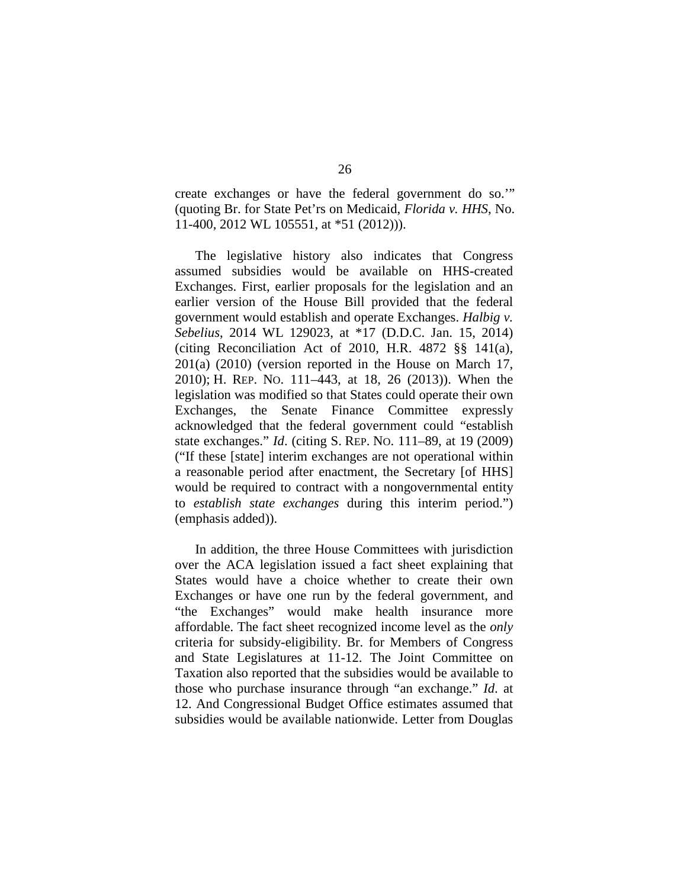create exchanges or have the federal government do so.'" (quoting Br. for State Pet'rs on Medicaid, *Florida v. HHS*, No. 11-400, 2012 WL 105551, at \*51 (2012))).

The legislative history also indicates that Congress assumed subsidies would be available on HHS-created Exchanges. First, earlier proposals for the legislation and an earlier version of the House Bill provided that the federal government would establish and operate Exchanges. *Halbig v. Sebelius*, 2014 WL 129023, at \*17 (D.D.C. Jan. 15, 2014) (citing Reconciliation Act of 2010, H.R. 4872 §§ 141(a), 201(a) (2010) (version reported in the House on March 17, 2010); H. REP. NO. 111–443, at 18, 26 (2013)). When the legislation was modified so that States could operate their own Exchanges, the Senate Finance Committee expressly acknowledged that the federal government could "establish state exchanges." *Id*. (citing S. REP. NO. 111–89, at 19 (2009) ("If these [state] interim exchanges are not operational within a reasonable period after enactment, the Secretary [of HHS] would be required to contract with a nongovernmental entity to *establish state exchanges* during this interim period.") (emphasis added)).

In addition, the three House Committees with jurisdiction over the ACA legislation issued a fact sheet explaining that States would have a choice whether to create their own Exchanges or have one run by the federal government, and "the Exchanges" would make health insurance more affordable. The fact sheet recognized income level as the *only* criteria for subsidy-eligibility. Br. for Members of Congress and State Legislatures at 11-12. The Joint Committee on Taxation also reported that the subsidies would be available to those who purchase insurance through "an exchange." *Id*. at 12. And Congressional Budget Office estimates assumed that subsidies would be available nationwide. Letter from Douglas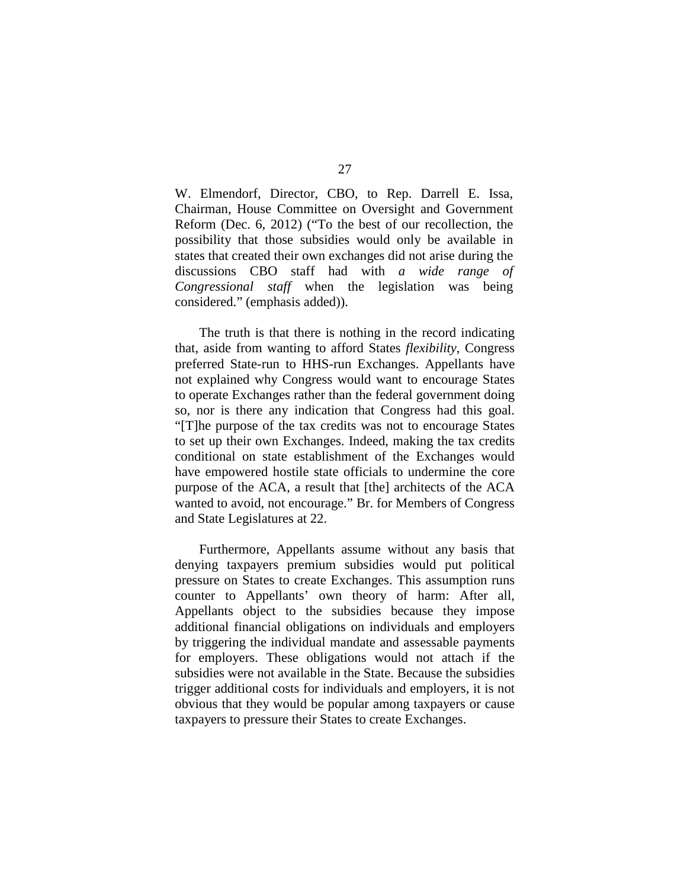W. Elmendorf, Director, CBO, to Rep. Darrell E. Issa, Chairman, House Committee on Oversight and Government Reform (Dec. 6, 2012) ("To the best of our recollection, the possibility that those subsidies would only be available in states that created their own exchanges did not arise during the discussions CBO staff had with *a wide range of Congressional staff* when the legislation was being considered." (emphasis added)).

The truth is that there is nothing in the record indicating that, aside from wanting to afford States *flexibility*, Congress preferred State-run to HHS-run Exchanges. Appellants have not explained why Congress would want to encourage States to operate Exchanges rather than the federal government doing so, nor is there any indication that Congress had this goal. "[T]he purpose of the tax credits was not to encourage States to set up their own Exchanges. Indeed, making the tax credits conditional on state establishment of the Exchanges would have empowered hostile state officials to undermine the core purpose of the ACA, a result that [the] architects of the ACA wanted to avoid, not encourage." Br. for Members of Congress and State Legislatures at 22.

Furthermore, Appellants assume without any basis that denying taxpayers premium subsidies would put political pressure on States to create Exchanges. This assumption runs counter to Appellants' own theory of harm: After all, Appellants object to the subsidies because they impose additional financial obligations on individuals and employers by triggering the individual mandate and assessable payments for employers. These obligations would not attach if the subsidies were not available in the State. Because the subsidies trigger additional costs for individuals and employers, it is not obvious that they would be popular among taxpayers or cause taxpayers to pressure their States to create Exchanges.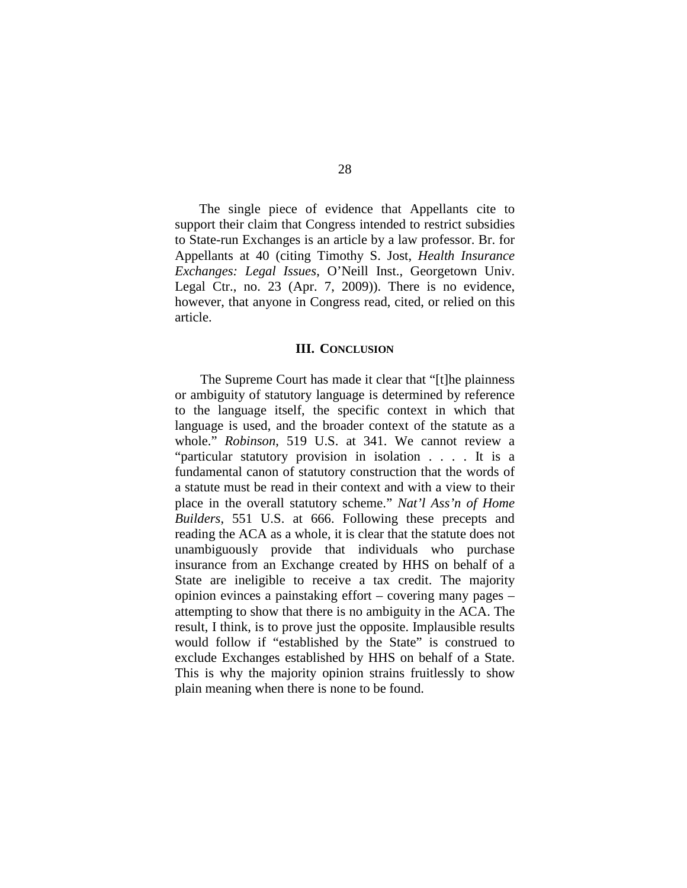The single piece of evidence that Appellants cite to support their claim that Congress intended to restrict subsidies to State-run Exchanges is an article by a law professor. Br. for Appellants at 40 (citing Timothy S. Jost, *Health Insurance Exchanges: Legal Issues*, O'Neill Inst., Georgetown Univ. Legal Ctr., no. 23 (Apr. 7, 2009)). There is no evidence, however, that anyone in Congress read, cited, or relied on this article.

#### **III. CONCLUSION**

The Supreme Court has made it clear that "[t]he plainness or ambiguity of statutory language is determined by reference to the language itself, the specific context in which that language is used, and the broader context of the statute as a whole." *Robinson*, 519 U.S. at 341. We cannot review a "particular statutory provision in isolation . . . . It is a fundamental canon of statutory construction that the words of a statute must be read in their context and with a view to their place in the overall statutory scheme." *Nat'l Ass'n of Home Builders*, 551 U.S. at 666. Following these precepts and reading the ACA as a whole, it is clear that the statute does not unambiguously provide that individuals who purchase insurance from an Exchange created by HHS on behalf of a State are ineligible to receive a tax credit. The majority opinion evinces a painstaking effort – covering many pages – attempting to show that there is no ambiguity in the ACA. The result, I think, is to prove just the opposite. Implausible results would follow if "established by the State" is construed to exclude Exchanges established by HHS on behalf of a State. This is why the majority opinion strains fruitlessly to show plain meaning when there is none to be found.